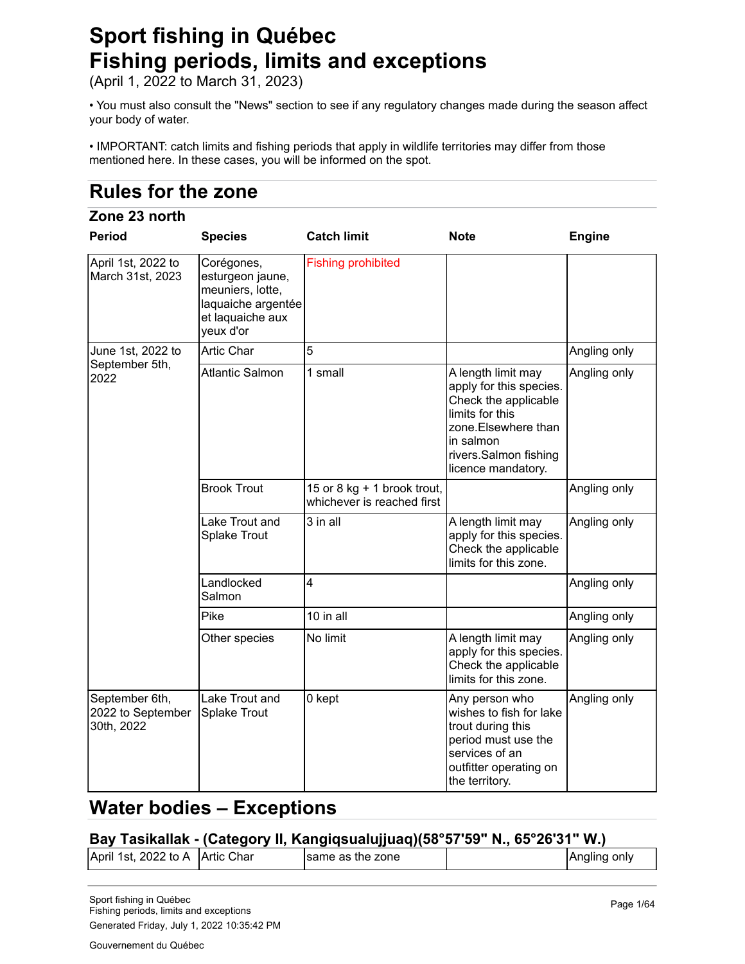# **Sport fishing in Québec Fishing periods, limits and exceptions**

(April 1, 2022 to March 31, 2023)

• You must also consult the "News" section to see if any regulatory changes made during the season affect your body of water.

• IMPORTANT: catch limits and fishing periods that apply in wildlife territories may differ from those mentioned here. In these cases, you will be informed on the spot.

# **Rules for the zone**

#### **Period Species Catch limit Note Engine** Fishing prohibited 5 **Angling only 5** Angling only 1 small A length limit may apply for this species. Check the applicable limits for this zone.Elsewhere than in salmon rivers.Salmon fishing licence mandatory. Angling only 15 or 8 kg + 1 brook trout, whichever is reached first Angling only 3 in all **A** length limit may apply for this species. Check the applicable limits for this zone. Angling only 4 Angling only 10 in all **Anglie Anglie Anglie Anglie Anglie Anglie Anglie Anglie Anglie Anglie Anglie Anglie Anglie Anglie Anglie Anglie Anglie Anglie Anglie Anglie Anglie Anglie Anglie Anglie Anglie Anglie Anglie Anglie Anglie Anglie A** No limit A length limit may apply for this species. Check the applicable limits for this zone. Angling only 0 kept Any person who wishes to fish for lake trout during this period must use the services of an outfitter operating on the territory. Angling only **Zone 23 north** April 1st, 2022 to March 31st, 2023 Corégones, esturgeon jaune, meuniers, lotte, laquaiche argentée et laquaiche aux yeux d'or June 1st, 2022 to September 5th, 2022 Artic Char Atlantic Salmon Brook Trout Lake Trout and Splake Trout Landlocked Salmon Pike Other species September 6th, 2022 to September 30th, 2022 Lake Trout and Splake Trout

# **Water bodies – Exceptions**

#### **Bay Tasikallak - (Category II, Kangiqsualujjuaq)(58°57'59" N., 65°26'31" W.)**

| April 1st, 2022 to A<br>Artic Char<br>Angling only<br>Isame as the zone |  |  |  |  |
|-------------------------------------------------------------------------|--|--|--|--|
|                                                                         |  |  |  |  |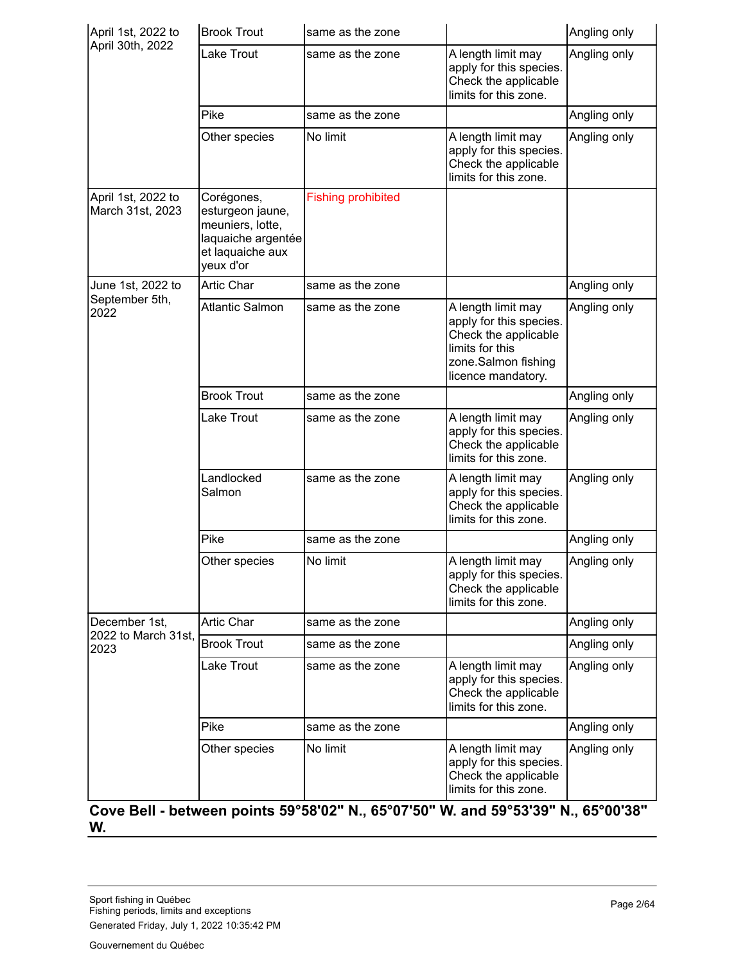| April 1st, 2022 to                           | <b>Brook Trout</b>                                                                                        | same as the zone                                                                              |                                                                                                                                       | Angling only |
|----------------------------------------------|-----------------------------------------------------------------------------------------------------------|-----------------------------------------------------------------------------------------------|---------------------------------------------------------------------------------------------------------------------------------------|--------------|
| April 30th, 2022                             | Lake Trout                                                                                                | same as the zone                                                                              | A length limit may<br>apply for this species.<br>Check the applicable<br>limits for this zone.                                        | Angling only |
|                                              | Pike                                                                                                      | same as the zone                                                                              |                                                                                                                                       | Angling only |
|                                              | Other species                                                                                             | No limit                                                                                      | A length limit may<br>apply for this species.<br>Check the applicable<br>limits for this zone.                                        | Angling only |
| April 1st, 2022 to<br>March 31st, 2023       | Corégones,<br>esturgeon jaune,<br>meuniers, lotte,<br>laquaiche argentée<br>et laquaiche aux<br>yeux d'or | <b>Fishing prohibited</b>                                                                     |                                                                                                                                       |              |
| June 1st, 2022 to                            | Artic Char                                                                                                | same as the zone                                                                              |                                                                                                                                       | Angling only |
| September 5th,<br>2022                       | <b>Atlantic Salmon</b>                                                                                    | same as the zone                                                                              | A length limit may<br>apply for this species.<br>Check the applicable<br>limits for this<br>zone.Salmon fishing<br>licence mandatory. | Angling only |
|                                              | <b>Brook Trout</b>                                                                                        | same as the zone                                                                              |                                                                                                                                       | Angling only |
|                                              | Lake Trout                                                                                                | same as the zone                                                                              | A length limit may<br>apply for this species.<br>Check the applicable<br>limits for this zone.                                        | Angling only |
|                                              | Landlocked<br>Salmon                                                                                      | same as the zone                                                                              | A length limit may<br>apply for this species.<br>Check the applicable<br>limits for this zone.                                        | Angling only |
|                                              | Pike                                                                                                      | same as the zone                                                                              |                                                                                                                                       | Angling only |
|                                              | Other species                                                                                             | No limit                                                                                      | A length limit may<br>apply for this species.<br>Check the applicable<br>limits for this zone.                                        | Angling only |
| December 1st,<br>2022 to March 31st,<br>2023 | <b>Artic Char</b>                                                                                         | same as the zone                                                                              |                                                                                                                                       | Angling only |
|                                              | <b>Brook Trout</b>                                                                                        | same as the zone                                                                              |                                                                                                                                       | Angling only |
|                                              | Lake Trout                                                                                                | same as the zone                                                                              | A length limit may<br>apply for this species.<br>Check the applicable<br>limits for this zone.                                        | Angling only |
|                                              | Pike                                                                                                      | same as the zone                                                                              |                                                                                                                                       | Angling only |
|                                              | Other species                                                                                             | No limit<br>Cove Bell - between points 59°58'02" N., 65°07'50" W. and 59°53'39" N., 65°00'38" | A length limit may<br>apply for this species.<br>Check the applicable<br>limits for this zone.                                        | Angling only |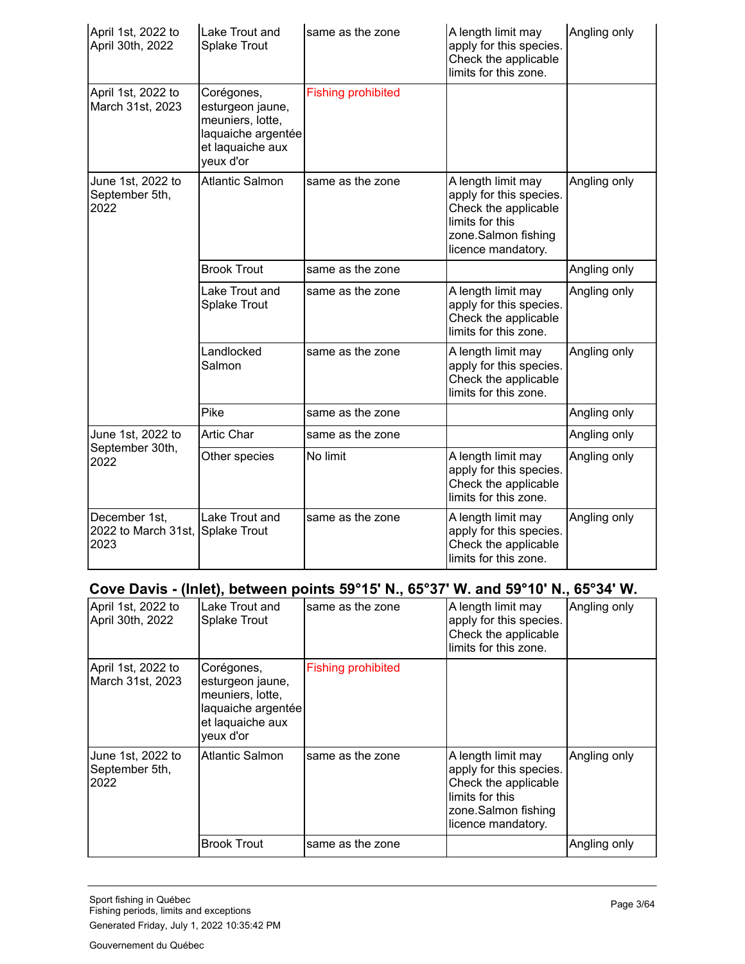| April 1st, 2022 to<br>April 30th, 2022                    | Lake Trout and<br><b>Splake Trout</b>                                                                     | same as the zone          | A length limit may<br>apply for this species.<br>Check the applicable<br>limits for this zone.                                        | Angling only |
|-----------------------------------------------------------|-----------------------------------------------------------------------------------------------------------|---------------------------|---------------------------------------------------------------------------------------------------------------------------------------|--------------|
| April 1st, 2022 to<br>March 31st, 2023                    | Corégones,<br>esturgeon jaune,<br>meuniers, lotte,<br>laquaiche argentée<br>et laquaiche aux<br>yeux d'or | <b>Fishing prohibited</b> |                                                                                                                                       |              |
| June 1st, 2022 to<br>September 5th,<br>2022               | <b>Atlantic Salmon</b>                                                                                    | same as the zone          | A length limit may<br>apply for this species.<br>Check the applicable<br>limits for this<br>zone.Salmon fishing<br>licence mandatory. | Angling only |
|                                                           | <b>Brook Trout</b>                                                                                        | same as the zone          |                                                                                                                                       | Angling only |
|                                                           | Lake Trout and<br><b>Splake Trout</b>                                                                     | same as the zone          | A length limit may<br>apply for this species.<br>Check the applicable<br>limits for this zone.                                        | Angling only |
|                                                           | Landlocked<br>Salmon                                                                                      | same as the zone          | A length limit may<br>apply for this species.<br>Check the applicable<br>limits for this zone.                                        | Angling only |
|                                                           | Pike                                                                                                      | same as the zone          |                                                                                                                                       | Angling only |
| June 1st, 2022 to<br>September 30th,<br>2022              | <b>Artic Char</b>                                                                                         | same as the zone          |                                                                                                                                       | Angling only |
|                                                           | Other species                                                                                             | No limit                  | A length limit may<br>apply for this species.<br>Check the applicable<br>limits for this zone.                                        | Angling only |
| December 1st,<br>2022 to March 31st, Splake Trout<br>2023 | Lake Trout and                                                                                            | same as the zone          | A length limit may<br>apply for this species.<br>Check the applicable<br>limits for this zone.                                        | Angling only |

#### **Cove Davis - (Inlet), between points 59°15' N., 65°37' W. and 59°10' N., 65°34' W.**

| April 1st, 2022 to<br>April 30th, 2022      | Lake Trout and<br>Splake Trout                                                                            | same as the zone          | A length limit may<br>apply for this species.<br>Check the applicable<br>limits for this zone.                                        | Angling only |
|---------------------------------------------|-----------------------------------------------------------------------------------------------------------|---------------------------|---------------------------------------------------------------------------------------------------------------------------------------|--------------|
| April 1st, 2022 to<br>March 31st, 2023      | Corégones,<br>esturgeon jaune,<br>meuniers, lotte,<br>laquaiche argentée<br>et laquaiche aux<br>yeux d'or | <b>Fishing prohibited</b> |                                                                                                                                       |              |
| June 1st, 2022 to<br>September 5th,<br>2022 | Atlantic Salmon                                                                                           | same as the zone          | A length limit may<br>apply for this species.<br>Check the applicable<br>limits for this<br>zone.Salmon fishing<br>licence mandatory. | Angling only |
|                                             | <b>Brook Trout</b>                                                                                        | same as the zone          |                                                                                                                                       | Angling only |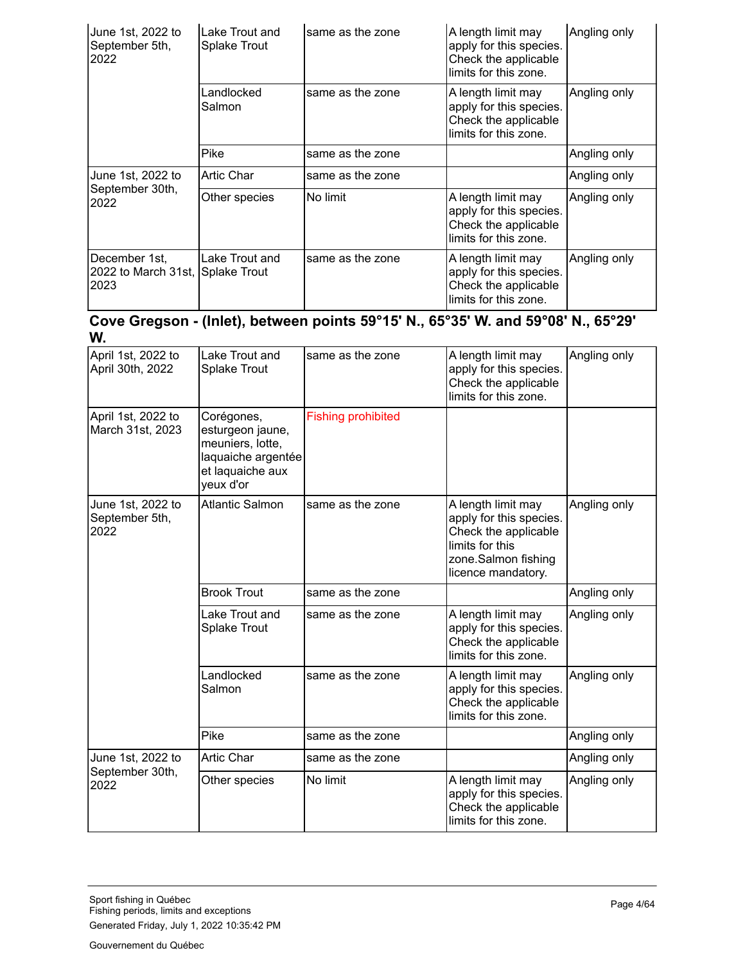| June 1st, 2022 to<br>September 5th,<br>2022  | Lake Trout and<br>Splake Trout | same as the zone | A length limit may<br>apply for this species.<br>Check the applicable<br>limits for this zone. | Angling only |
|----------------------------------------------|--------------------------------|------------------|------------------------------------------------------------------------------------------------|--------------|
|                                              | Landlocked<br>Salmon           | same as the zone | A length limit may<br>apply for this species.<br>Check the applicable<br>limits for this zone. | Angling only |
|                                              | Pike                           | same as the zone |                                                                                                | Angling only |
| June 1st, 2022 to<br>September 30th,<br>2022 | <b>Artic Char</b>              | same as the zone |                                                                                                | Angling only |
|                                              | Other species                  | No limit         | A length limit may<br>apply for this species.<br>Check the applicable<br>limits for this zone. | Angling only |
| December 1st,<br>2022 to March 31st,<br>2023 | Lake Trout and<br>Splake Trout | same as the zone | A length limit may<br>apply for this species.<br>Check the applicable<br>limits for this zone. | Angling only |

#### **Cove Gregson - (Inlet), between points 59°15' N., 65°35' W. and 59°08' N., 65°29' W.**

| April 1st, 2022 to<br>April 30th, 2022       | Lake Trout and<br><b>Splake Trout</b>                                                                     | same as the zone          | A length limit may<br>apply for this species.<br>Check the applicable<br>limits for this zone.                                        | Angling only |
|----------------------------------------------|-----------------------------------------------------------------------------------------------------------|---------------------------|---------------------------------------------------------------------------------------------------------------------------------------|--------------|
| April 1st, 2022 to<br>March 31st, 2023       | Corégones,<br>esturgeon jaune,<br>meuniers, lotte,<br>laquaiche argentée<br>et laquaiche aux<br>yeux d'or | <b>Fishing prohibited</b> |                                                                                                                                       |              |
| June 1st, 2022 to<br>September 5th,<br>2022  | <b>Atlantic Salmon</b>                                                                                    | same as the zone          | A length limit may<br>apply for this species.<br>Check the applicable<br>limits for this<br>zone.Salmon fishing<br>licence mandatory. | Angling only |
|                                              | <b>Brook Trout</b>                                                                                        | same as the zone          |                                                                                                                                       | Angling only |
|                                              | Lake Trout and<br><b>Splake Trout</b>                                                                     | same as the zone          | A length limit may<br>apply for this species.<br>Check the applicable<br>limits for this zone.                                        | Angling only |
|                                              | Landlocked<br>Salmon                                                                                      | same as the zone          | A length limit may<br>apply for this species.<br>Check the applicable<br>limits for this zone.                                        | Angling only |
|                                              | Pike                                                                                                      | same as the zone          |                                                                                                                                       | Angling only |
| June 1st, 2022 to<br>September 30th,<br>2022 | <b>Artic Char</b>                                                                                         | same as the zone          |                                                                                                                                       | Angling only |
|                                              | Other species                                                                                             | No limit                  | A length limit may<br>apply for this species.<br>Check the applicable<br>limits for this zone.                                        | Angling only |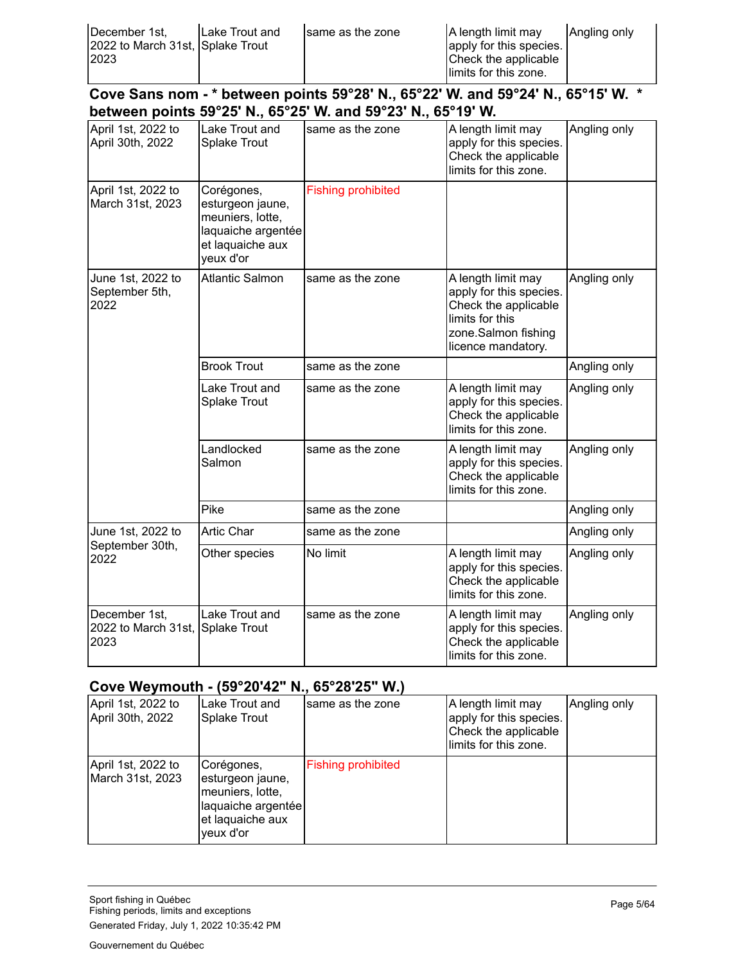| December 1st.                    | Lake Trout and | Isame as the zone | A length limit may      | Angling only |
|----------------------------------|----------------|-------------------|-------------------------|--------------|
| 2022 to March 31st, Splake Trout |                |                   | apply for this species. |              |
| 2023                             |                |                   | Check the applicable    |              |
|                                  |                |                   | llimits for this zone.  |              |

**Cove Sans nom - \* between points 59°28' N., 65°22' W. and 59°24' N., 65°15' W. \* between points 59°25' N., 65°25' W. and 59°23' N., 65°19' W.**

| April 1st, 2022 to<br>April 30th, 2022       | Lake Trout and<br><b>Splake Trout</b>                                                                     | same as the zone          | A length limit may<br>apply for this species.<br>Check the applicable<br>limits for this zone.                                        | Angling only |
|----------------------------------------------|-----------------------------------------------------------------------------------------------------------|---------------------------|---------------------------------------------------------------------------------------------------------------------------------------|--------------|
| April 1st, 2022 to<br>March 31st, 2023       | Corégones,<br>esturgeon jaune,<br>meuniers, lotte,<br>laquaiche argentée<br>et laquaiche aux<br>yeux d'or | <b>Fishing prohibited</b> |                                                                                                                                       |              |
| June 1st, 2022 to<br>September 5th,<br>2022  | <b>Atlantic Salmon</b>                                                                                    | same as the zone          | A length limit may<br>apply for this species.<br>Check the applicable<br>limits for this<br>zone.Salmon fishing<br>licence mandatory. | Angling only |
|                                              | <b>Brook Trout</b>                                                                                        | same as the zone          |                                                                                                                                       | Angling only |
|                                              | Lake Trout and<br><b>Splake Trout</b>                                                                     | same as the zone          | A length limit may<br>apply for this species.<br>Check the applicable<br>limits for this zone.                                        | Angling only |
|                                              | Landlocked<br>Salmon                                                                                      | same as the zone          | A length limit may<br>apply for this species.<br>Check the applicable<br>limits for this zone.                                        | Angling only |
|                                              | Pike                                                                                                      | same as the zone          |                                                                                                                                       | Angling only |
| June 1st, 2022 to<br>September 30th,<br>2022 | <b>Artic Char</b>                                                                                         | same as the zone          |                                                                                                                                       | Angling only |
|                                              | Other species                                                                                             | No limit                  | A length limit may<br>apply for this species.<br>Check the applicable<br>limits for this zone.                                        | Angling only |
| December 1st,<br>2022 to March 31st,<br>2023 | Lake Trout and<br><b>Splake Trout</b>                                                                     | same as the zone          | A length limit may<br>apply for this species.<br>Check the applicable<br>limits for this zone.                                        | Angling only |

### **Cove Weymouth - (59°20'42" N., 65°28'25" W.)**

| April 1st, 2022 to<br>April 30th, 2022 | Lake Trout and<br><b>Splake Trout</b>                                                                     | same as the zone          | A length limit may<br>apply for this species.<br>Check the applicable<br>llimits for this zone. | Angling only |
|----------------------------------------|-----------------------------------------------------------------------------------------------------------|---------------------------|-------------------------------------------------------------------------------------------------|--------------|
| April 1st, 2022 to<br>March 31st, 2023 | Corégones,<br>esturgeon jaune,<br>meuniers, lotte,<br>laquaiche argentée<br>et laquaiche aux<br>yeux d'or | <b>Fishing prohibited</b> |                                                                                                 |              |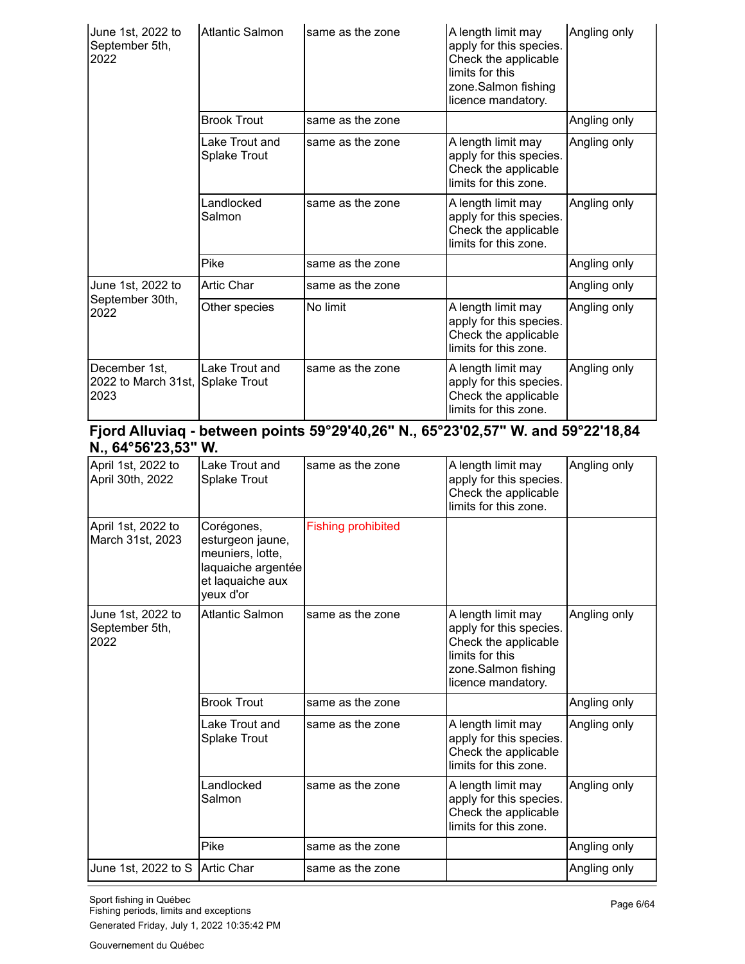| June 1st, 2022 to<br>September 5th,<br>2022  | Atlantic Salmon                | same as the zone | A length limit may<br>apply for this species.<br>Check the applicable<br>limits for this<br>zone.Salmon fishing<br>licence mandatory. | Angling only |
|----------------------------------------------|--------------------------------|------------------|---------------------------------------------------------------------------------------------------------------------------------------|--------------|
|                                              | <b>Brook Trout</b>             | same as the zone |                                                                                                                                       | Angling only |
|                                              | Lake Trout and<br>Splake Trout | same as the zone | A length limit may<br>apply for this species.<br>Check the applicable<br>limits for this zone.                                        | Angling only |
|                                              | Landlocked<br>Salmon           | same as the zone | A length limit may<br>apply for this species.<br>Check the applicable<br>limits for this zone.                                        | Angling only |
|                                              | Pike                           | same as the zone |                                                                                                                                       | Angling only |
| June 1st, 2022 to<br>September 30th,<br>2022 | <b>Artic Char</b>              | same as the zone |                                                                                                                                       | Angling only |
|                                              | Other species                  | No limit         | A length limit may<br>apply for this species.<br>Check the applicable<br>limits for this zone.                                        | Angling only |
| December 1st,<br>2022 to March 31st,<br>2023 | Lake Trout and<br>Splake Trout | same as the zone | A length limit may<br>apply for this species.<br>Check the applicable<br>limits for this zone.                                        | Angling only |

#### **Fjord Alluviaq - between points 59°29'40,26" N., 65°23'02,57" W. and 59°22'18,84 N., 64°56'23,53" W.**

| April 1st, 2022 to<br>April 30th, 2022      | Lake Trout and<br><b>Splake Trout</b>                                                                     | same as the zone          | A length limit may<br>apply for this species.<br>Check the applicable<br>limits for this zone.                                        | Angling only |
|---------------------------------------------|-----------------------------------------------------------------------------------------------------------|---------------------------|---------------------------------------------------------------------------------------------------------------------------------------|--------------|
| April 1st, 2022 to<br>March 31st, 2023      | Corégones,<br>esturgeon jaune,<br>meuniers, lotte,<br>laquaiche argentée<br>et laquaiche aux<br>yeux d'or | <b>Fishing prohibited</b> |                                                                                                                                       |              |
| June 1st, 2022 to<br>September 5th,<br>2022 | <b>Atlantic Salmon</b>                                                                                    | same as the zone          | A length limit may<br>apply for this species.<br>Check the applicable<br>limits for this<br>zone.Salmon fishing<br>licence mandatory. | Angling only |
|                                             | <b>Brook Trout</b>                                                                                        | same as the zone          |                                                                                                                                       | Angling only |
|                                             | Lake Trout and<br><b>Splake Trout</b>                                                                     | same as the zone          | A length limit may<br>apply for this species.<br>Check the applicable<br>limits for this zone.                                        | Angling only |
|                                             | Landlocked<br>Salmon                                                                                      | same as the zone          | A length limit may<br>apply for this species.<br>Check the applicable<br>limits for this zone.                                        | Angling only |
|                                             | Pike                                                                                                      | same as the zone          |                                                                                                                                       | Angling only |
| June 1st, 2022 to S Artic Char              |                                                                                                           | same as the zone          |                                                                                                                                       | Angling only |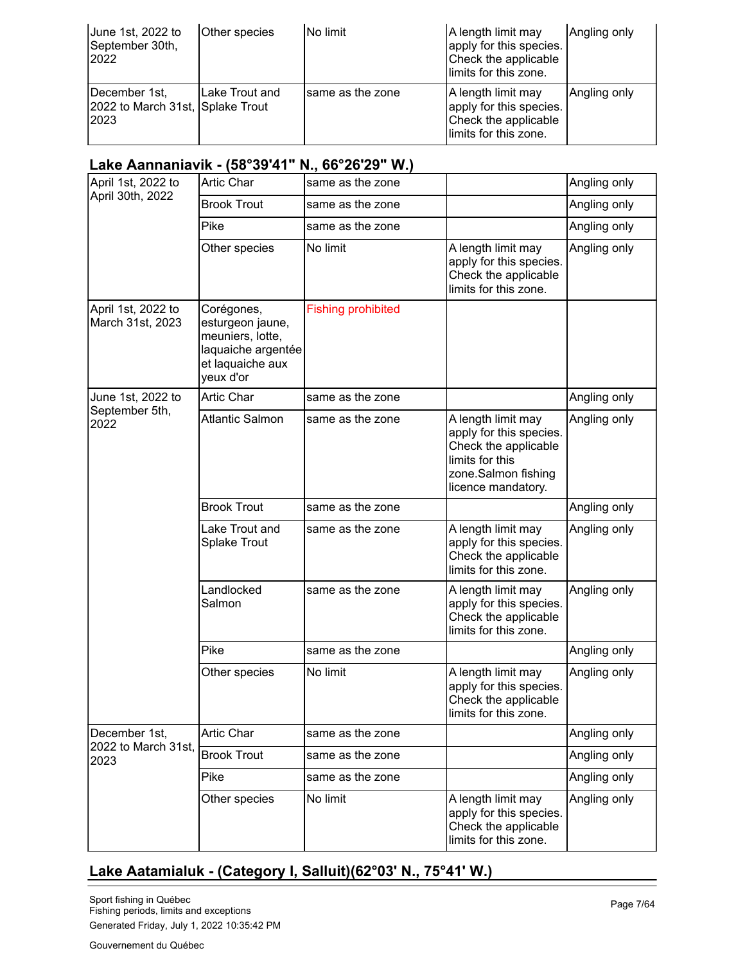| June 1st, 2022 to<br>September 30th,<br>2022              | Other species  | No limit          | A length limit may<br>apply for this species.<br>Check the applicable<br>limits for this zone. | Angling only |
|-----------------------------------------------------------|----------------|-------------------|------------------------------------------------------------------------------------------------|--------------|
| December 1st,<br>2022 to March 31st, Splake Trout<br>2023 | Lake Trout and | Isame as the zone | A length limit may<br>apply for this species.<br>Check the applicable<br>limits for this zone. | Angling only |

# **Lake Aannaniavik - (58°39'41" N., 66°26'29" W.)**

| April 1st, 2022 to                     | <b>Artic Char</b>                                                                                         | same as the zone          |                                                                                                                                       | Angling only |
|----------------------------------------|-----------------------------------------------------------------------------------------------------------|---------------------------|---------------------------------------------------------------------------------------------------------------------------------------|--------------|
| April 30th, 2022                       | <b>Brook Trout</b>                                                                                        | same as the zone          |                                                                                                                                       | Angling only |
|                                        | Pike                                                                                                      | same as the zone          |                                                                                                                                       | Angling only |
|                                        | Other species                                                                                             | No limit                  | A length limit may<br>apply for this species.<br>Check the applicable<br>limits for this zone.                                        | Angling only |
| April 1st, 2022 to<br>March 31st, 2023 | Corégones,<br>esturgeon jaune,<br>meuniers, lotte,<br>laquaiche argentée<br>et laquaiche aux<br>yeux d'or | <b>Fishing prohibited</b> |                                                                                                                                       |              |
| June 1st, 2022 to                      | <b>Artic Char</b>                                                                                         | same as the zone          |                                                                                                                                       | Angling only |
| September 5th,<br>2022                 | <b>Atlantic Salmon</b>                                                                                    | same as the zone          | A length limit may<br>apply for this species.<br>Check the applicable<br>limits for this<br>zone.Salmon fishing<br>licence mandatory. | Angling only |
|                                        | <b>Brook Trout</b>                                                                                        | same as the zone          |                                                                                                                                       | Angling only |
|                                        | Lake Trout and<br><b>Splake Trout</b>                                                                     | same as the zone          | A length limit may<br>apply for this species.<br>Check the applicable<br>limits for this zone.                                        | Angling only |
|                                        | Landlocked<br>Salmon                                                                                      | same as the zone          | A length limit may<br>apply for this species.<br>Check the applicable<br>limits for this zone.                                        | Angling only |
|                                        | Pike                                                                                                      | same as the zone          |                                                                                                                                       | Angling only |
|                                        | Other species                                                                                             | No limit                  | A length limit may<br>apply for this species.<br>Check the applicable<br>limits for this zone.                                        | Angling only |
| December 1st,                          | Artic Char                                                                                                | same as the zone          |                                                                                                                                       | Angling only |
| 2022 to March 31st,<br>2023            | <b>Brook Trout</b>                                                                                        | same as the zone          |                                                                                                                                       | Angling only |
|                                        | Pike                                                                                                      | same as the zone          |                                                                                                                                       | Angling only |
|                                        | Other species                                                                                             | No limit                  | A length limit may<br>apply for this species.<br>Check the applicable<br>limits for this zone.                                        | Angling only |

# **Lake Aatamialuk - (Category I, Salluit)(62°03' N., 75°41' W.)**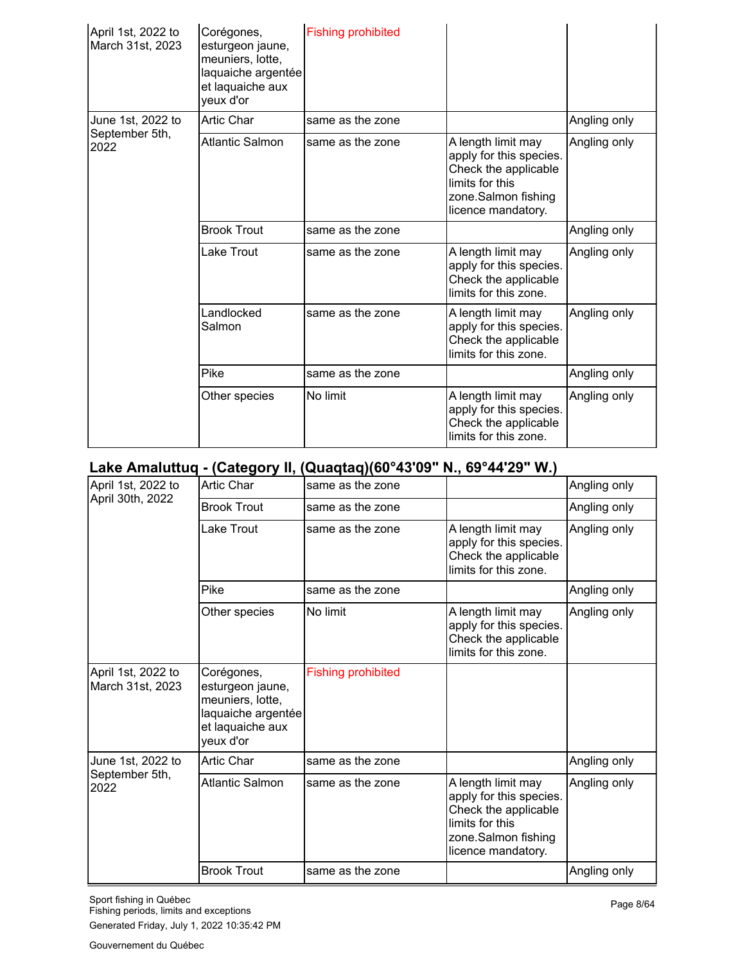| April 1st, 2022 to<br>March 31st, 2023 | Corégones,<br>esturgeon jaune,<br>meuniers, lotte,<br>laquaiche argentée<br>et laquaiche aux<br>yeux d'or | <b>Fishing prohibited</b> |                                                                                                                                       |              |
|----------------------------------------|-----------------------------------------------------------------------------------------------------------|---------------------------|---------------------------------------------------------------------------------------------------------------------------------------|--------------|
| June 1st, 2022 to                      | <b>Artic Char</b>                                                                                         | same as the zone          |                                                                                                                                       | Angling only |
| September 5th,<br>2022                 | <b>Atlantic Salmon</b>                                                                                    | same as the zone          | A length limit may<br>apply for this species.<br>Check the applicable<br>limits for this<br>zone.Salmon fishing<br>licence mandatory. | Angling only |
|                                        | <b>Brook Trout</b>                                                                                        | same as the zone          |                                                                                                                                       | Angling only |
|                                        | Lake Trout                                                                                                | same as the zone          | A length limit may<br>apply for this species.<br>Check the applicable<br>limits for this zone.                                        | Angling only |
|                                        | Landlocked<br>Salmon                                                                                      | same as the zone          | A length limit may<br>apply for this species.<br>Check the applicable<br>limits for this zone.                                        | Angling only |
|                                        | Pike                                                                                                      | same as the zone          |                                                                                                                                       | Angling only |
|                                        | Other species                                                                                             | No limit                  | A length limit may<br>apply for this species.<br>Check the applicable<br>limits for this zone.                                        | Angling only |

# **Lake Amaluttuq - (Category II, (Quaqtaq)(60°43'09" N., 69°44'29" W.)**

| April 1st, 2022 to                     | <b>Artic Char</b>                                                                                         | same as the zone          |                                                                                                                                       | Angling only |
|----------------------------------------|-----------------------------------------------------------------------------------------------------------|---------------------------|---------------------------------------------------------------------------------------------------------------------------------------|--------------|
| April 30th, 2022                       | <b>Brook Trout</b>                                                                                        | same as the zone          |                                                                                                                                       | Angling only |
|                                        | Lake Trout                                                                                                | same as the zone          | A length limit may<br>apply for this species.<br>Check the applicable<br>limits for this zone.                                        | Angling only |
|                                        | Pike                                                                                                      | same as the zone          |                                                                                                                                       | Angling only |
|                                        | Other species                                                                                             | No limit                  | A length limit may<br>apply for this species.<br>Check the applicable<br>limits for this zone.                                        | Angling only |
| April 1st, 2022 to<br>March 31st, 2023 | Corégones,<br>esturgeon jaune,<br>meuniers, lotte,<br>laquaiche argentée<br>et laquaiche aux<br>yeux d'or | <b>Fishing prohibited</b> |                                                                                                                                       |              |
| June 1st, 2022 to                      | <b>Artic Char</b>                                                                                         | same as the zone          |                                                                                                                                       | Angling only |
| September 5th,<br>2022                 | <b>Atlantic Salmon</b>                                                                                    | same as the zone          | A length limit may<br>apply for this species.<br>Check the applicable<br>limits for this<br>zone.Salmon fishing<br>licence mandatory. | Angling only |
|                                        | <b>Brook Trout</b>                                                                                        | same as the zone          |                                                                                                                                       | Angling only |

Gouvernement du Québec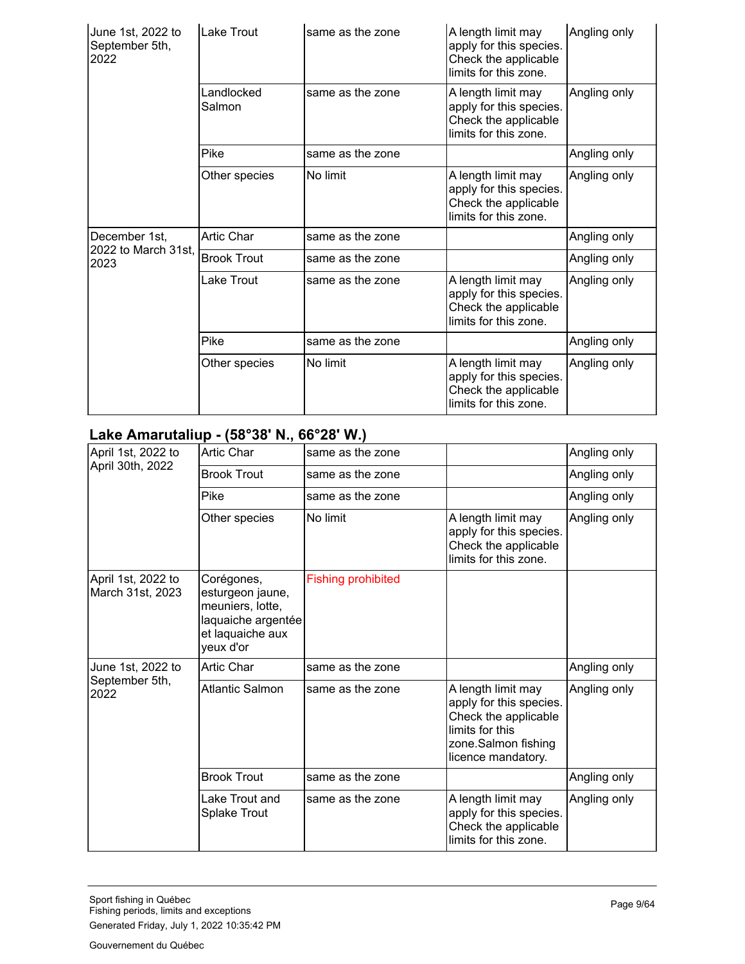| June 1st, 2022 to<br>September 5th,<br>2022 | Lake Trout           | same as the zone | A length limit may<br>apply for this species.<br>Check the applicable<br>limits for this zone. | Angling only |
|---------------------------------------------|----------------------|------------------|------------------------------------------------------------------------------------------------|--------------|
|                                             | Landlocked<br>Salmon | same as the zone | A length limit may<br>apply for this species.<br>Check the applicable<br>limits for this zone. | Angling only |
|                                             | Pike                 | same as the zone |                                                                                                | Angling only |
|                                             | Other species        | No limit         | A length limit may<br>apply for this species.<br>Check the applicable<br>limits for this zone. | Angling only |
| December 1st,                               | Artic Char           | same as the zone |                                                                                                | Angling only |
| 2022 to March 31st,<br>2023                 | <b>Brook Trout</b>   | same as the zone |                                                                                                | Angling only |
|                                             | Lake Trout           | same as the zone | A length limit may<br>apply for this species.<br>Check the applicable<br>limits for this zone. | Angling only |
|                                             | Pike                 | same as the zone |                                                                                                | Angling only |
|                                             | Other species        | No limit         | A length limit may<br>apply for this species.<br>Check the applicable<br>limits for this zone. | Angling only |

# **Lake Amarutaliup - (58°38' N., 66°28' W.)**

| April 1st, 2022 to                     | <b>Artic Char</b>                                                                                         | same as the zone          |                                                                                                                                       | Angling only |
|----------------------------------------|-----------------------------------------------------------------------------------------------------------|---------------------------|---------------------------------------------------------------------------------------------------------------------------------------|--------------|
| April 30th, 2022                       | <b>Brook Trout</b>                                                                                        | same as the zone          |                                                                                                                                       | Angling only |
|                                        | Pike                                                                                                      | same as the zone          |                                                                                                                                       | Angling only |
|                                        | Other species                                                                                             | No limit                  | A length limit may<br>apply for this species.<br>Check the applicable<br>limits for this zone.                                        | Angling only |
| April 1st, 2022 to<br>March 31st, 2023 | Corégones,<br>esturgeon jaune,<br>meuniers, lotte,<br>laquaiche argentée<br>et laquaiche aux<br>yeux d'or | <b>Fishing prohibited</b> |                                                                                                                                       |              |
| June 1st, 2022 to                      | <b>Artic Char</b>                                                                                         | same as the zone          |                                                                                                                                       | Angling only |
| September 5th,<br>2022                 | <b>Atlantic Salmon</b>                                                                                    | same as the zone          | A length limit may<br>apply for this species.<br>Check the applicable<br>limits for this<br>zone.Salmon fishing<br>licence mandatory. | Angling only |
|                                        | <b>Brook Trout</b>                                                                                        | same as the zone          |                                                                                                                                       | Angling only |
|                                        | Lake Trout and<br><b>Splake Trout</b>                                                                     | same as the zone          | A length limit may<br>apply for this species.<br>Check the applicable<br>limits for this zone.                                        | Angling only |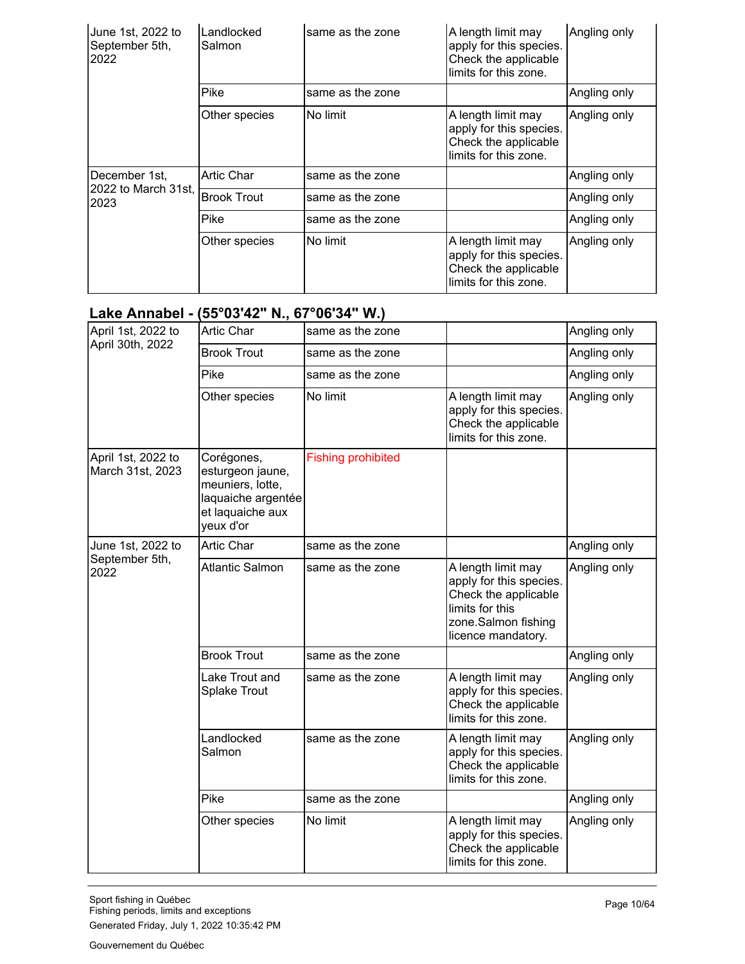| June 1st, 2022 to<br>September 5th,<br>2022 | Landlocked<br>Salmon | same as the zone | A length limit may<br>apply for this species.<br>Check the applicable<br>limits for this zone. | Angling only |
|---------------------------------------------|----------------------|------------------|------------------------------------------------------------------------------------------------|--------------|
|                                             | Pike                 | same as the zone |                                                                                                | Angling only |
|                                             | Other species        | No limit         | A length limit may<br>apply for this species.<br>Check the applicable<br>limits for this zone. | Angling only |
| December 1st,                               | <b>Artic Char</b>    | same as the zone |                                                                                                | Angling only |
| 2022 to March 31st,<br>2023                 | <b>Brook Trout</b>   | same as the zone |                                                                                                | Angling only |
|                                             | Pike                 | same as the zone |                                                                                                | Angling only |
|                                             | Other species        | No limit         | A length limit may<br>apply for this species.<br>Check the applicable<br>limits for this zone. | Angling only |

# **Lake Annabel - (55°03'42" N., 67°06'34" W.)**

|                                        | ,                                                                                                         |                           |                                                                                                                                       |              |
|----------------------------------------|-----------------------------------------------------------------------------------------------------------|---------------------------|---------------------------------------------------------------------------------------------------------------------------------------|--------------|
| April 1st, 2022 to                     | Artic Char                                                                                                | same as the zone          |                                                                                                                                       | Angling only |
| April 30th, 2022                       | <b>Brook Trout</b>                                                                                        | same as the zone          |                                                                                                                                       | Angling only |
|                                        | Pike                                                                                                      | same as the zone          |                                                                                                                                       | Angling only |
|                                        | Other species                                                                                             | No limit                  | A length limit may<br>apply for this species.<br>Check the applicable<br>limits for this zone.                                        | Angling only |
| April 1st, 2022 to<br>March 31st, 2023 | Corégones,<br>esturgeon jaune,<br>meuniers, lotte,<br>laquaiche argentée<br>et laquaiche aux<br>yeux d'or | <b>Fishing prohibited</b> |                                                                                                                                       |              |
| June 1st, 2022 to                      | <b>Artic Char</b>                                                                                         | same as the zone          |                                                                                                                                       | Angling only |
| September 5th,<br>2022                 | <b>Atlantic Salmon</b>                                                                                    | same as the zone          | A length limit may<br>apply for this species.<br>Check the applicable<br>limits for this<br>zone.Salmon fishing<br>licence mandatory. | Angling only |
|                                        | <b>Brook Trout</b>                                                                                        | same as the zone          |                                                                                                                                       | Angling only |
|                                        | Lake Trout and<br><b>Splake Trout</b>                                                                     | same as the zone          | A length limit may<br>apply for this species.<br>Check the applicable<br>limits for this zone.                                        | Angling only |
|                                        | Landlocked<br>Salmon                                                                                      | same as the zone          | A length limit may<br>apply for this species.<br>Check the applicable<br>limits for this zone.                                        | Angling only |
|                                        | Pike                                                                                                      | same as the zone          |                                                                                                                                       | Angling only |
|                                        | Other species                                                                                             | No limit                  | A length limit may<br>apply for this species.<br>Check the applicable<br>limits for this zone.                                        | Angling only |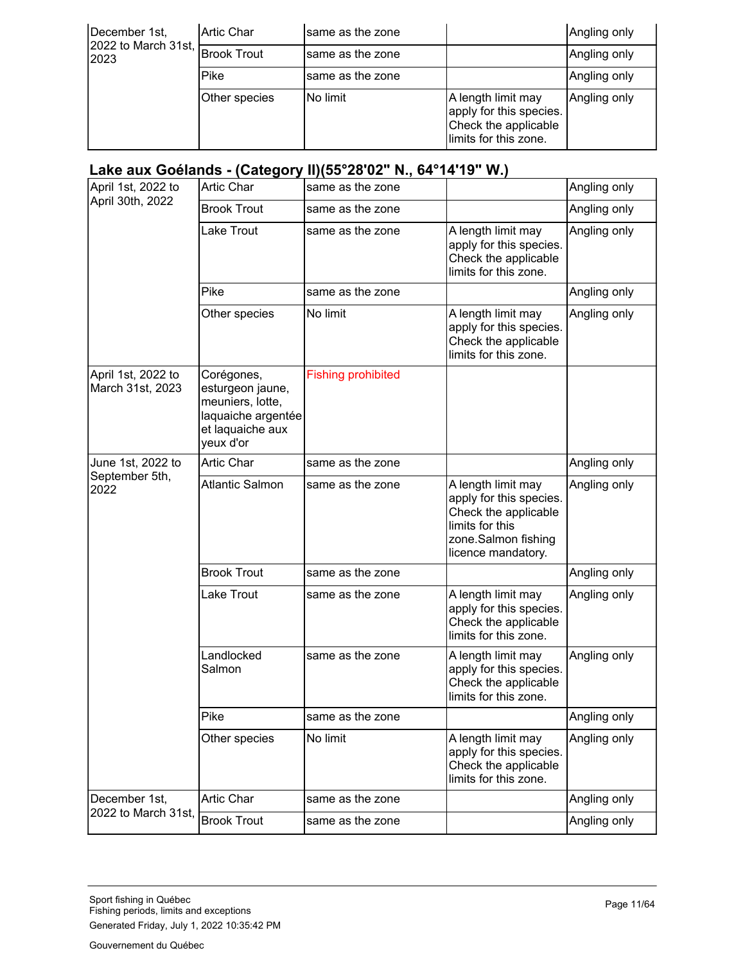| December 1st,<br>2022 to March 31st, $\frac{1}{2}$<br>2023 | Artic Char         | Isame as the zone |                                                                                                | Angling only |
|------------------------------------------------------------|--------------------|-------------------|------------------------------------------------------------------------------------------------|--------------|
|                                                            | <b>Brook Trout</b> | Isame as the zone |                                                                                                | Angling only |
|                                                            | Pike               | same as the zone  |                                                                                                | Angling only |
|                                                            | Other species      | <b>No limit</b>   | A length limit may<br>apply for this species.<br>Check the applicable<br>limits for this zone. | Angling only |

# **Lake aux Goélands - (Category II)(55°28'02" N., 64°14'19" W.)**

| April 1st, 2022 to                     | Artic Char                                                                                                | same as the zone          |                                                                                                                                       | Angling only |
|----------------------------------------|-----------------------------------------------------------------------------------------------------------|---------------------------|---------------------------------------------------------------------------------------------------------------------------------------|--------------|
| April 30th, 2022                       | <b>Brook Trout</b>                                                                                        | same as the zone          |                                                                                                                                       | Angling only |
|                                        | Lake Trout                                                                                                | same as the zone          | A length limit may<br>apply for this species.<br>Check the applicable<br>limits for this zone.                                        | Angling only |
|                                        | Pike                                                                                                      | same as the zone          |                                                                                                                                       | Angling only |
|                                        | Other species                                                                                             | No limit                  | A length limit may<br>apply for this species.<br>Check the applicable<br>limits for this zone.                                        | Angling only |
| April 1st, 2022 to<br>March 31st, 2023 | Corégones,<br>esturgeon jaune,<br>meuniers, lotte,<br>laquaiche argentée<br>et laquaiche aux<br>yeux d'or | <b>Fishing prohibited</b> |                                                                                                                                       |              |
| June 1st, 2022 to                      | <b>Artic Char</b>                                                                                         | same as the zone          |                                                                                                                                       | Angling only |
| September 5th,<br>2022                 | <b>Atlantic Salmon</b>                                                                                    | same as the zone          | A length limit may<br>apply for this species.<br>Check the applicable<br>limits for this<br>zone.Salmon fishing<br>licence mandatory. | Angling only |
|                                        | <b>Brook Trout</b>                                                                                        | same as the zone          |                                                                                                                                       | Angling only |
|                                        | Lake Trout                                                                                                | same as the zone          | A length limit may<br>apply for this species.<br>Check the applicable<br>limits for this zone.                                        | Angling only |
|                                        | Landlocked<br>Salmon                                                                                      | same as the zone          | A length limit may<br>apply for this species.<br>Check the applicable<br>limits for this zone.                                        | Angling only |
|                                        | Pike                                                                                                      | same as the zone          |                                                                                                                                       | Angling only |
|                                        | Other species                                                                                             | No limit                  | A length limit may<br>apply for this species.<br>Check the applicable<br>limits for this zone.                                        | Angling only |
| December 1st,                          | <b>Artic Char</b>                                                                                         | same as the zone          |                                                                                                                                       | Angling only |
| 2022 to March 31st,                    | <b>Brook Trout</b>                                                                                        | same as the zone          |                                                                                                                                       | Angling only |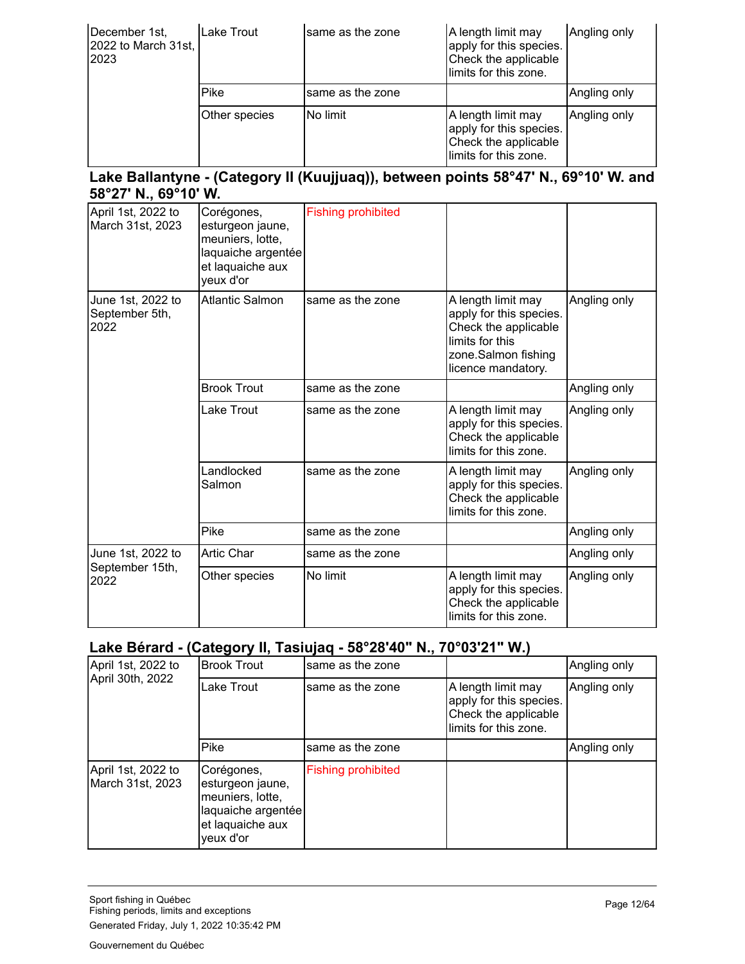| December 1st,<br>2022 to March 31st,<br>2023 | Lake Trout    | same as the zone | A length limit may<br>apply for this species.<br>Check the applicable<br>llimits for this zone. | Angling only |
|----------------------------------------------|---------------|------------------|-------------------------------------------------------------------------------------------------|--------------|
|                                              | Pike          | same as the zone |                                                                                                 | Angling only |
|                                              | Other species | No limit         | A length limit may<br>apply for this species.<br>Check the applicable<br>limits for this zone.  | Angling only |

#### **Lake Ballantyne - (Category II (Kuujjuaq)), between points 58°47' N., 69°10' W. and 58°27' N., 69°10' W.**

| April 1st, 2022 to<br>March 31st, 2023       | Corégones,<br>esturgeon jaune,<br>meuniers, lotte,<br>laquaiche argentée<br>et laquaiche aux<br>yeux d'or | <b>Fishing prohibited</b> |                                                                                                                                       |              |
|----------------------------------------------|-----------------------------------------------------------------------------------------------------------|---------------------------|---------------------------------------------------------------------------------------------------------------------------------------|--------------|
| June 1st, 2022 to<br>September 5th,<br>2022  | <b>Atlantic Salmon</b>                                                                                    | same as the zone          | A length limit may<br>apply for this species.<br>Check the applicable<br>limits for this<br>zone.Salmon fishing<br>licence mandatory. | Angling only |
|                                              | <b>Brook Trout</b>                                                                                        | same as the zone          |                                                                                                                                       | Angling only |
|                                              | Lake Trout                                                                                                | same as the zone          | A length limit may<br>apply for this species.<br>Check the applicable<br>limits for this zone.                                        | Angling only |
|                                              | Landlocked<br>Salmon                                                                                      | same as the zone          | A length limit may<br>apply for this species.<br>Check the applicable<br>limits for this zone.                                        | Angling only |
|                                              | Pike                                                                                                      | same as the zone          |                                                                                                                                       | Angling only |
| June 1st, 2022 to<br>September 15th,<br>2022 | <b>Artic Char</b>                                                                                         | same as the zone          |                                                                                                                                       | Angling only |
|                                              | Other species                                                                                             | No limit                  | A length limit may<br>apply for this species.<br>Check the applicable<br>limits for this zone.                                        | Angling only |

## **Lake Bérard - (Category II, Tasiujaq - 58°28'40" N., 70°03'21" W.)**

| April 1st, 2022 to<br>April 30th, 2022 | <b>Brook Trout</b>                                                                                        | same as the zone          |                                                                                                | Angling only |
|----------------------------------------|-----------------------------------------------------------------------------------------------------------|---------------------------|------------------------------------------------------------------------------------------------|--------------|
|                                        | Lake Trout                                                                                                | same as the zone          | A length limit may<br>apply for this species.<br>Check the applicable<br>limits for this zone. | Angling only |
|                                        | Pike                                                                                                      | same as the zone          |                                                                                                | Angling only |
| April 1st, 2022 to<br>March 31st, 2023 | Corégones,<br>esturgeon jaune,<br>meuniers, lotte,<br>laquaiche argentée<br>et laquaiche aux<br>yeux d'or | <b>Fishing prohibited</b> |                                                                                                |              |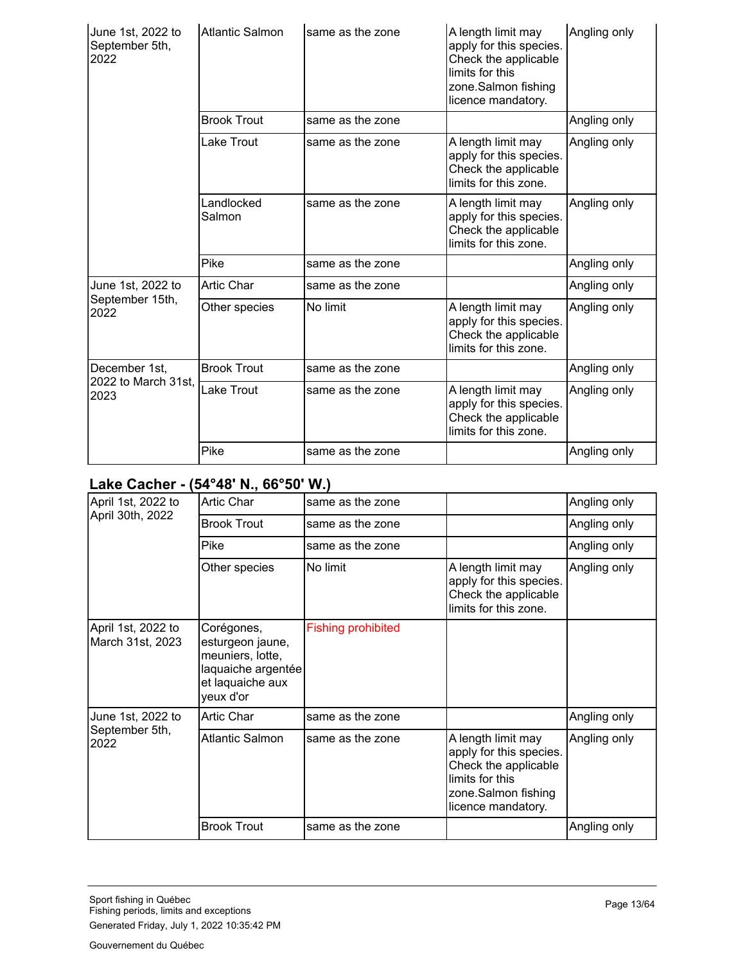| June 1st, 2022 to<br>September 5th,<br>2022 | <b>Atlantic Salmon</b> | same as the zone | A length limit may<br>apply for this species.<br>Check the applicable<br>limits for this<br>zone.Salmon fishing<br>licence mandatory. | Angling only |
|---------------------------------------------|------------------------|------------------|---------------------------------------------------------------------------------------------------------------------------------------|--------------|
|                                             | <b>Brook Trout</b>     | same as the zone |                                                                                                                                       | Angling only |
|                                             | Lake Trout             | same as the zone | A length limit may<br>apply for this species.<br>Check the applicable<br>limits for this zone.                                        | Angling only |
|                                             | Landlocked<br>Salmon   | same as the zone | A length limit may<br>apply for this species.<br>Check the applicable<br>limits for this zone.                                        | Angling only |
|                                             | Pike                   | same as the zone |                                                                                                                                       | Angling only |
| June 1st, 2022 to                           | <b>Artic Char</b>      | same as the zone |                                                                                                                                       | Angling only |
| September 15th,<br>2022                     | Other species          | No limit         | A length limit may<br>apply for this species.<br>Check the applicable<br>limits for this zone.                                        | Angling only |
| December 1st,                               | <b>Brook Trout</b>     | same as the zone |                                                                                                                                       | Angling only |
| 2022 to March 31st,<br>2023                 | Lake Trout             | same as the zone | A length limit may<br>apply for this species.<br>Check the applicable<br>limits for this zone.                                        | Angling only |
|                                             | Pike                   | same as the zone |                                                                                                                                       | Angling only |

# **Lake Cacher - (54°48' N., 66°50' W.)**

| April 1st, 2022 to                     | <b>Artic Char</b>                                                                                         | same as the zone          |                                                                                                                                       | Angling only |
|----------------------------------------|-----------------------------------------------------------------------------------------------------------|---------------------------|---------------------------------------------------------------------------------------------------------------------------------------|--------------|
| April 30th, 2022                       | <b>Brook Trout</b>                                                                                        | same as the zone          |                                                                                                                                       | Angling only |
|                                        | Pike                                                                                                      | same as the zone          |                                                                                                                                       | Angling only |
|                                        | Other species                                                                                             | No limit                  | A length limit may<br>apply for this species.<br>Check the applicable<br>limits for this zone.                                        | Angling only |
| April 1st, 2022 to<br>March 31st, 2023 | Corégones,<br>esturgeon jaune,<br>meuniers, lotte,<br>laquaiche argentée<br>et laquaiche aux<br>yeux d'or | <b>Fishing prohibited</b> |                                                                                                                                       |              |
| June 1st, 2022 to                      | <b>Artic Char</b>                                                                                         | same as the zone          |                                                                                                                                       | Angling only |
| September 5th,<br>2022                 | Atlantic Salmon                                                                                           | same as the zone          | A length limit may<br>apply for this species.<br>Check the applicable<br>limits for this<br>zone.Salmon fishing<br>licence mandatory. | Angling only |
|                                        | <b>Brook Trout</b>                                                                                        | same as the zone          |                                                                                                                                       | Angling only |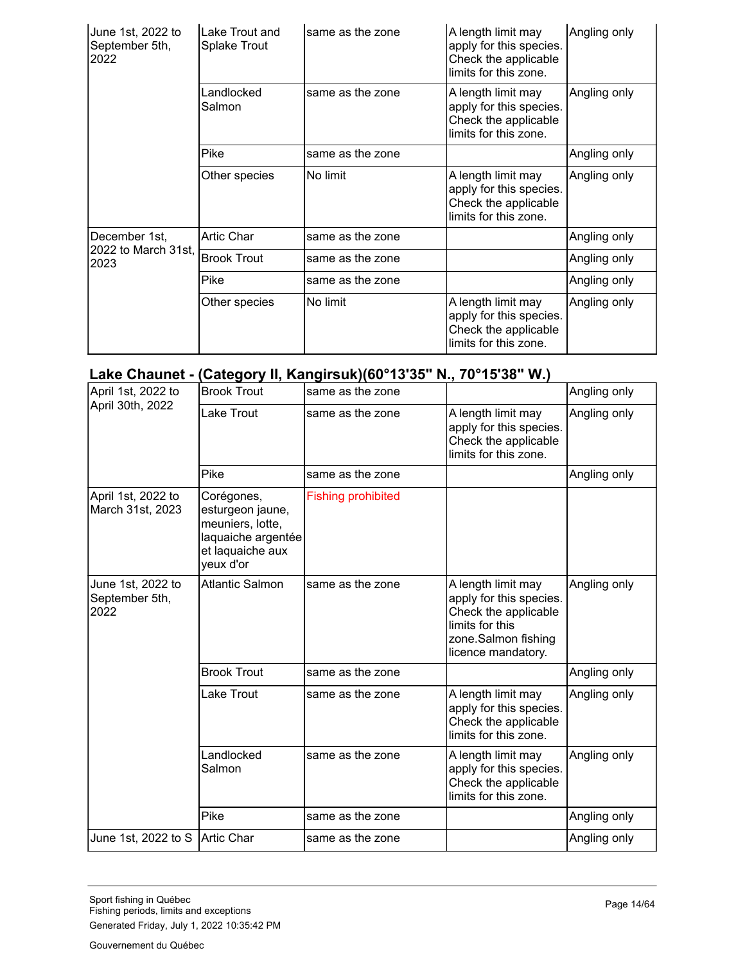| June 1st, 2022 to<br>September 5th,<br>2022 | Lake Trout and<br><b>Splake Trout</b> | same as the zone | A length limit may<br>apply for this species.<br>Check the applicable<br>limits for this zone. | Angling only |
|---------------------------------------------|---------------------------------------|------------------|------------------------------------------------------------------------------------------------|--------------|
|                                             | Landlocked<br>Salmon                  | same as the zone | A length limit may<br>apply for this species.<br>Check the applicable<br>limits for this zone. | Angling only |
|                                             | Pike                                  | same as the zone |                                                                                                | Angling only |
|                                             | Other species                         | No limit         | A length limit may<br>apply for this species.<br>Check the applicable<br>limits for this zone. | Angling only |
| December 1st,                               | <b>Artic Char</b>                     | same as the zone |                                                                                                | Angling only |
| 2022 to March 31st,<br>2023                 | <b>Brook Trout</b>                    | same as the zone |                                                                                                | Angling only |
|                                             | Pike                                  | same as the zone |                                                                                                | Angling only |
|                                             | Other species                         | No limit         | A length limit may<br>apply for this species.<br>Check the applicable<br>limits for this zone. | Angling only |

# **Lake Chaunet - (Category II, Kangirsuk)(60°13'35" N., 70°15'38" W.)**

| April 1st, 2022 to                          | <b>Brook Trout</b>                                                                                        | same as the zone          |                                                                                                                                       | Angling only |
|---------------------------------------------|-----------------------------------------------------------------------------------------------------------|---------------------------|---------------------------------------------------------------------------------------------------------------------------------------|--------------|
| April 30th, 2022                            | Lake Trout                                                                                                | same as the zone          | A length limit may<br>apply for this species.<br>Check the applicable<br>limits for this zone.                                        | Angling only |
|                                             | Pike                                                                                                      | same as the zone          |                                                                                                                                       | Angling only |
| April 1st, 2022 to<br>March 31st, 2023      | Corégones,<br>esturgeon jaune,<br>meuniers, lotte,<br>laquaiche argentée<br>et laquaiche aux<br>yeux d'or | <b>Fishing prohibited</b> |                                                                                                                                       |              |
| June 1st, 2022 to<br>September 5th,<br>2022 | <b>Atlantic Salmon</b>                                                                                    | same as the zone          | A length limit may<br>apply for this species.<br>Check the applicable<br>limits for this<br>zone.Salmon fishing<br>licence mandatory. | Angling only |
|                                             | <b>Brook Trout</b>                                                                                        | same as the zone          |                                                                                                                                       | Angling only |
|                                             | Lake Trout                                                                                                | same as the zone          | A length limit may<br>apply for this species.<br>Check the applicable<br>limits for this zone.                                        | Angling only |
|                                             | Landlocked<br>Salmon                                                                                      | same as the zone          | A length limit may<br>apply for this species.<br>Check the applicable<br>limits for this zone.                                        | Angling only |
|                                             | Pike                                                                                                      | same as the zone          |                                                                                                                                       | Angling only |
| June 1st, 2022 to S   Artic Char            |                                                                                                           | same as the zone          |                                                                                                                                       | Angling only |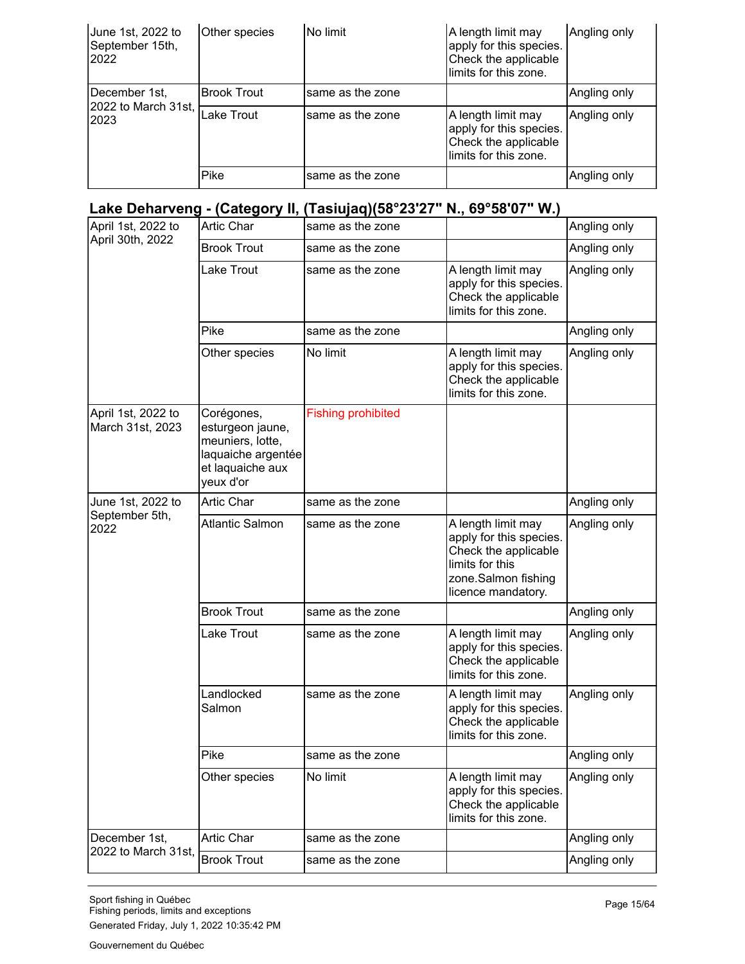| June 1st, 2022 to<br>September 15th,<br>2022    | Other species      | No limit         | A length limit may<br>apply for this species.<br>Check the applicable<br>limits for this zone. | Angling only |
|-------------------------------------------------|--------------------|------------------|------------------------------------------------------------------------------------------------|--------------|
| December 1st.<br>$ 2022$ to March 31st,<br>2023 | <b>Brook Trout</b> | same as the zone |                                                                                                | Angling only |
|                                                 | Lake Trout         | same as the zone | A length limit may<br>apply for this species.<br>Check the applicable<br>limits for this zone. | Angling only |
|                                                 | Pike               | same as the zone |                                                                                                | Angling only |

### **Lake Deharveng - (Category II, (Tasiujaq)(58°23'27" N., 69°58'07" W.)**

| April 1st, 2022 to                     | <b>Artic Char</b>                                                                                         | same as the zone          |                                                                                                                                       | Angling only |
|----------------------------------------|-----------------------------------------------------------------------------------------------------------|---------------------------|---------------------------------------------------------------------------------------------------------------------------------------|--------------|
| April 30th, 2022                       | <b>Brook Trout</b>                                                                                        | same as the zone          |                                                                                                                                       | Angling only |
|                                        | Lake Trout                                                                                                | same as the zone          | A length limit may<br>apply for this species.<br>Check the applicable<br>limits for this zone.                                        | Angling only |
|                                        | Pike                                                                                                      | same as the zone          |                                                                                                                                       | Angling only |
|                                        | Other species                                                                                             | No limit                  | A length limit may<br>apply for this species.<br>Check the applicable<br>limits for this zone.                                        | Angling only |
| April 1st, 2022 to<br>March 31st, 2023 | Corégones,<br>esturgeon jaune,<br>meuniers, lotte,<br>laquaiche argentée<br>et laquaiche aux<br>yeux d'or | <b>Fishing prohibited</b> |                                                                                                                                       |              |
| June 1st, 2022 to                      | <b>Artic Char</b>                                                                                         | same as the zone          |                                                                                                                                       | Angling only |
| September 5th,<br>2022                 | <b>Atlantic Salmon</b>                                                                                    | same as the zone          | A length limit may<br>apply for this species.<br>Check the applicable<br>limits for this<br>zone.Salmon fishing<br>licence mandatory. | Angling only |
|                                        | <b>Brook Trout</b>                                                                                        | same as the zone          |                                                                                                                                       | Angling only |
|                                        | Lake Trout                                                                                                | same as the zone          | A length limit may<br>apply for this species.<br>Check the applicable<br>limits for this zone.                                        | Angling only |
|                                        | Landlocked<br>Salmon                                                                                      | same as the zone          | A length limit may<br>apply for this species.<br>Check the applicable<br>limits for this zone.                                        | Angling only |
|                                        | Pike                                                                                                      | same as the zone          |                                                                                                                                       | Angling only |
|                                        | Other species                                                                                             | No limit                  | A length limit may<br>apply for this species.<br>Check the applicable<br>limits for this zone.                                        | Angling only |
| December 1st,                          | <b>Artic Char</b>                                                                                         | same as the zone          |                                                                                                                                       | Angling only |
| 2022 to March 31st,                    | <b>Brook Trout</b>                                                                                        | same as the zone          |                                                                                                                                       | Angling only |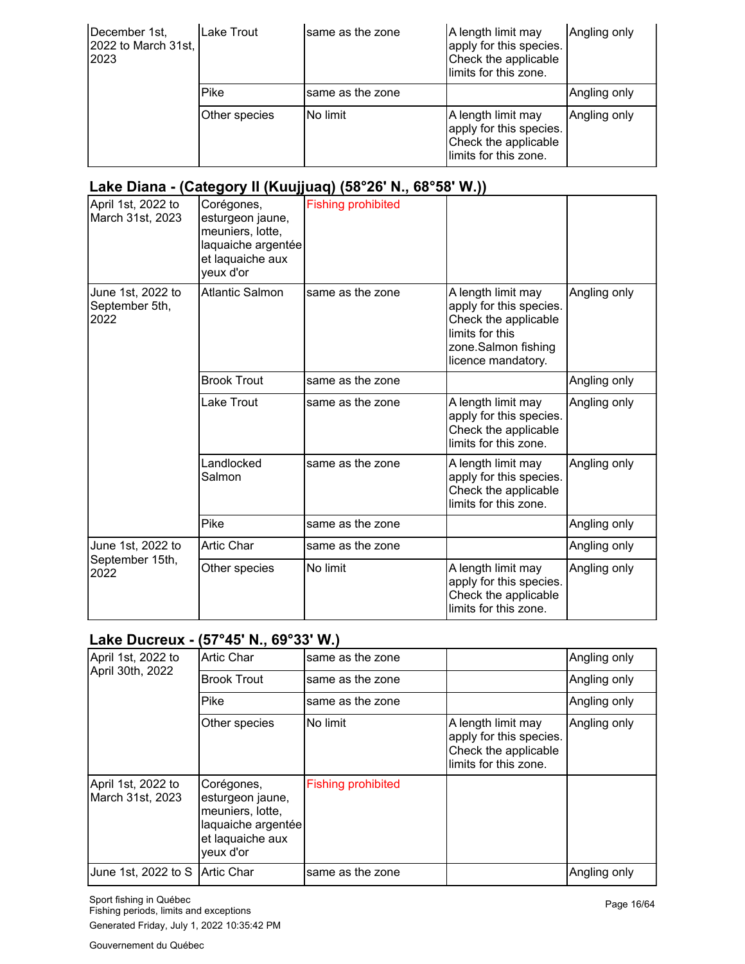| December 1st,<br>2022 to March 31st,<br>2023 | Lake Trout    | same as the zone | A length limit may<br>apply for this species.<br>Check the applicable<br>limits for this zone. | Angling only |
|----------------------------------------------|---------------|------------------|------------------------------------------------------------------------------------------------|--------------|
|                                              | Pike          | same as the zone |                                                                                                | Angling only |
|                                              | Other species | No limit         | A length limit may<br>apply for this species.<br>Check the applicable<br>limits for this zone. | Angling only |

# **Lake Diana - (Category II (Kuujjuaq) (58°26' N., 68°58' W.))**

| April 1st, 2022 to<br>March 31st, 2023      | Corégones,<br>esturgeon jaune,<br>meuniers, lotte,<br>laquaiche argentée<br>et laquaiche aux<br>yeux d'or | <b>Fishing prohibited</b> |                                                                                                                                       |              |
|---------------------------------------------|-----------------------------------------------------------------------------------------------------------|---------------------------|---------------------------------------------------------------------------------------------------------------------------------------|--------------|
| June 1st, 2022 to<br>September 5th,<br>2022 | <b>Atlantic Salmon</b>                                                                                    | same as the zone          | A length limit may<br>apply for this species.<br>Check the applicable<br>limits for this<br>zone.Salmon fishing<br>licence mandatory. | Angling only |
|                                             | <b>Brook Trout</b>                                                                                        | same as the zone          |                                                                                                                                       | Angling only |
|                                             | Lake Trout                                                                                                | same as the zone          | A length limit may<br>apply for this species.<br>Check the applicable<br>limits for this zone.                                        | Angling only |
|                                             | Landlocked<br>Salmon                                                                                      | same as the zone          | A length limit may<br>apply for this species.<br>Check the applicable<br>limits for this zone.                                        | Angling only |
|                                             | Pike                                                                                                      | same as the zone          |                                                                                                                                       | Angling only |
| June 1st, 2022 to                           | <b>Artic Char</b>                                                                                         | same as the zone          |                                                                                                                                       | Angling only |
| September 15th,<br>2022                     | Other species                                                                                             | No limit                  | A length limit may<br>apply for this species.<br>Check the applicable<br>limits for this zone.                                        | Angling only |

#### **Lake Ducreux - (57°45' N., 69°33' W.)**

| April 1st, 2022 to                     | <b>Artic Char</b>                                                                                         | same as the zone          |                                                                                                | Angling only |
|----------------------------------------|-----------------------------------------------------------------------------------------------------------|---------------------------|------------------------------------------------------------------------------------------------|--------------|
| April 30th, 2022                       | <b>Brook Trout</b>                                                                                        | same as the zone          |                                                                                                | Angling only |
|                                        | Pike                                                                                                      | same as the zone          |                                                                                                | Angling only |
|                                        | Other species                                                                                             | No limit                  | A length limit may<br>apply for this species.<br>Check the applicable<br>limits for this zone. | Angling only |
| April 1st, 2022 to<br>March 31st, 2023 | Corégones,<br>esturgeon jaune,<br>meuniers, lotte,<br>laquaiche argentée<br>et laquaiche aux<br>yeux d'or | <b>Fishing prohibited</b> |                                                                                                |              |
| June 1st, 2022 to S                    | IArtic Char                                                                                               | same as the zone          |                                                                                                | Angling only |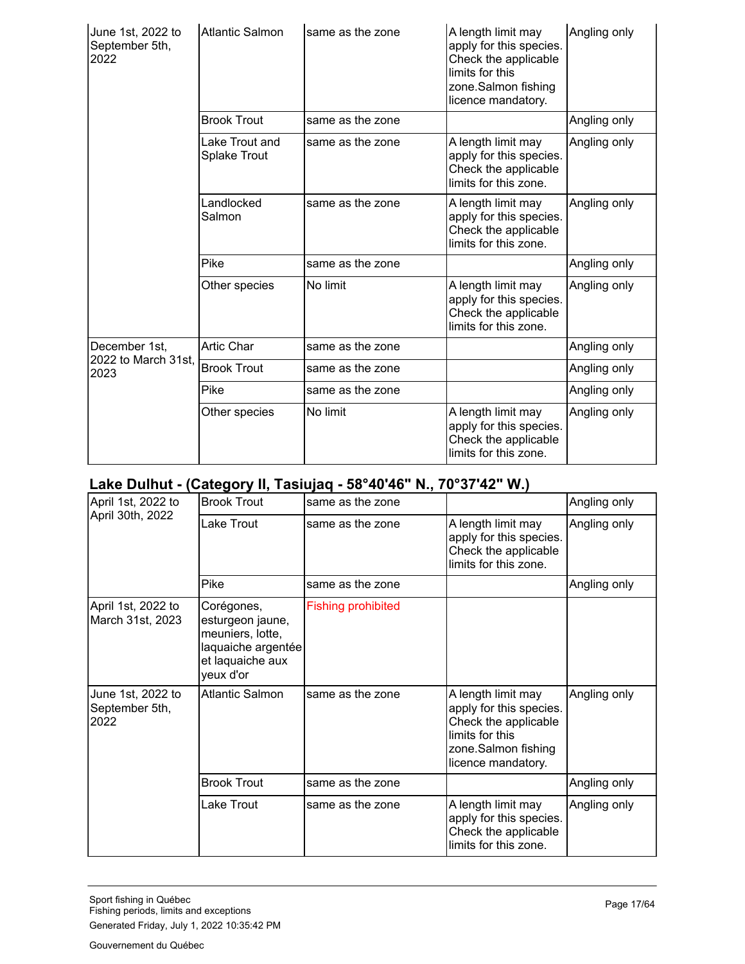| June 1st, 2022 to<br>September 5th,<br>2022 | <b>Atlantic Salmon</b>                | same as the zone | A length limit may<br>apply for this species.<br>Check the applicable<br>limits for this<br>zone.Salmon fishing<br>licence mandatory. | Angling only |
|---------------------------------------------|---------------------------------------|------------------|---------------------------------------------------------------------------------------------------------------------------------------|--------------|
|                                             | <b>Brook Trout</b>                    | same as the zone |                                                                                                                                       | Angling only |
|                                             | Lake Trout and<br><b>Splake Trout</b> | same as the zone | A length limit may<br>apply for this species.<br>Check the applicable<br>limits for this zone.                                        | Angling only |
|                                             | Landlocked<br>Salmon                  | same as the zone | A length limit may<br>apply for this species.<br>Check the applicable<br>limits for this zone.                                        | Angling only |
|                                             | Pike                                  | same as the zone |                                                                                                                                       | Angling only |
|                                             | Other species                         | No limit         | A length limit may<br>apply for this species.<br>Check the applicable<br>limits for this zone.                                        | Angling only |
| December 1st.                               | <b>Artic Char</b>                     | same as the zone |                                                                                                                                       | Angling only |
| 2022 to March 31st.<br>2023                 | <b>Brook Trout</b>                    | same as the zone |                                                                                                                                       | Angling only |
|                                             | Pike                                  | same as the zone |                                                                                                                                       | Angling only |
|                                             | Other species                         | No limit         | A length limit may<br>apply for this species.<br>Check the applicable<br>limits for this zone.                                        | Angling only |

# **Lake Dulhut - (Category II, Tasiujaq - 58°40'46" N., 70°37'42" W.)**

| April 1st, 2022 to                          | <b>Brook Trout</b>                                                                                        | same as the zone          |                                                                                                                                       | Angling only |
|---------------------------------------------|-----------------------------------------------------------------------------------------------------------|---------------------------|---------------------------------------------------------------------------------------------------------------------------------------|--------------|
| April 30th, 2022                            | Lake Trout                                                                                                | same as the zone          | A length limit may<br>apply for this species.<br>Check the applicable<br>limits for this zone.                                        | Angling only |
|                                             | Pike                                                                                                      | same as the zone          |                                                                                                                                       | Angling only |
| April 1st, 2022 to<br>March 31st, 2023      | Corégones,<br>esturgeon jaune,<br>meuniers, lotte,<br>laquaiche argentée<br>et laquaiche aux<br>yeux d'or | <b>Fishing prohibited</b> |                                                                                                                                       |              |
| June 1st, 2022 to<br>September 5th,<br>2022 | <b>Atlantic Salmon</b>                                                                                    | same as the zone          | A length limit may<br>apply for this species.<br>Check the applicable<br>limits for this<br>zone.Salmon fishing<br>licence mandatory. | Angling only |
|                                             | <b>Brook Trout</b>                                                                                        | same as the zone          |                                                                                                                                       | Angling only |
|                                             | Lake Trout                                                                                                | same as the zone          | A length limit may<br>apply for this species.<br>Check the applicable<br>limits for this zone.                                        | Angling only |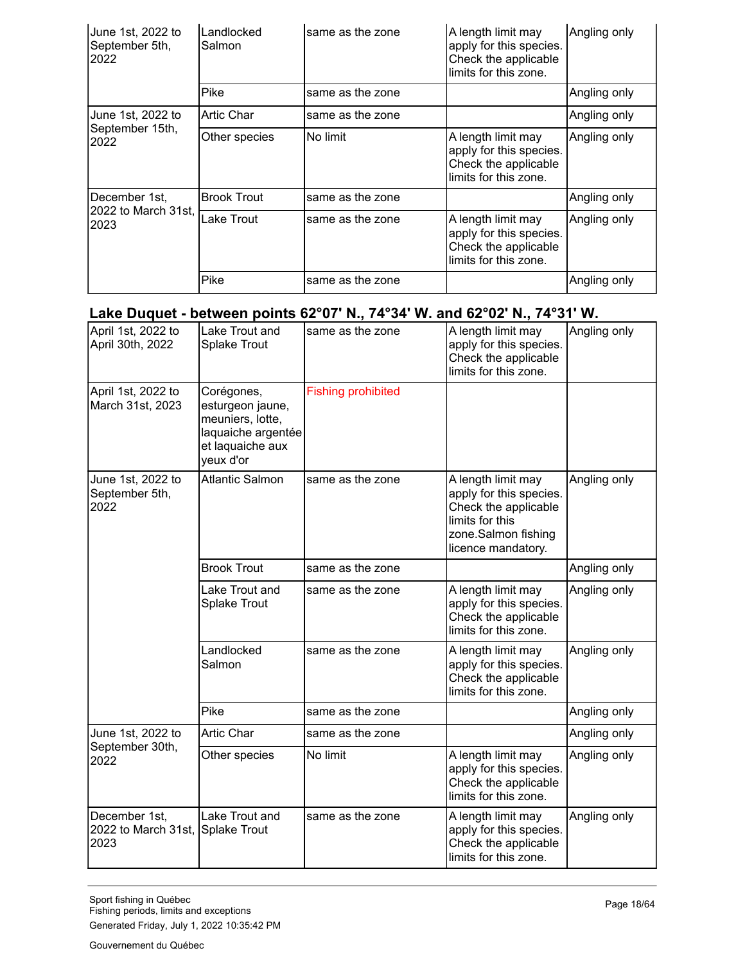| June 1st, 2022 to<br>September 5th,<br>2022 | Landlocked<br>Salmon | same as the zone | A length limit may<br>apply for this species.<br>Check the applicable<br>limits for this zone. | Angling only |
|---------------------------------------------|----------------------|------------------|------------------------------------------------------------------------------------------------|--------------|
|                                             | Pike                 | same as the zone |                                                                                                | Angling only |
| June 1st, 2022 to                           | <b>Artic Char</b>    | same as the zone |                                                                                                | Angling only |
| September 15th,<br>2022                     | Other species        | No limit         | A length limit may<br>apply for this species.<br>Check the applicable<br>limits for this zone. | Angling only |
| December 1st,                               | <b>Brook Trout</b>   | same as the zone |                                                                                                | Angling only |
| 2022 to March 31st,<br>2023                 | Lake Trout           | same as the zone | A length limit may<br>apply for this species.<br>Check the applicable<br>limits for this zone. | Angling only |
|                                             | Pike                 | same as the zone |                                                                                                | Angling only |

### **Lake Duquet - between points 62°07' N., 74°34' W. and 62°02' N., 74°31' W.**

| April 1st, 2022 to<br>April 30th, 2022       | Lake Trout and<br><b>Splake Trout</b>                                                                     | same as the zone          | A length limit may<br>apply for this species.<br>Check the applicable<br>limits for this zone.                                        | Angling only |
|----------------------------------------------|-----------------------------------------------------------------------------------------------------------|---------------------------|---------------------------------------------------------------------------------------------------------------------------------------|--------------|
| April 1st, 2022 to<br>March 31st, 2023       | Corégones,<br>esturgeon jaune,<br>meuniers, lotte,<br>laquaiche argentée<br>et laquaiche aux<br>yeux d'or | <b>Fishing prohibited</b> |                                                                                                                                       |              |
| June 1st, 2022 to<br>September 5th,<br>2022  | <b>Atlantic Salmon</b>                                                                                    | same as the zone          | A length limit may<br>apply for this species.<br>Check the applicable<br>limits for this<br>zone.Salmon fishing<br>licence mandatory. | Angling only |
|                                              | <b>Brook Trout</b>                                                                                        | same as the zone          |                                                                                                                                       | Angling only |
|                                              | Lake Trout and<br><b>Splake Trout</b>                                                                     | same as the zone          | A length limit may<br>apply for this species.<br>Check the applicable<br>limits for this zone.                                        | Angling only |
|                                              | Landlocked<br>Salmon                                                                                      | same as the zone          | A length limit may<br>apply for this species.<br>Check the applicable<br>limits for this zone.                                        | Angling only |
|                                              | Pike                                                                                                      | same as the zone          |                                                                                                                                       | Angling only |
| June 1st, 2022 to                            | Artic Char                                                                                                | same as the zone          |                                                                                                                                       | Angling only |
| September 30th,<br>2022                      | Other species                                                                                             | No limit                  | A length limit may<br>apply for this species.<br>Check the applicable<br>limits for this zone.                                        | Angling only |
| December 1st,<br>2022 to March 31st,<br>2023 | Lake Trout and<br><b>Splake Trout</b>                                                                     | same as the zone          | A length limit may<br>apply for this species.<br>Check the applicable<br>limits for this zone.                                        | Angling only |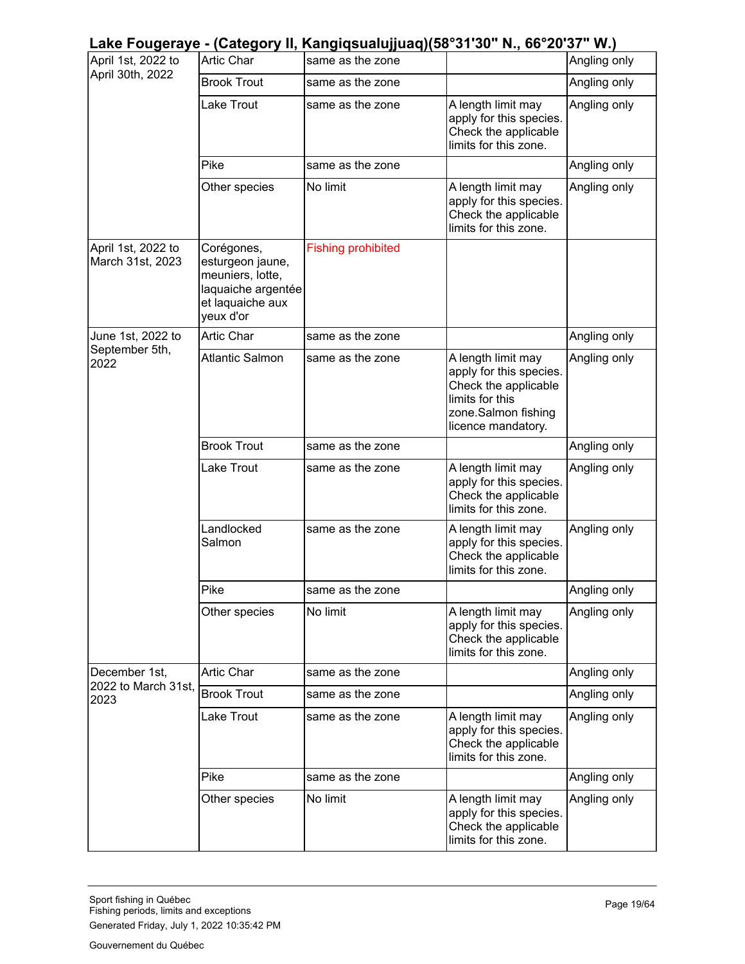# **Lake Fougeraye - (Category II, Kangiqsualujjuaq)(58°31'30" N., 66°20'37" W.)**

| April 1st, 2022 to                     | <b>Artic Char</b>                                                                                         | same as the zone          |                                                                                                                                       | Angling only |
|----------------------------------------|-----------------------------------------------------------------------------------------------------------|---------------------------|---------------------------------------------------------------------------------------------------------------------------------------|--------------|
| April 30th, 2022                       | <b>Brook Trout</b>                                                                                        | same as the zone          |                                                                                                                                       | Angling only |
|                                        | Lake Trout                                                                                                | same as the zone          | A length limit may<br>apply for this species.<br>Check the applicable<br>limits for this zone.                                        | Angling only |
|                                        | Pike                                                                                                      | same as the zone          |                                                                                                                                       | Angling only |
|                                        | Other species                                                                                             | No limit                  | A length limit may<br>apply for this species.<br>Check the applicable<br>limits for this zone.                                        | Angling only |
| April 1st, 2022 to<br>March 31st, 2023 | Corégones,<br>esturgeon jaune,<br>meuniers, lotte,<br>laquaiche argentée<br>et laquaiche aux<br>yeux d'or | <b>Fishing prohibited</b> |                                                                                                                                       |              |
| June 1st, 2022 to                      | Artic Char                                                                                                | same as the zone          |                                                                                                                                       | Angling only |
| September 5th,<br>2022                 | <b>Atlantic Salmon</b>                                                                                    | same as the zone          | A length limit may<br>apply for this species.<br>Check the applicable<br>limits for this<br>zone.Salmon fishing<br>licence mandatory. | Angling only |
|                                        | <b>Brook Trout</b>                                                                                        | same as the zone          |                                                                                                                                       | Angling only |
|                                        | Lake Trout                                                                                                | same as the zone          | A length limit may<br>apply for this species.<br>Check the applicable<br>limits for this zone.                                        | Angling only |
|                                        | Landlocked<br>Salmon                                                                                      | same as the zone          | A length limit may<br>apply for this species.<br>Check the applicable<br>limits for this zone.                                        | Angling only |
|                                        | Pike                                                                                                      | same as the zone          |                                                                                                                                       | Angling only |
|                                        | Other species                                                                                             | No limit                  | A length limit may<br>apply for this species.<br>Check the applicable<br>limits for this zone.                                        | Angling only |
| December 1st.                          | Artic Char                                                                                                | same as the zone          |                                                                                                                                       | Angling only |
| 2022 to March 31st,<br>2023            | <b>Brook Trout</b>                                                                                        | same as the zone          |                                                                                                                                       | Angling only |
|                                        | Lake Trout                                                                                                | same as the zone          | A length limit may<br>apply for this species.<br>Check the applicable<br>limits for this zone.                                        | Angling only |
|                                        | Pike                                                                                                      | same as the zone          |                                                                                                                                       | Angling only |
|                                        | Other species                                                                                             | No limit                  | A length limit may<br>apply for this species.<br>Check the applicable<br>limits for this zone.                                        | Angling only |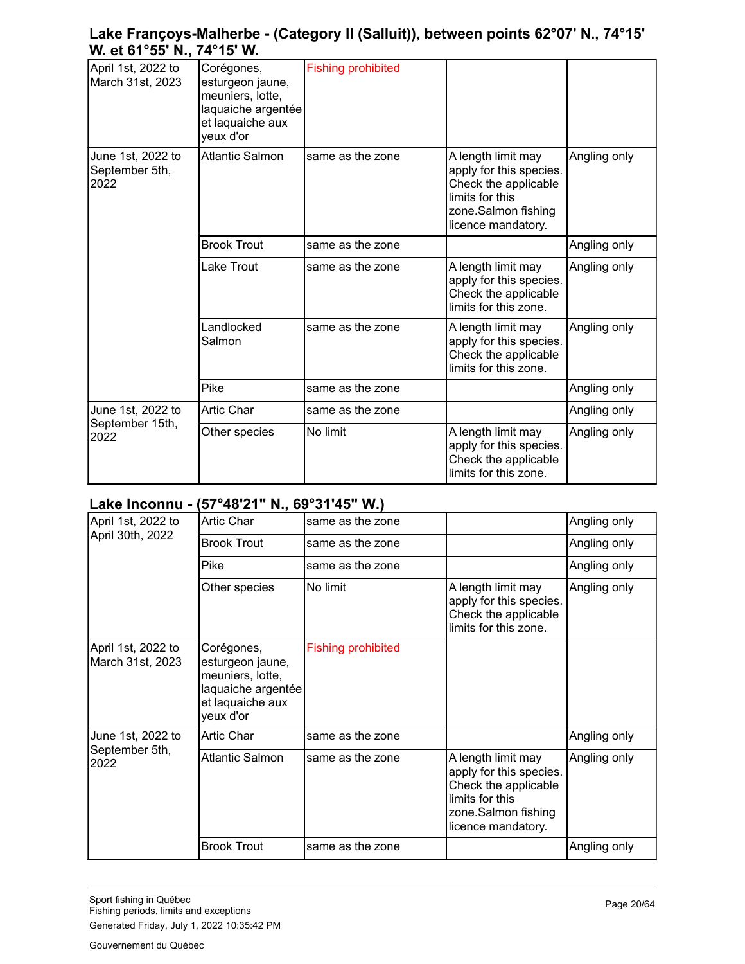#### **Lake Françoys-Malherbe - (Category II (Salluit)), between points 62°07' N., 74°15' W. et 61°55' N., 74°15' W.**

| April 1st, 2022 to<br>March 31st, 2023      | Corégones,<br>esturgeon jaune,<br>meuniers, lotte,<br>laquaiche argentée<br>et laquaiche aux | <b>Fishing prohibited</b> |                                                                                                                                       |              |
|---------------------------------------------|----------------------------------------------------------------------------------------------|---------------------------|---------------------------------------------------------------------------------------------------------------------------------------|--------------|
| June 1st, 2022 to<br>September 5th,<br>2022 | yeux d'or<br><b>Atlantic Salmon</b>                                                          | same as the zone          | A length limit may<br>apply for this species.<br>Check the applicable<br>limits for this<br>zone.Salmon fishing<br>licence mandatory. | Angling only |
|                                             | <b>Brook Trout</b>                                                                           | same as the zone          |                                                                                                                                       | Angling only |
|                                             | Lake Trout                                                                                   | same as the zone          | A length limit may<br>apply for this species.<br>Check the applicable<br>limits for this zone.                                        | Angling only |
|                                             | Landlocked<br>Salmon                                                                         | same as the zone          | A length limit may<br>apply for this species.<br>Check the applicable<br>limits for this zone.                                        | Angling only |
|                                             | Pike                                                                                         | same as the zone          |                                                                                                                                       | Angling only |
| June 1st, 2022 to                           | Artic Char                                                                                   | same as the zone          |                                                                                                                                       | Angling only |
| September 15th,<br>2022                     | Other species                                                                                | No limit                  | A length limit may<br>apply for this species.<br>Check the applicable<br>limits for this zone.                                        | Angling only |

#### **Lake Inconnu - (57°48'21" N., 69°31'45" W.)**

| April 1st, 2022 to                     | <b>Artic Char</b>                                                                                         | same as the zone          |                                                                                                                                       | Angling only |
|----------------------------------------|-----------------------------------------------------------------------------------------------------------|---------------------------|---------------------------------------------------------------------------------------------------------------------------------------|--------------|
| April 30th, 2022                       | <b>Brook Trout</b>                                                                                        | same as the zone          |                                                                                                                                       | Angling only |
|                                        | Pike                                                                                                      | same as the zone          |                                                                                                                                       | Angling only |
|                                        | Other species                                                                                             | No limit                  | A length limit may<br>apply for this species.<br>Check the applicable<br>limits for this zone.                                        | Angling only |
| April 1st, 2022 to<br>March 31st, 2023 | Corégones,<br>esturgeon jaune,<br>meuniers, lotte,<br>laquaiche argentée<br>et laquaiche aux<br>yeux d'or | <b>Fishing prohibited</b> |                                                                                                                                       |              |
| June 1st, 2022 to                      | <b>Artic Char</b>                                                                                         | same as the zone          |                                                                                                                                       | Angling only |
| September 5th,<br>2022                 | <b>Atlantic Salmon</b>                                                                                    | same as the zone          | A length limit may<br>apply for this species.<br>Check the applicable<br>limits for this<br>zone.Salmon fishing<br>licence mandatory. | Angling only |
|                                        | <b>Brook Trout</b>                                                                                        | same as the zone          |                                                                                                                                       | Angling only |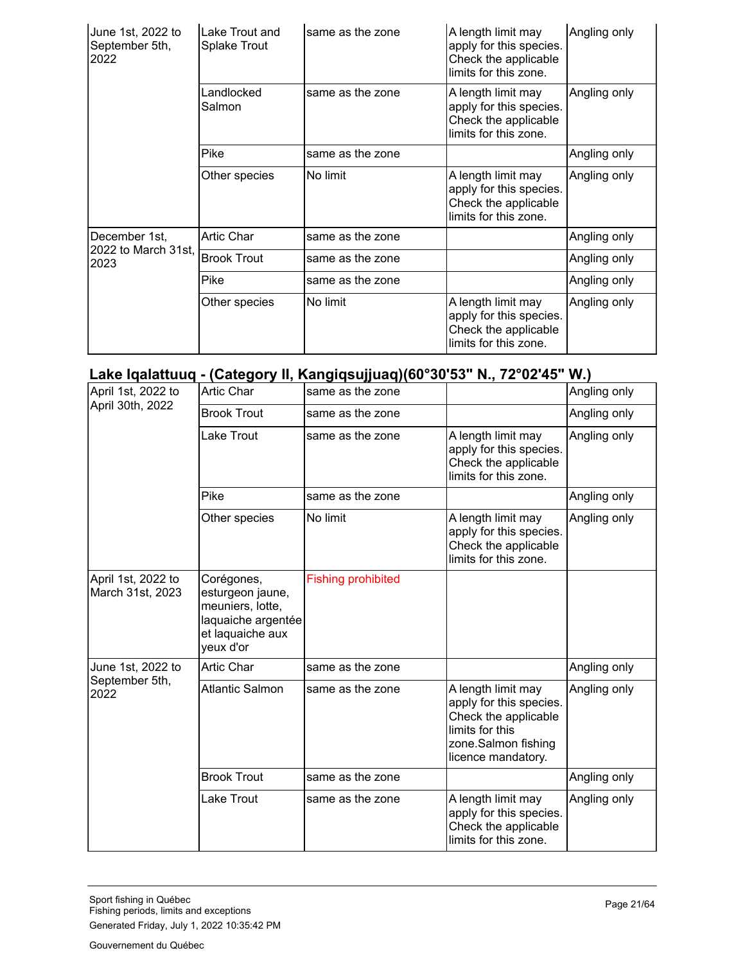| June 1st, 2022 to<br>September 5th,<br>2022 | Lake Trout and<br><b>Splake Trout</b> | same as the zone | A length limit may<br>apply for this species.<br>Check the applicable<br>limits for this zone. | Angling only |
|---------------------------------------------|---------------------------------------|------------------|------------------------------------------------------------------------------------------------|--------------|
|                                             | Landlocked<br>Salmon                  | same as the zone | A length limit may<br>apply for this species.<br>Check the applicable<br>limits for this zone. | Angling only |
|                                             | Pike                                  | same as the zone |                                                                                                | Angling only |
|                                             | Other species                         | No limit         | A length limit may<br>apply for this species.<br>Check the applicable<br>limits for this zone. | Angling only |
| December 1st,                               | <b>Artic Char</b>                     | same as the zone |                                                                                                | Angling only |
| 2022 to March 31st,<br>2023                 | <b>Brook Trout</b>                    | same as the zone |                                                                                                | Angling only |
|                                             | Pike                                  | same as the zone |                                                                                                | Angling only |
|                                             | Other species                         | No limit         | A length limit may<br>apply for this species.<br>Check the applicable<br>limits for this zone. | Angling only |

# **Lake Iqalattuuq - (Category II, Kangiqsujjuaq)(60°30'53" N., 72°02'45" W.)**

| April 1st, 2022 to                     | <b>Artic Char</b>                                                                                         | same as the zone          |                                                                                                                                       | Angling only |
|----------------------------------------|-----------------------------------------------------------------------------------------------------------|---------------------------|---------------------------------------------------------------------------------------------------------------------------------------|--------------|
| April 30th, 2022                       | <b>Brook Trout</b>                                                                                        | same as the zone          |                                                                                                                                       | Angling only |
|                                        | Lake Trout                                                                                                | same as the zone          | A length limit may<br>apply for this species.<br>Check the applicable<br>limits for this zone.                                        | Angling only |
|                                        | Pike                                                                                                      | same as the zone          |                                                                                                                                       | Angling only |
|                                        | Other species                                                                                             | No limit                  | A length limit may<br>apply for this species.<br>Check the applicable<br>limits for this zone.                                        | Angling only |
| April 1st, 2022 to<br>March 31st, 2023 | Corégones,<br>esturgeon jaune,<br>meuniers, lotte,<br>laquaiche argentée<br>et laquaiche aux<br>yeux d'or | <b>Fishing prohibited</b> |                                                                                                                                       |              |
| June 1st, 2022 to                      | <b>Artic Char</b>                                                                                         | same as the zone          |                                                                                                                                       | Angling only |
| September 5th,<br>2022                 | <b>Atlantic Salmon</b>                                                                                    | same as the zone          | A length limit may<br>apply for this species.<br>Check the applicable<br>limits for this<br>zone.Salmon fishing<br>licence mandatory. | Angling only |
|                                        | <b>Brook Trout</b>                                                                                        | same as the zone          |                                                                                                                                       | Angling only |
|                                        | Lake Trout                                                                                                | same as the zone          | A length limit may<br>apply for this species.<br>Check the applicable<br>limits for this zone.                                        | Angling only |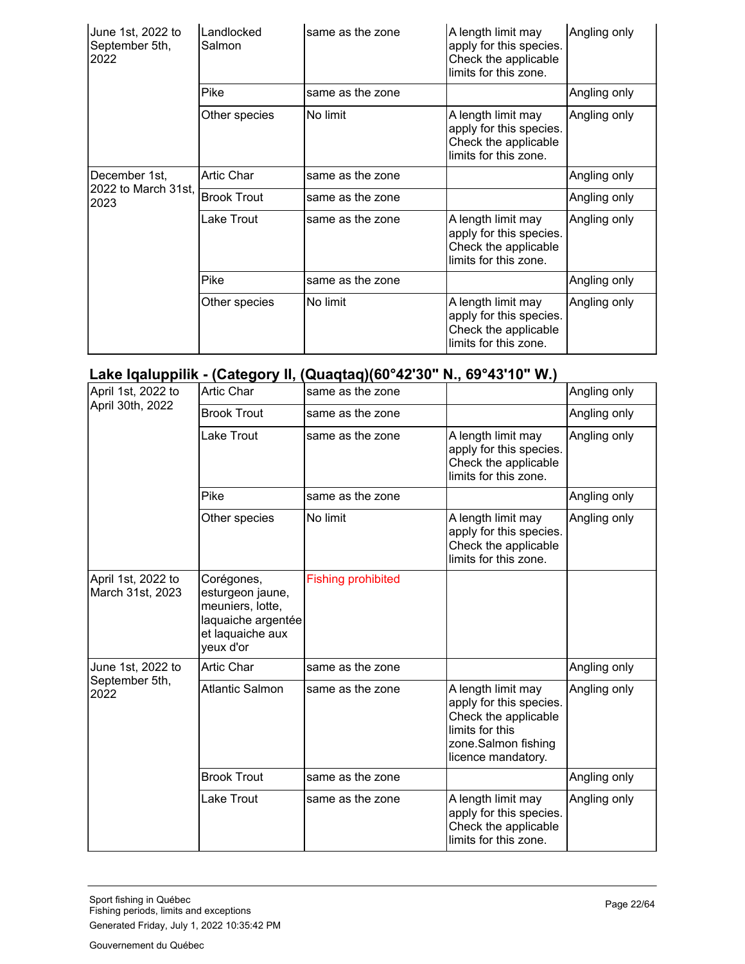| June 1st, 2022 to<br>September 5th,<br>2022 | Landlocked<br>Salmon | same as the zone | A length limit may<br>apply for this species.<br>Check the applicable<br>limits for this zone. | Angling only |
|---------------------------------------------|----------------------|------------------|------------------------------------------------------------------------------------------------|--------------|
|                                             | Pike                 | same as the zone |                                                                                                | Angling only |
|                                             | Other species        | No limit         | A length limit may<br>apply for this species.<br>Check the applicable<br>limits for this zone. | Angling only |
| December 1st,                               | <b>Artic Char</b>    | same as the zone |                                                                                                | Angling only |
| 2022 to March 31st,<br>2023                 | <b>Brook Trout</b>   | same as the zone |                                                                                                | Angling only |
|                                             | Lake Trout           | same as the zone | A length limit may<br>apply for this species.<br>Check the applicable<br>limits for this zone. | Angling only |
|                                             | Pike                 | same as the zone |                                                                                                | Angling only |
|                                             | Other species        | No limit         | A length limit may<br>apply for this species.<br>Check the applicable<br>limits for this zone. | Angling only |

### **Lake Iqaluppilik - (Category II, (Quaqtaq)(60°42'30" N., 69°43'10" W.)**

| April 1st, 2022 to                     | Artic Char                                                                                                | same as the zone          |                                                                                                                                       | Angling only |
|----------------------------------------|-----------------------------------------------------------------------------------------------------------|---------------------------|---------------------------------------------------------------------------------------------------------------------------------------|--------------|
| April 30th, 2022                       | <b>Brook Trout</b>                                                                                        | same as the zone          |                                                                                                                                       | Angling only |
|                                        | Lake Trout                                                                                                | same as the zone          | A length limit may<br>apply for this species.<br>Check the applicable<br>limits for this zone.                                        | Angling only |
|                                        | Pike                                                                                                      | same as the zone          |                                                                                                                                       | Angling only |
|                                        | Other species                                                                                             | No limit                  | A length limit may<br>apply for this species.<br>Check the applicable<br>limits for this zone.                                        | Angling only |
| April 1st, 2022 to<br>March 31st, 2023 | Corégones,<br>esturgeon jaune,<br>meuniers, lotte,<br>laquaiche argentée<br>et laquaiche aux<br>veux d'or | <b>Fishing prohibited</b> |                                                                                                                                       |              |
| June 1st, 2022 to                      | <b>Artic Char</b>                                                                                         | same as the zone          |                                                                                                                                       | Angling only |
| September 5th,<br>2022                 | <b>Atlantic Salmon</b>                                                                                    | same as the zone          | A length limit may<br>apply for this species.<br>Check the applicable<br>limits for this<br>zone.Salmon fishing<br>licence mandatory. | Angling only |
|                                        | <b>Brook Trout</b>                                                                                        | same as the zone          |                                                                                                                                       | Angling only |
|                                        | Lake Trout                                                                                                | same as the zone          | A length limit may<br>apply for this species.<br>Check the applicable<br>limits for this zone.                                        | Angling only |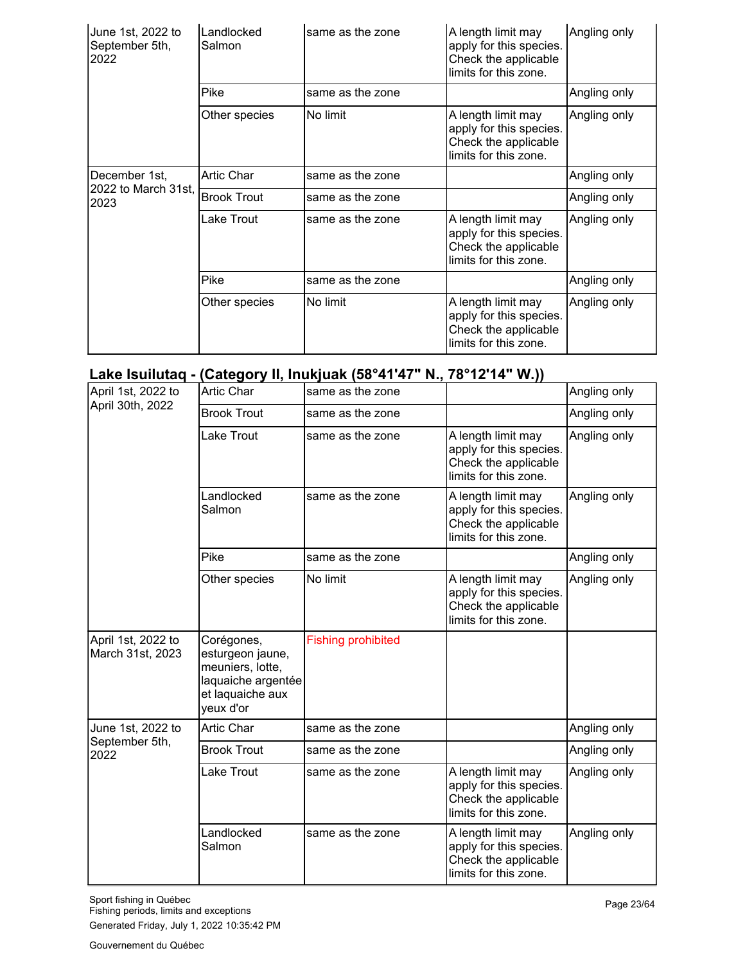| June 1st, 2022 to<br>September 5th,<br>2022 | Landlocked<br>Salmon | same as the zone | A length limit may<br>apply for this species.<br>Check the applicable<br>limits for this zone. | Angling only |
|---------------------------------------------|----------------------|------------------|------------------------------------------------------------------------------------------------|--------------|
|                                             | Pike                 | same as the zone |                                                                                                | Angling only |
|                                             | Other species        | No limit         | A length limit may<br>apply for this species.<br>Check the applicable<br>limits for this zone. | Angling only |
| December 1st,                               | <b>Artic Char</b>    | same as the zone |                                                                                                | Angling only |
| 2022 to March 31st,<br>2023                 | <b>Brook Trout</b>   | same as the zone |                                                                                                | Angling only |
|                                             | Lake Trout           | same as the zone | A length limit may<br>apply for this species.<br>Check the applicable<br>limits for this zone. | Angling only |
|                                             | Pike                 | same as the zone |                                                                                                | Angling only |
|                                             | Other species        | No limit         | A length limit may<br>apply for this species.<br>Check the applicable<br>limits for this zone. | Angling only |

# **Lake Isuilutaq - (Category II, Inukjuak (58°41'47" N., 78°12'14" W.))**

| April 1st, 2022 to                     | <b>Artic Char</b>                                                                                         | same as the zone          |                                                                                                | Angling only |
|----------------------------------------|-----------------------------------------------------------------------------------------------------------|---------------------------|------------------------------------------------------------------------------------------------|--------------|
| April 30th, 2022                       | <b>Brook Trout</b>                                                                                        | same as the zone          |                                                                                                | Angling only |
|                                        | Lake Trout                                                                                                | same as the zone          | A length limit may<br>apply for this species.<br>Check the applicable<br>limits for this zone. | Angling only |
|                                        | Landlocked<br>Salmon                                                                                      | same as the zone          | A length limit may<br>apply for this species.<br>Check the applicable<br>limits for this zone. | Angling only |
|                                        | Pike                                                                                                      | same as the zone          |                                                                                                | Angling only |
|                                        | Other species                                                                                             | No limit                  | A length limit may<br>apply for this species.<br>Check the applicable<br>limits for this zone. | Angling only |
| April 1st, 2022 to<br>March 31st, 2023 | Corégones,<br>esturgeon jaune,<br>meuniers, lotte,<br>laquaiche argentée<br>et laquaiche aux<br>yeux d'or | <b>Fishing prohibited</b> |                                                                                                |              |
| June 1st, 2022 to                      | <b>Artic Char</b>                                                                                         | same as the zone          |                                                                                                | Angling only |
| September 5th,<br>2022                 | <b>Brook Trout</b>                                                                                        | same as the zone          |                                                                                                | Angling only |
|                                        | Lake Trout                                                                                                | same as the zone          | A length limit may<br>apply for this species.<br>Check the applicable<br>limits for this zone. | Angling only |
|                                        | Landlocked<br>Salmon                                                                                      | same as the zone          | A length limit may<br>apply for this species.<br>Check the applicable<br>limits for this zone. | Angling only |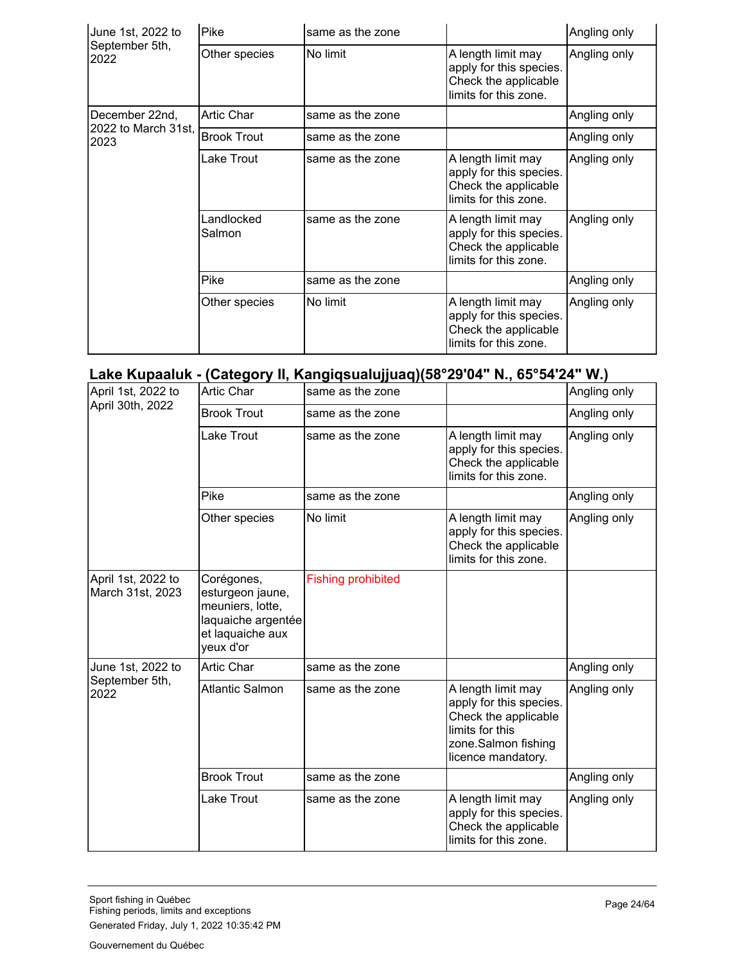| June 1st, 2022 to<br>September 5th,<br>2022 | Pike                 | same as the zone |                                                                                                | Angling only |
|---------------------------------------------|----------------------|------------------|------------------------------------------------------------------------------------------------|--------------|
|                                             | Other species        | No limit         | A length limit may<br>apply for this species.<br>Check the applicable<br>limits for this zone. | Angling only |
| December 22nd,                              | <b>Artic Char</b>    | same as the zone |                                                                                                | Angling only |
| 2022 to March 31st,<br>2023                 | <b>Brook Trout</b>   | same as the zone |                                                                                                | Angling only |
|                                             | Lake Trout           | same as the zone | A length limit may<br>apply for this species.<br>Check the applicable<br>limits for this zone. | Angling only |
|                                             | Landlocked<br>Salmon | same as the zone | A length limit may<br>apply for this species.<br>Check the applicable<br>limits for this zone. | Angling only |
|                                             | Pike                 | same as the zone |                                                                                                | Angling only |
|                                             | Other species        | No limit         | A length limit may<br>apply for this species.<br>Check the applicable<br>limits for this zone. | Angling only |

# **Lake Kupaaluk - (Category II, Kangiqsualujjuaq)(58°29'04" N., 65°54'24" W.)**

| April 1st, 2022 to                     | <b>Artic Char</b>                                                                                         | same as the zone          |                                                                                                                                       | Angling only |
|----------------------------------------|-----------------------------------------------------------------------------------------------------------|---------------------------|---------------------------------------------------------------------------------------------------------------------------------------|--------------|
| April 30th, 2022                       | <b>Brook Trout</b>                                                                                        | same as the zone          |                                                                                                                                       | Angling only |
|                                        | Lake Trout                                                                                                | same as the zone          | A length limit may<br>apply for this species.<br>Check the applicable<br>limits for this zone.                                        | Angling only |
|                                        | Pike                                                                                                      | same as the zone          |                                                                                                                                       | Angling only |
|                                        | Other species                                                                                             | No limit                  | A length limit may<br>apply for this species.<br>Check the applicable<br>limits for this zone.                                        | Angling only |
| April 1st, 2022 to<br>March 31st, 2023 | Corégones,<br>esturgeon jaune,<br>meuniers, lotte,<br>laquaiche argentée<br>et laquaiche aux<br>yeux d'or | <b>Fishing prohibited</b> |                                                                                                                                       |              |
| June 1st, 2022 to                      | <b>Artic Char</b>                                                                                         | same as the zone          |                                                                                                                                       | Angling only |
| September 5th,<br>2022                 | <b>Atlantic Salmon</b>                                                                                    | same as the zone          | A length limit may<br>apply for this species.<br>Check the applicable<br>limits for this<br>zone.Salmon fishing<br>licence mandatory. | Angling only |
|                                        | <b>Brook Trout</b>                                                                                        | same as the zone          |                                                                                                                                       | Angling only |
|                                        | Lake Trout                                                                                                | same as the zone          | A length limit may<br>apply for this species.<br>Check the applicable<br>limits for this zone.                                        | Angling only |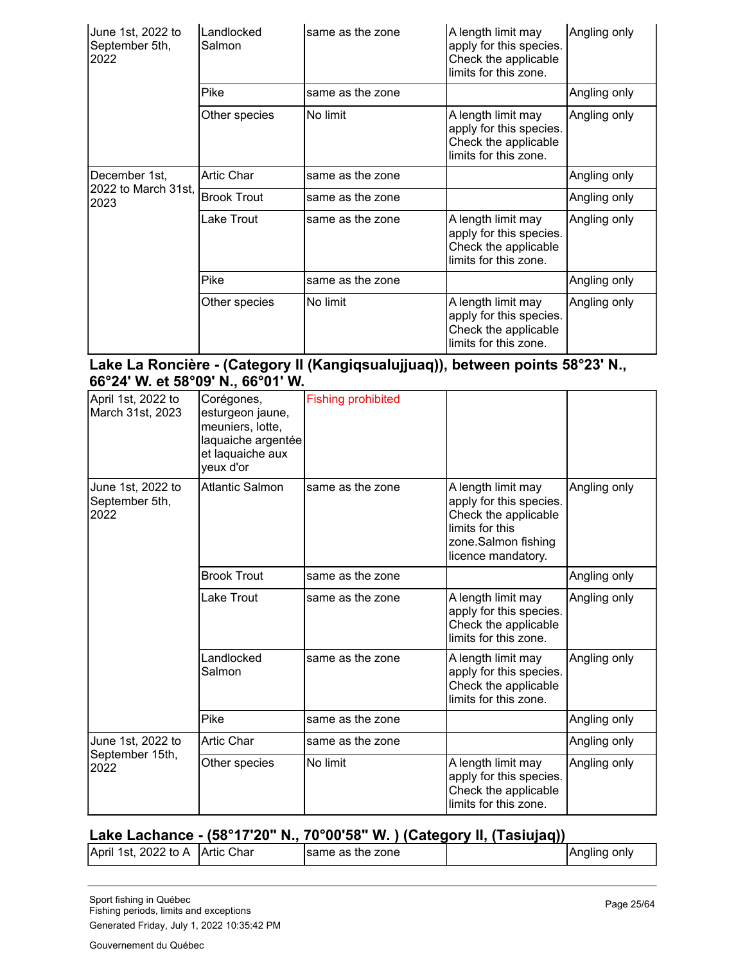| June 1st, 2022 to<br>September 5th,<br>2022 | Landlocked<br>Salmon | same as the zone | A length limit may<br>apply for this species.<br>Check the applicable<br>limits for this zone. | Angling only |
|---------------------------------------------|----------------------|------------------|------------------------------------------------------------------------------------------------|--------------|
|                                             | Pike                 | same as the zone |                                                                                                | Angling only |
|                                             | Other species        | No limit         | A length limit may<br>apply for this species.<br>Check the applicable<br>limits for this zone. | Angling only |
| December 1st,                               | <b>Artic Char</b>    | same as the zone |                                                                                                | Angling only |
| 2022 to March 31st,<br>2023                 | <b>Brook Trout</b>   | same as the zone |                                                                                                | Angling only |
|                                             | Lake Trout           | same as the zone | A length limit may<br>apply for this species.<br>Check the applicable<br>limits for this zone. | Angling only |
|                                             | Pike                 | same as the zone |                                                                                                | Angling only |
|                                             | Other species        | No limit         | A length limit may<br>apply for this species.<br>Check the applicable<br>limits for this zone. | Angling only |

#### **Lake La Roncière - (Category II (Kangiqsualujjuaq)), between points 58°23' N., 66°24' W. et 58°09' N., 66°01' W.**

| April 1st, 2022 to<br>March 31st, 2023      | Corégones,<br>esturgeon jaune,<br>meuniers, lotte,<br>laquaiche argentée<br>et laquaiche aux<br>yeux d'or | <b>Fishing prohibited</b> |                                                                                                                                       |              |
|---------------------------------------------|-----------------------------------------------------------------------------------------------------------|---------------------------|---------------------------------------------------------------------------------------------------------------------------------------|--------------|
| June 1st, 2022 to<br>September 5th,<br>2022 | <b>Atlantic Salmon</b>                                                                                    | same as the zone          | A length limit may<br>apply for this species.<br>Check the applicable<br>limits for this<br>zone.Salmon fishing<br>licence mandatory. | Angling only |
|                                             | <b>Brook Trout</b>                                                                                        | same as the zone          |                                                                                                                                       | Angling only |
|                                             | Lake Trout                                                                                                | same as the zone          | A length limit may<br>apply for this species.<br>Check the applicable<br>limits for this zone.                                        | Angling only |
|                                             | Landlocked<br>Salmon                                                                                      | same as the zone          | A length limit may<br>apply for this species.<br>Check the applicable<br>limits for this zone.                                        | Angling only |
|                                             | Pike                                                                                                      | same as the zone          |                                                                                                                                       | Angling only |
| June 1st, 2022 to                           | <b>Artic Char</b>                                                                                         | same as the zone          |                                                                                                                                       | Angling only |
| September 15th,<br>2022                     | Other species                                                                                             | No limit                  | A length limit may<br>apply for this species.<br>Check the applicable<br>limits for this zone.                                        | Angling only |

#### **Lake Lachance - (58°17'20" N., 70°00'58" W. ) (Category II, (Tasiujaq))**

|                      |            | ---               |                     |
|----------------------|------------|-------------------|---------------------|
| April 1st, 2022 to A | Artic Char | Isame as the zone | <b>Angling only</b> |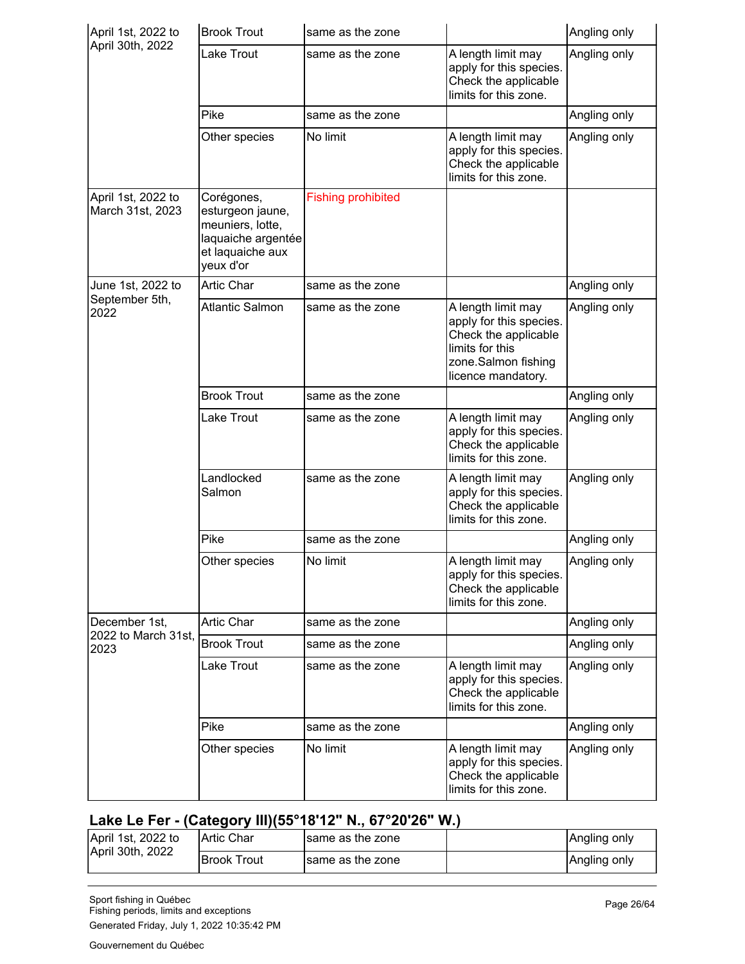| April 1st, 2022 to                     | <b>Brook Trout</b>                                                                                        | same as the zone          |                                                                                                                                       | Angling only |
|----------------------------------------|-----------------------------------------------------------------------------------------------------------|---------------------------|---------------------------------------------------------------------------------------------------------------------------------------|--------------|
| April 30th, 2022                       | Lake Trout                                                                                                | same as the zone          | A length limit may<br>apply for this species.<br>Check the applicable<br>limits for this zone.                                        | Angling only |
|                                        | Pike                                                                                                      | same as the zone          |                                                                                                                                       | Angling only |
|                                        | Other species                                                                                             | No limit                  | A length limit may<br>apply for this species.<br>Check the applicable<br>limits for this zone.                                        | Angling only |
| April 1st, 2022 to<br>March 31st, 2023 | Corégones,<br>esturgeon jaune,<br>meuniers, lotte,<br>laquaiche argentée<br>et laquaiche aux<br>yeux d'or | <b>Fishing prohibited</b> |                                                                                                                                       |              |
| June 1st, 2022 to                      | Artic Char                                                                                                | same as the zone          |                                                                                                                                       | Angling only |
| September 5th,<br>2022                 | <b>Atlantic Salmon</b>                                                                                    | same as the zone          | A length limit may<br>apply for this species.<br>Check the applicable<br>limits for this<br>zone.Salmon fishing<br>licence mandatory. | Angling only |
|                                        | <b>Brook Trout</b>                                                                                        | same as the zone          |                                                                                                                                       | Angling only |
|                                        | Lake Trout                                                                                                | same as the zone          | A length limit may<br>apply for this species.<br>Check the applicable<br>limits for this zone.                                        | Angling only |
|                                        | Landlocked<br>Salmon                                                                                      | same as the zone          | A length limit may<br>apply for this species.<br>Check the applicable<br>limits for this zone.                                        | Angling only |
|                                        | Pike                                                                                                      | same as the zone          |                                                                                                                                       | Angling only |
|                                        | Other species                                                                                             | No limit                  | A length limit may<br>apply for this species.<br>Check the applicable<br>limits for this zone.                                        | Angling only |
| December 1st,                          | Artic Char                                                                                                | same as the zone          |                                                                                                                                       | Angling only |
| 2022 to March 31st,<br>2023            | <b>Brook Trout</b>                                                                                        | same as the zone          |                                                                                                                                       | Angling only |
|                                        | Lake Trout                                                                                                | same as the zone          | A length limit may<br>apply for this species.<br>Check the applicable<br>limits for this zone.                                        | Angling only |
|                                        | Pike                                                                                                      | same as the zone          |                                                                                                                                       | Angling only |
|                                        | Other species                                                                                             | No limit                  | A length limit may<br>apply for this species.<br>Check the applicable<br>limits for this zone.                                        | Angling only |

### **Lake Le Fer - (Category III)(55°18'12" N., 67°20'26" W.)**

| April 1st, 2022 to<br>April 30th, 2022 | <b>Artic Char</b>  | same as the zone  | Angling only |
|----------------------------------------|--------------------|-------------------|--------------|
|                                        | <b>Brook Trout</b> | Isame as the zone | Angling only |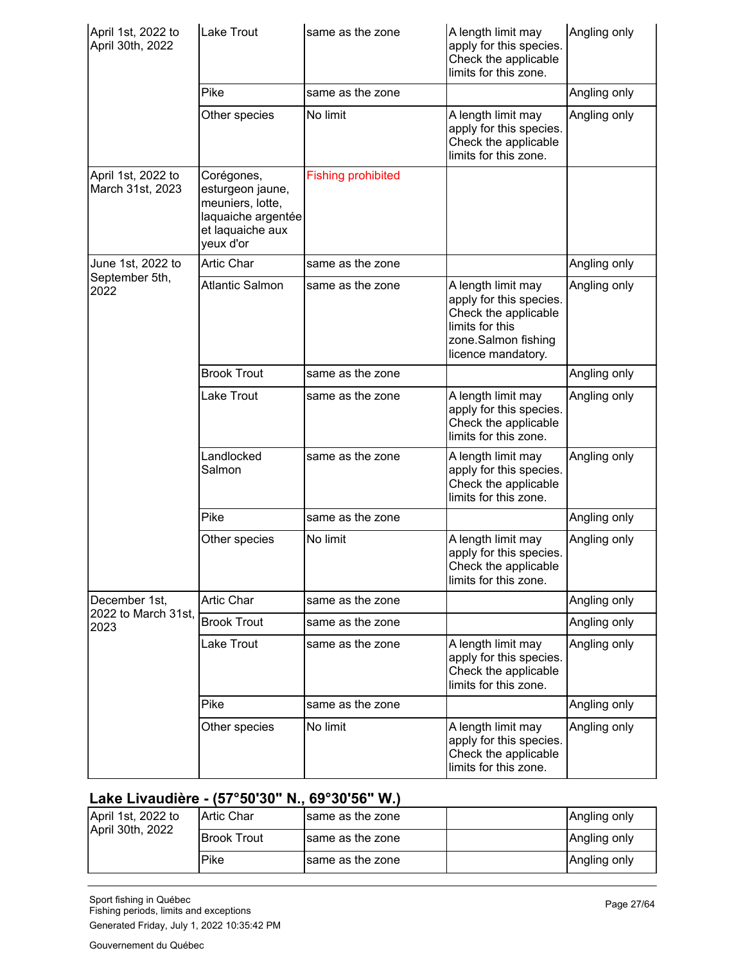| April 1st, 2022 to<br>April 30th, 2022 | Lake Trout                                                                                                | same as the zone          | A length limit may<br>apply for this species.<br>Check the applicable<br>limits for this zone.                                        | Angling only |
|----------------------------------------|-----------------------------------------------------------------------------------------------------------|---------------------------|---------------------------------------------------------------------------------------------------------------------------------------|--------------|
|                                        | Pike                                                                                                      | same as the zone          |                                                                                                                                       | Angling only |
|                                        | Other species                                                                                             | No limit                  | A length limit may<br>apply for this species.<br>Check the applicable<br>limits for this zone.                                        | Angling only |
| April 1st, 2022 to<br>March 31st, 2023 | Corégones,<br>esturgeon jaune,<br>meuniers, lotte,<br>laquaiche argentée<br>et laquaiche aux<br>yeux d'or | <b>Fishing prohibited</b> |                                                                                                                                       |              |
| June 1st, 2022 to                      | <b>Artic Char</b>                                                                                         | same as the zone          |                                                                                                                                       | Angling only |
| September 5th,<br>2022                 | <b>Atlantic Salmon</b>                                                                                    | same as the zone          | A length limit may<br>apply for this species.<br>Check the applicable<br>limits for this<br>zone.Salmon fishing<br>licence mandatory. | Angling only |
|                                        | <b>Brook Trout</b>                                                                                        | same as the zone          |                                                                                                                                       | Angling only |
|                                        | Lake Trout                                                                                                | same as the zone          | A length limit may<br>apply for this species.<br>Check the applicable<br>limits for this zone.                                        | Angling only |
|                                        | Landlocked<br>Salmon                                                                                      | same as the zone          | A length limit may<br>apply for this species.<br>Check the applicable<br>limits for this zone.                                        | Angling only |
|                                        | Pike                                                                                                      | same as the zone          |                                                                                                                                       | Angling only |
|                                        | Other species                                                                                             | No limit                  | A length limit may<br>apply for this species.<br>Check the applicable<br>limits for this zone.                                        | Angling only |
| December 1st,<br>2022 to March 31st,   | Artic Char                                                                                                | same as the zone          |                                                                                                                                       | Angling only |
| 2023                                   | <b>Brook Trout</b>                                                                                        | same as the zone          |                                                                                                                                       | Angling only |
|                                        | Lake Trout                                                                                                | same as the zone          | A length limit may<br>apply for this species.<br>Check the applicable<br>limits for this zone.                                        | Angling only |
|                                        | Pike                                                                                                      | same as the zone          |                                                                                                                                       | Angling only |
|                                        | Other species                                                                                             | No limit                  | A length limit may<br>apply for this species.<br>Check the applicable<br>limits for this zone.                                        | Angling only |

# **Lake Livaudière - (57°50'30" N., 69°30'56" W.)**

| April 1st, 2022 to<br>April 30th, 2022 | Artic Char   | same as the zone  | Angling only |
|----------------------------------------|--------------|-------------------|--------------|
|                                        | IBrook Trout | same as the zone  | Angling only |
|                                        | Pike         | Isame as the zone | Angling only |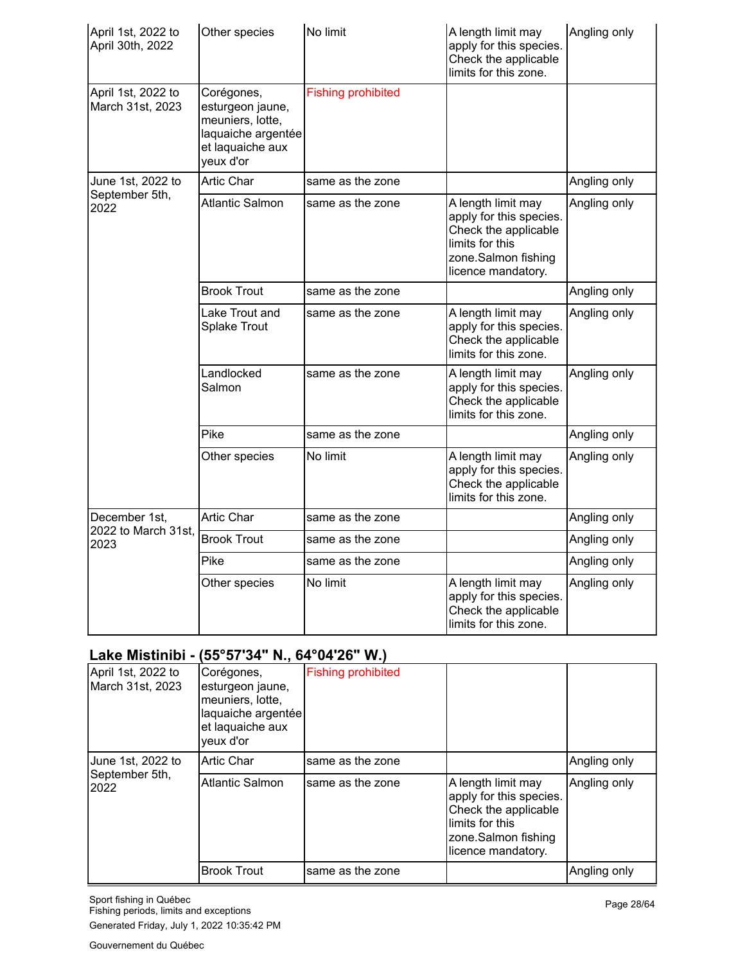| April 1st, 2022 to<br>April 30th, 2022 | Other species                                                                                             | No limit                  | A length limit may<br>apply for this species.<br>Check the applicable<br>limits for this zone.                                        | Angling only |
|----------------------------------------|-----------------------------------------------------------------------------------------------------------|---------------------------|---------------------------------------------------------------------------------------------------------------------------------------|--------------|
| April 1st, 2022 to<br>March 31st, 2023 | Corégones,<br>esturgeon jaune,<br>meuniers, lotte,<br>laquaiche argentée<br>et laquaiche aux<br>yeux d'or | <b>Fishing prohibited</b> |                                                                                                                                       |              |
| June 1st, 2022 to                      | <b>Artic Char</b>                                                                                         | same as the zone          |                                                                                                                                       | Angling only |
| September 5th,<br>2022                 | <b>Atlantic Salmon</b>                                                                                    | same as the zone          | A length limit may<br>apply for this species.<br>Check the applicable<br>limits for this<br>zone.Salmon fishing<br>licence mandatory. | Angling only |
|                                        | <b>Brook Trout</b>                                                                                        | same as the zone          |                                                                                                                                       | Angling only |
|                                        | Lake Trout and<br><b>Splake Trout</b>                                                                     | same as the zone          | A length limit may<br>apply for this species.<br>Check the applicable<br>limits for this zone.                                        | Angling only |
|                                        | Landlocked<br>Salmon                                                                                      | same as the zone          | A length limit may<br>apply for this species.<br>Check the applicable<br>limits for this zone.                                        | Angling only |
|                                        | Pike                                                                                                      | same as the zone          |                                                                                                                                       | Angling only |
|                                        | Other species                                                                                             | No limit                  | A length limit may<br>apply for this species.<br>Check the applicable<br>limits for this zone.                                        | Angling only |
| December 1st.                          | <b>Artic Char</b>                                                                                         | same as the zone          |                                                                                                                                       | Angling only |
| 2022 to March 31st,<br>2023            | <b>Brook Trout</b>                                                                                        | same as the zone          |                                                                                                                                       | Angling only |
|                                        | Pike                                                                                                      | same as the zone          |                                                                                                                                       | Angling only |
|                                        | Other species                                                                                             | No limit                  | A length limit may<br>apply for this species.<br>Check the applicable<br>limits for this zone.                                        | Angling only |

# **Lake Mistinibi - (55°57'34" N., 64°04'26" W.)**

| April 1st, 2022 to<br>March 31st, 2023 | Corégones,<br>esturgeon jaune,<br>meuniers, lotte,<br>laquaiche argentée<br>et laquaiche aux<br>yeux d'or | <b>Fishing prohibited</b> |                                                                                                                                       |              |
|----------------------------------------|-----------------------------------------------------------------------------------------------------------|---------------------------|---------------------------------------------------------------------------------------------------------------------------------------|--------------|
| June 1st, 2022 to                      | <b>Artic Char</b>                                                                                         | same as the zone          |                                                                                                                                       | Angling only |
| September 5th,<br>2022                 | <b>Atlantic Salmon</b>                                                                                    | same as the zone          | A length limit may<br>apply for this species.<br>Check the applicable<br>limits for this<br>zone.Salmon fishing<br>licence mandatory. | Angling only |
|                                        | <b>Brook Trout</b>                                                                                        | same as the zone          |                                                                                                                                       | Angling only |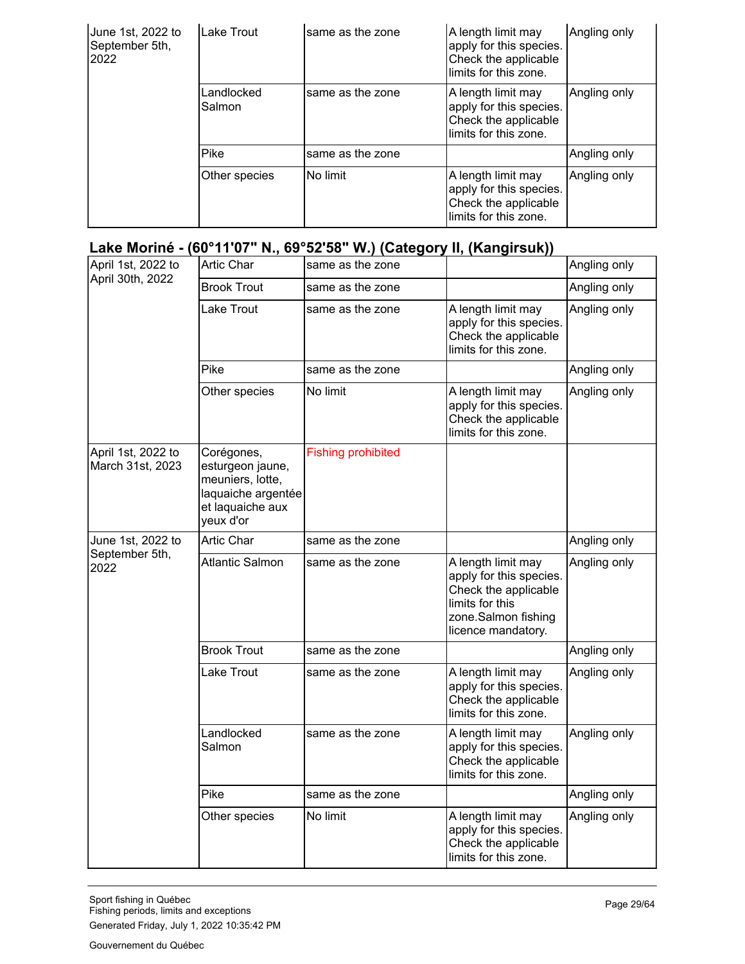| June 1st, 2022 to<br>September 5th,<br>2022 | Lake Trout           | same as the zone | A length limit may<br>apply for this species.<br>Check the applicable<br>limits for this zone. | Angling only |
|---------------------------------------------|----------------------|------------------|------------------------------------------------------------------------------------------------|--------------|
|                                             | Landlocked<br>Salmon | same as the zone | A length limit may<br>apply for this species.<br>Check the applicable<br>limits for this zone. | Angling only |
|                                             | Pike                 | same as the zone |                                                                                                | Angling only |
|                                             | Other species        | No limit         | A length limit may<br>apply for this species.<br>Check the applicable<br>limits for this zone. | Angling only |

# **Lake Moriné - (60°11'07" N., 69°52'58" W.) (Category II, (Kangirsuk))**

| April 1st, 2022 to                     | Artic Char                                                                                                | same as the zone          |                                                                                                                                       | Angling only |
|----------------------------------------|-----------------------------------------------------------------------------------------------------------|---------------------------|---------------------------------------------------------------------------------------------------------------------------------------|--------------|
| April 30th, 2022                       | <b>Brook Trout</b>                                                                                        | same as the zone          |                                                                                                                                       | Angling only |
|                                        | Lake Trout                                                                                                | same as the zone          | A length limit may<br>apply for this species.<br>Check the applicable<br>limits for this zone.                                        | Angling only |
|                                        | Pike                                                                                                      | same as the zone          |                                                                                                                                       | Angling only |
|                                        | Other species                                                                                             | No limit                  | A length limit may<br>apply for this species.<br>Check the applicable<br>limits for this zone.                                        | Angling only |
| April 1st, 2022 to<br>March 31st, 2023 | Corégones,<br>esturgeon jaune,<br>meuniers, lotte,<br>laquaiche argentée<br>et laquaiche aux<br>yeux d'or | <b>Fishing prohibited</b> |                                                                                                                                       |              |
| June 1st, 2022 to                      | <b>Artic Char</b>                                                                                         | same as the zone          |                                                                                                                                       | Angling only |
| September 5th,<br>2022                 | <b>Atlantic Salmon</b>                                                                                    | same as the zone          | A length limit may<br>apply for this species.<br>Check the applicable<br>limits for this<br>zone.Salmon fishing<br>licence mandatory. | Angling only |
|                                        | <b>Brook Trout</b>                                                                                        | same as the zone          |                                                                                                                                       | Angling only |
|                                        | Lake Trout                                                                                                | same as the zone          | A length limit may<br>apply for this species.<br>Check the applicable<br>limits for this zone.                                        | Angling only |
|                                        | Landlocked<br>Salmon                                                                                      | same as the zone          | A length limit may<br>apply for this species.<br>Check the applicable<br>limits for this zone.                                        | Angling only |
|                                        | Pike                                                                                                      | same as the zone          |                                                                                                                                       | Angling only |
|                                        | Other species                                                                                             | No limit                  | A length limit may<br>apply for this species.<br>Check the applicable<br>limits for this zone.                                        | Angling only |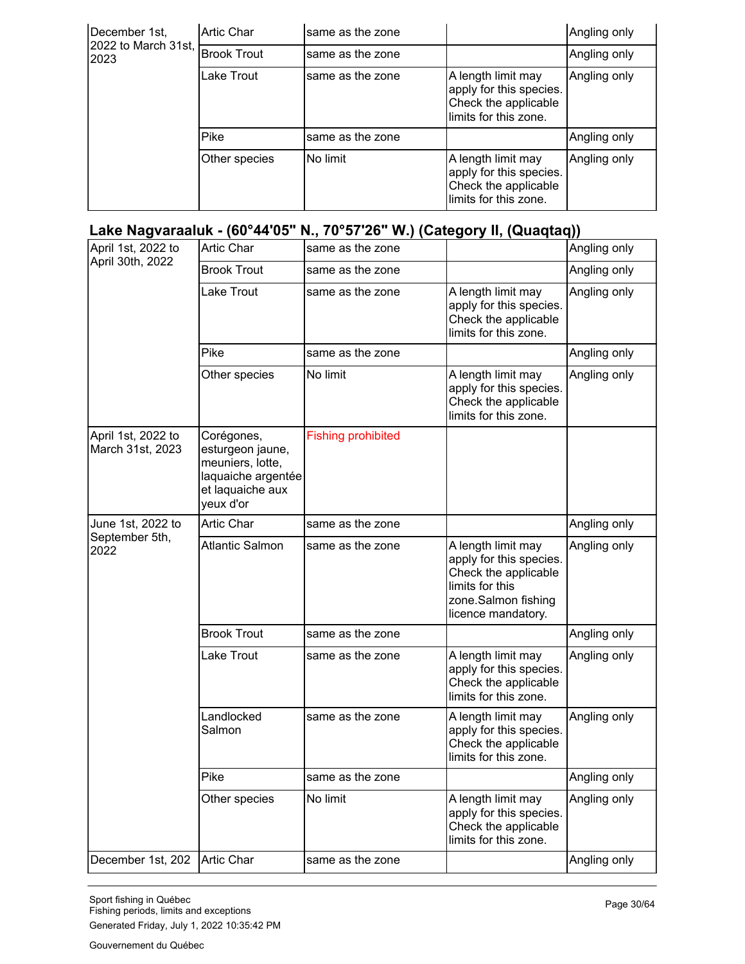| December 1st,               | <b>Artic Char</b>  | same as the zone |                                                                                                | Angling only |
|-----------------------------|--------------------|------------------|------------------------------------------------------------------------------------------------|--------------|
| 2022 to March 31st,<br>2023 | <b>Brook Trout</b> | same as the zone |                                                                                                | Angling only |
|                             | Lake Trout         | same as the zone | A length limit may<br>apply for this species.<br>Check the applicable<br>limits for this zone. | Angling only |
|                             | Pike               | same as the zone |                                                                                                | Angling only |
|                             | Other species      | No limit         | A length limit may<br>apply for this species.<br>Check the applicable<br>limits for this zone. | Angling only |

#### **Lake Nagvaraaluk - (60°44'05" N., 70°57'26" W.) (Category II, (Quaqtaq))**

| April 1st, 2022 to                     | Artic Char                                                                                                | same as the zone          |                                                                                                                                       | Angling only |
|----------------------------------------|-----------------------------------------------------------------------------------------------------------|---------------------------|---------------------------------------------------------------------------------------------------------------------------------------|--------------|
| April 30th, 2022                       | <b>Brook Trout</b>                                                                                        | same as the zone          |                                                                                                                                       | Angling only |
|                                        | Lake Trout                                                                                                | same as the zone          | A length limit may<br>apply for this species.<br>Check the applicable<br>limits for this zone.                                        | Angling only |
|                                        | Pike                                                                                                      | same as the zone          |                                                                                                                                       | Angling only |
|                                        | Other species                                                                                             | No limit                  | A length limit may<br>apply for this species.<br>Check the applicable<br>limits for this zone.                                        | Angling only |
| April 1st, 2022 to<br>March 31st, 2023 | Corégones,<br>esturgeon jaune,<br>meuniers, lotte,<br>laquaiche argentée<br>et laquaiche aux<br>yeux d'or | <b>Fishing prohibited</b> |                                                                                                                                       |              |
| June 1st, 2022 to                      | <b>Artic Char</b>                                                                                         | same as the zone          |                                                                                                                                       | Angling only |
| September 5th,<br>2022                 | <b>Atlantic Salmon</b>                                                                                    | same as the zone          | A length limit may<br>apply for this species.<br>Check the applicable<br>limits for this<br>zone.Salmon fishing<br>licence mandatory. | Angling only |
|                                        | <b>Brook Trout</b>                                                                                        | same as the zone          |                                                                                                                                       | Angling only |
|                                        | Lake Trout                                                                                                | same as the zone          | A length limit may<br>apply for this species.<br>Check the applicable<br>limits for this zone.                                        | Angling only |
|                                        | Landlocked<br>Salmon                                                                                      | same as the zone          | A length limit may<br>apply for this species.<br>Check the applicable<br>limits for this zone.                                        | Angling only |
|                                        | Pike                                                                                                      | same as the zone          |                                                                                                                                       | Angling only |
|                                        | Other species                                                                                             | No limit                  | A length limit may<br>apply for this species.<br>Check the applicable<br>limits for this zone.                                        | Angling only |
| December 1st, 202                      | <b>Artic Char</b>                                                                                         | same as the zone          |                                                                                                                                       | Angling only |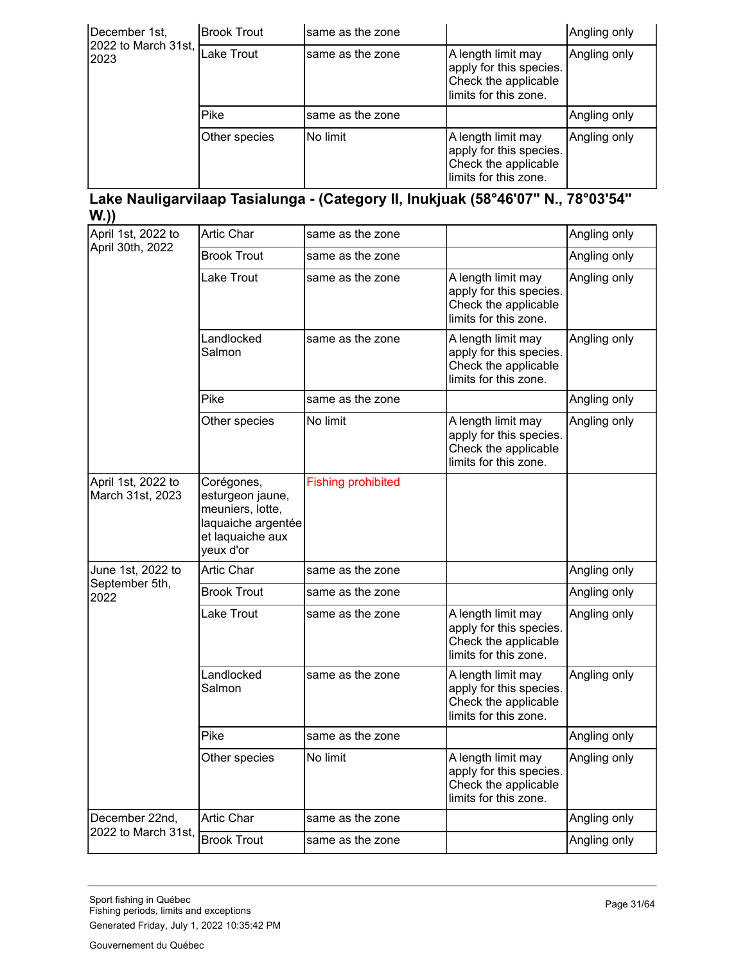| December 1st,               | <b>Brook Trout</b> | same as the zone |                                                                                                | Angling only |
|-----------------------------|--------------------|------------------|------------------------------------------------------------------------------------------------|--------------|
| 2022 to March 31st,<br>2023 | Lake Trout         | same as the zone | A length limit may<br>apply for this species.<br>Check the applicable<br>limits for this zone. | Angling only |
|                             | Pike               | same as the zone |                                                                                                | Angling only |
|                             | Other species      | No limit         | A length limit may<br>apply for this species.<br>Check the applicable<br>limits for this zone. | Angling only |

# **Lake Nauligarvilaap Tasialunga - (Category II, Inukjuak (58°46'07" N., 78°03'54" W.))**

| April 1st, 2022 to                     | <b>Artic Char</b>                                                                                         | same as the zone          |                                                                                                | Angling only |
|----------------------------------------|-----------------------------------------------------------------------------------------------------------|---------------------------|------------------------------------------------------------------------------------------------|--------------|
| April 30th, 2022                       | <b>Brook Trout</b>                                                                                        | same as the zone          |                                                                                                | Angling only |
|                                        | Lake Trout                                                                                                | same as the zone          | A length limit may<br>apply for this species.<br>Check the applicable<br>limits for this zone. | Angling only |
|                                        | Landlocked<br>Salmon                                                                                      | same as the zone          | A length limit may<br>apply for this species.<br>Check the applicable<br>limits for this zone. | Angling only |
|                                        | Pike                                                                                                      | same as the zone          |                                                                                                | Angling only |
|                                        | Other species                                                                                             | No limit                  | A length limit may<br>apply for this species.<br>Check the applicable<br>limits for this zone. | Angling only |
| April 1st, 2022 to<br>March 31st, 2023 | Corégones,<br>esturgeon jaune,<br>meuniers, lotte,<br>laquaiche argentée<br>et laquaiche aux<br>yeux d'or | <b>Fishing prohibited</b> |                                                                                                |              |
| June 1st, 2022 to                      | <b>Artic Char</b>                                                                                         | same as the zone          |                                                                                                | Angling only |
| September 5th,<br>2022                 | <b>Brook Trout</b>                                                                                        | same as the zone          |                                                                                                | Angling only |
|                                        | Lake Trout                                                                                                | same as the zone          | A length limit may<br>apply for this species.<br>Check the applicable<br>limits for this zone. | Angling only |
|                                        | Landlocked<br>Salmon                                                                                      | same as the zone          | A length limit may<br>apply for this species.<br>Check the applicable<br>limits for this zone. | Angling only |
|                                        | Pike                                                                                                      | same as the zone          |                                                                                                | Angling only |
|                                        | Other species                                                                                             | No limit                  | A length limit may<br>apply for this species.<br>Check the applicable<br>limits for this zone. | Angling only |
| December 22nd,                         | Artic Char                                                                                                | same as the zone          |                                                                                                | Angling only |
| 2022 to March 31st,                    | <b>Brook Trout</b>                                                                                        | same as the zone          |                                                                                                | Angling only |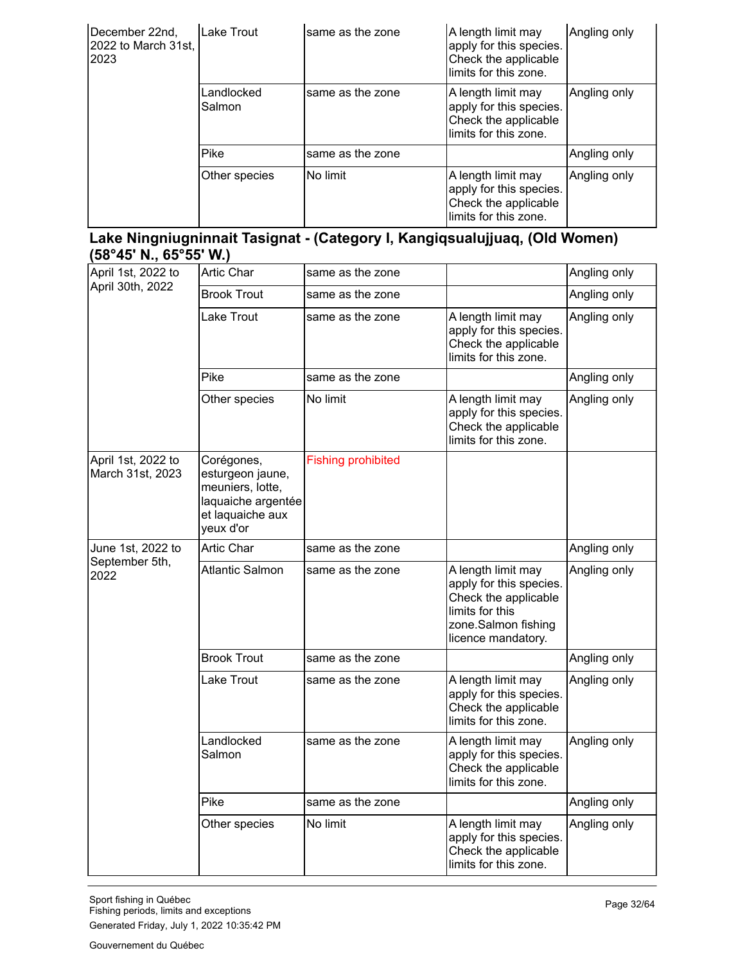| December 22nd,<br>2022 to March 31st,<br>2023 | Lake Trout           | same as the zone | A length limit may<br>apply for this species.<br>Check the applicable<br>limits for this zone. | Angling only |
|-----------------------------------------------|----------------------|------------------|------------------------------------------------------------------------------------------------|--------------|
|                                               | Landlocked<br>Salmon | same as the zone | A length limit may<br>apply for this species.<br>Check the applicable<br>limits for this zone. | Angling only |
|                                               | Pike                 | same as the zone |                                                                                                | Angling only |
|                                               | Other species        | No limit         | A length limit may<br>apply for this species.<br>Check the applicable<br>limits for this zone. | Angling only |

#### **Lake Ningniugninnait Tasignat - (Category I, Kangiqsualujjuaq, (Old Women) (58°45' N., 65°55' W.)**

| April 1st, 2022 to                     | Artic Char                                                                                                | same as the zone          |                                                                                                                                       | Angling only |
|----------------------------------------|-----------------------------------------------------------------------------------------------------------|---------------------------|---------------------------------------------------------------------------------------------------------------------------------------|--------------|
| April 30th, 2022                       | <b>Brook Trout</b>                                                                                        | same as the zone          |                                                                                                                                       | Angling only |
|                                        | Lake Trout                                                                                                | same as the zone          | A length limit may<br>apply for this species.<br>Check the applicable<br>limits for this zone.                                        | Angling only |
|                                        | Pike                                                                                                      | same as the zone          |                                                                                                                                       | Angling only |
|                                        | Other species                                                                                             | No limit                  | A length limit may<br>apply for this species.<br>Check the applicable<br>limits for this zone.                                        | Angling only |
| April 1st, 2022 to<br>March 31st, 2023 | Corégones,<br>esturgeon jaune,<br>meuniers, lotte,<br>laquaiche argentée<br>et laquaiche aux<br>yeux d'or | <b>Fishing prohibited</b> |                                                                                                                                       |              |
| June 1st, 2022 to                      | <b>Artic Char</b>                                                                                         | same as the zone          |                                                                                                                                       | Angling only |
| September 5th,<br>2022                 | <b>Atlantic Salmon</b>                                                                                    | same as the zone          | A length limit may<br>apply for this species.<br>Check the applicable<br>limits for this<br>zone.Salmon fishing<br>licence mandatory. | Angling only |
|                                        | <b>Brook Trout</b>                                                                                        | same as the zone          |                                                                                                                                       | Angling only |
|                                        | Lake Trout                                                                                                | same as the zone          | A length limit may<br>apply for this species.<br>Check the applicable<br>limits for this zone.                                        | Angling only |
|                                        | Landlocked<br>Salmon                                                                                      | same as the zone          | A length limit may<br>apply for this species.<br>Check the applicable<br>limits for this zone.                                        | Angling only |
|                                        | Pike                                                                                                      | same as the zone          |                                                                                                                                       | Angling only |
|                                        | Other species                                                                                             | No limit                  | A length limit may<br>apply for this species.<br>Check the applicable<br>limits for this zone.                                        | Angling only |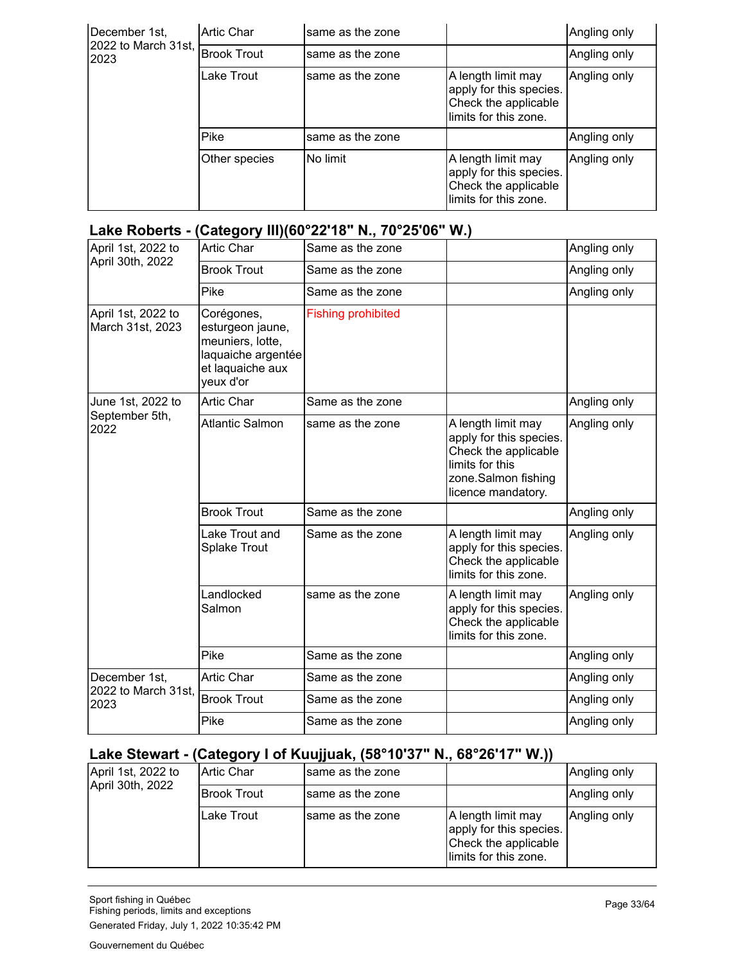| December 1st,               | <b>Artic Char</b>  | same as the zone |                                                                                                | Angling only |
|-----------------------------|--------------------|------------------|------------------------------------------------------------------------------------------------|--------------|
| 2022 to March 31st,<br>2023 | <b>Brook Trout</b> | same as the zone |                                                                                                | Angling only |
|                             | Lake Trout         | same as the zone | A length limit may<br>apply for this species.<br>Check the applicable<br>limits for this zone. | Angling only |
|                             | Pike               | same as the zone |                                                                                                | Angling only |
|                             | Other species      | No limit         | A length limit may<br>apply for this species.<br>Check the applicable<br>limits for this zone. | Angling only |

## **Lake Roberts - (Category III)(60°22'18" N., 70°25'06" W.)**

| April 1st, 2022 to                     | <b>Artic Char</b>                                                                                         | Same as the zone          |                                                                                                                                       | Angling only |
|----------------------------------------|-----------------------------------------------------------------------------------------------------------|---------------------------|---------------------------------------------------------------------------------------------------------------------------------------|--------------|
| April 30th, 2022                       | <b>Brook Trout</b>                                                                                        | Same as the zone          |                                                                                                                                       | Angling only |
|                                        | Pike                                                                                                      | Same as the zone          |                                                                                                                                       | Angling only |
| April 1st, 2022 to<br>March 31st, 2023 | Corégones,<br>esturgeon jaune,<br>meuniers, lotte,<br>laquaiche argentée<br>et laquaiche aux<br>yeux d'or | <b>Fishing prohibited</b> |                                                                                                                                       |              |
| June 1st, 2022 to                      | <b>Artic Char</b>                                                                                         | Same as the zone          |                                                                                                                                       | Angling only |
| September 5th,<br>2022                 | <b>Atlantic Salmon</b>                                                                                    | same as the zone          | A length limit may<br>apply for this species.<br>Check the applicable<br>limits for this<br>zone.Salmon fishing<br>licence mandatory. | Angling only |
|                                        | <b>Brook Trout</b>                                                                                        | Same as the zone          |                                                                                                                                       | Angling only |
|                                        | Lake Trout and<br><b>Splake Trout</b>                                                                     | Same as the zone          | A length limit may<br>apply for this species.<br>Check the applicable<br>limits for this zone.                                        | Angling only |
|                                        | Landlocked<br>Salmon                                                                                      | same as the zone          | A length limit may<br>apply for this species.<br>Check the applicable<br>limits for this zone.                                        | Angling only |
|                                        | Pike                                                                                                      | Same as the zone          |                                                                                                                                       | Angling only |
| December 1st.<br>2022 to March 31st,   | <b>Artic Char</b>                                                                                         | Same as the zone          |                                                                                                                                       | Angling only |
| 2023                                   | <b>Brook Trout</b>                                                                                        | Same as the zone          |                                                                                                                                       | Angling only |
|                                        | Pike                                                                                                      | Same as the zone          |                                                                                                                                       | Angling only |

# **Lake Stewart - (Category I of Kuujjuak, (58°10'37" N., 68°26'17" W.))**

| April 1st, 2022 to | IArtic Char  | Isame as the zone |                                                                                                 | Angling only |
|--------------------|--------------|-------------------|-------------------------------------------------------------------------------------------------|--------------|
| April 30th, 2022   | IBrook Trout | Isame as the zone |                                                                                                 | Angling only |
|                    | Lake Trout   | Isame as the zone | A length limit may<br>apply for this species.<br>Check the applicable<br>llimits for this zone. | Angling only |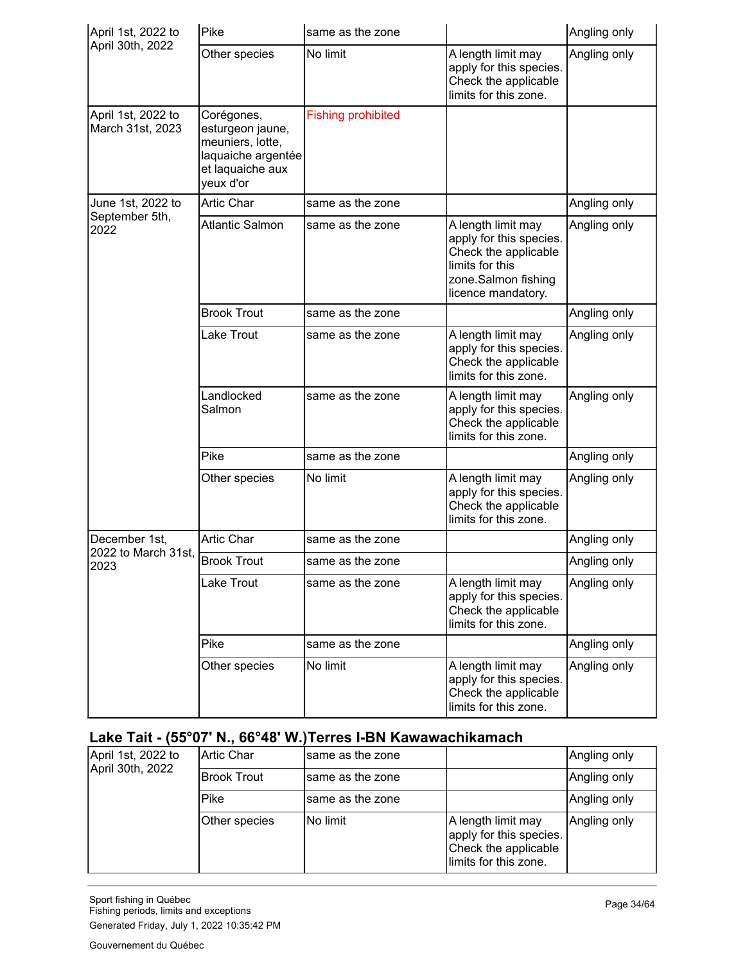| April 1st, 2022 to                     | Pike                                                                                                      | same as the zone          |                                                                                                                                       | Angling only |
|----------------------------------------|-----------------------------------------------------------------------------------------------------------|---------------------------|---------------------------------------------------------------------------------------------------------------------------------------|--------------|
| April 30th, 2022                       | Other species                                                                                             | No limit                  | A length limit may<br>apply for this species.<br>Check the applicable<br>limits for this zone.                                        | Angling only |
| April 1st, 2022 to<br>March 31st, 2023 | Corégones,<br>esturgeon jaune,<br>meuniers, lotte,<br>laquaiche argentée<br>et laquaiche aux<br>yeux d'or | <b>Fishing prohibited</b> |                                                                                                                                       |              |
| June 1st, 2022 to                      | <b>Artic Char</b>                                                                                         | same as the zone          |                                                                                                                                       | Angling only |
| September 5th,<br>2022                 | <b>Atlantic Salmon</b>                                                                                    | same as the zone          | A length limit may<br>apply for this species.<br>Check the applicable<br>limits for this<br>zone.Salmon fishing<br>licence mandatory. | Angling only |
|                                        | <b>Brook Trout</b>                                                                                        | same as the zone          |                                                                                                                                       | Angling only |
|                                        | Lake Trout                                                                                                | same as the zone          | A length limit may<br>apply for this species.<br>Check the applicable<br>limits for this zone.                                        | Angling only |
|                                        | Landlocked<br>Salmon                                                                                      | same as the zone          | A length limit may<br>apply for this species.<br>Check the applicable<br>limits for this zone.                                        | Angling only |
|                                        | Pike                                                                                                      | same as the zone          |                                                                                                                                       | Angling only |
|                                        | Other species                                                                                             | No limit                  | A length limit may<br>apply for this species.<br>Check the applicable<br>limits for this zone.                                        | Angling only |
| December 1st.<br>2022 to March 31st,   | Artic Char                                                                                                | same as the zone          |                                                                                                                                       | Angling only |
| 2023                                   | <b>Brook Trout</b>                                                                                        | same as the zone          |                                                                                                                                       | Angling only |
|                                        | Lake Trout                                                                                                | same as the zone          | A length limit may<br>apply for this species.<br>Check the applicable<br>limits for this zone.                                        | Angling only |
|                                        | Pike                                                                                                      | same as the zone          |                                                                                                                                       | Angling only |
|                                        | Other species                                                                                             | No limit                  | A length limit may<br>apply for this species.<br>Check the applicable<br>limits for this zone.                                        | Angling only |

## **Lake Tait - (55°07' N., 66°48' W.)Terres I-BN Kawawachikamach**

| April 1st, 2022 to<br>April 30th, 2022 | <b>Artic Char</b>  | Isame as the zone |                                                                                                | Angling only |
|----------------------------------------|--------------------|-------------------|------------------------------------------------------------------------------------------------|--------------|
|                                        | <b>Brook Trout</b> | Isame as the zone |                                                                                                | Angling only |
|                                        | Pike               | Isame as the zone |                                                                                                | Angling only |
|                                        | Other species      | No limit          | A length limit may<br>apply for this species.<br>Check the applicable<br>limits for this zone. | Angling only |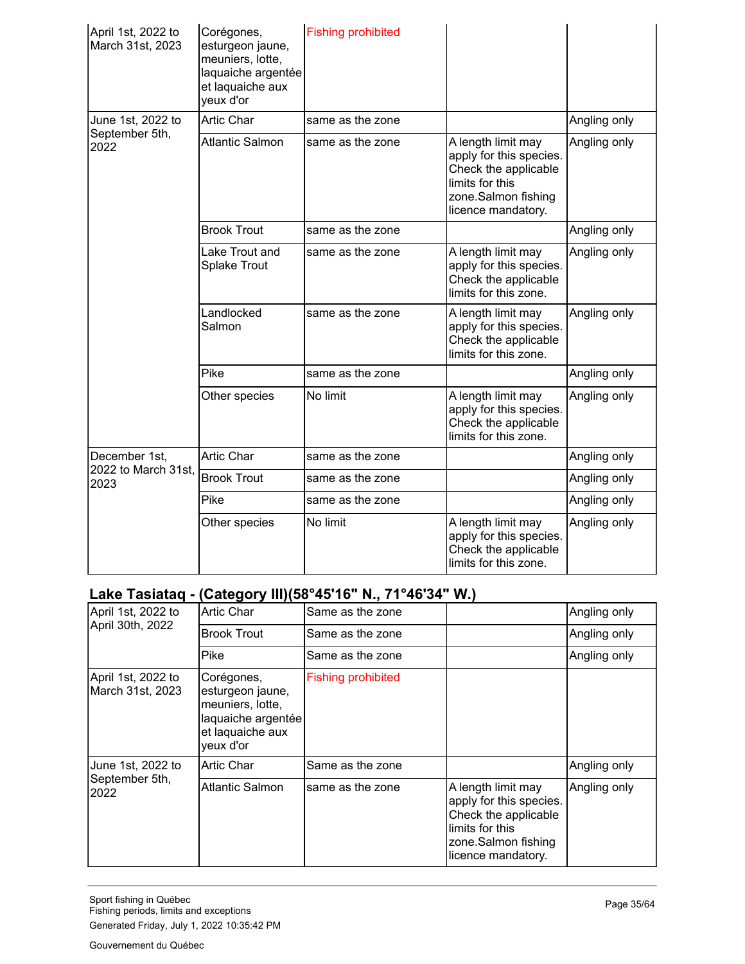| April 1st, 2022 to<br>March 31st, 2023 | Corégones,<br>esturgeon jaune,<br>meuniers, lotte,<br>laquaiche argentée<br>et laquaiche aux<br>yeux d'or | <b>Fishing prohibited</b> |                                                                                                                                       |              |
|----------------------------------------|-----------------------------------------------------------------------------------------------------------|---------------------------|---------------------------------------------------------------------------------------------------------------------------------------|--------------|
| June 1st, 2022 to                      | <b>Artic Char</b>                                                                                         | same as the zone          |                                                                                                                                       | Angling only |
| September 5th,<br>2022                 | <b>Atlantic Salmon</b>                                                                                    | same as the zone          | A length limit may<br>apply for this species.<br>Check the applicable<br>limits for this<br>zone.Salmon fishing<br>licence mandatory. | Angling only |
|                                        | <b>Brook Trout</b>                                                                                        | same as the zone          |                                                                                                                                       | Angling only |
|                                        | Lake Trout and<br><b>Splake Trout</b>                                                                     | same as the zone          | A length limit may<br>apply for this species.<br>Check the applicable<br>limits for this zone.                                        | Angling only |
|                                        | Landlocked<br>Salmon                                                                                      | same as the zone          | A length limit may<br>apply for this species.<br>Check the applicable<br>limits for this zone.                                        | Angling only |
|                                        | Pike                                                                                                      | same as the zone          |                                                                                                                                       | Angling only |
|                                        | Other species                                                                                             | No limit                  | A length limit may<br>apply for this species.<br>Check the applicable<br>limits for this zone.                                        | Angling only |
| December 1st,                          | <b>Artic Char</b>                                                                                         | same as the zone          |                                                                                                                                       | Angling only |
| 2022 to March 31st,<br>2023            | <b>Brook Trout</b>                                                                                        | same as the zone          |                                                                                                                                       | Angling only |
|                                        | Pike                                                                                                      | same as the zone          |                                                                                                                                       | Angling only |
|                                        | Other species                                                                                             | No limit                  | A length limit may<br>apply for this species.<br>Check the applicable<br>limits for this zone.                                        | Angling only |

# **Lake Tasiataq - (Category III)(58°45'16" N., 71°46'34" W.)**

| April 1st, 2022 to                     | <b>Artic Char</b>                                                                                         | Same as the zone          |                                                                                                                                       | Angling only |
|----------------------------------------|-----------------------------------------------------------------------------------------------------------|---------------------------|---------------------------------------------------------------------------------------------------------------------------------------|--------------|
| April 30th, 2022                       | <b>Brook Trout</b>                                                                                        | Same as the zone          |                                                                                                                                       | Angling only |
|                                        | Pike                                                                                                      | Same as the zone          |                                                                                                                                       | Angling only |
| April 1st, 2022 to<br>March 31st, 2023 | Corégones,<br>esturgeon jaune,<br>meuniers, lotte,<br>laquaiche argentée<br>et laquaiche aux<br>yeux d'or | <b>Fishing prohibited</b> |                                                                                                                                       |              |
| June 1st, 2022 to                      | <b>Artic Char</b>                                                                                         | Same as the zone          |                                                                                                                                       | Angling only |
| September 5th,<br>2022                 | Atlantic Salmon                                                                                           | same as the zone          | A length limit may<br>apply for this species.<br>Check the applicable<br>limits for this<br>zone.Salmon fishing<br>licence mandatory. | Angling only |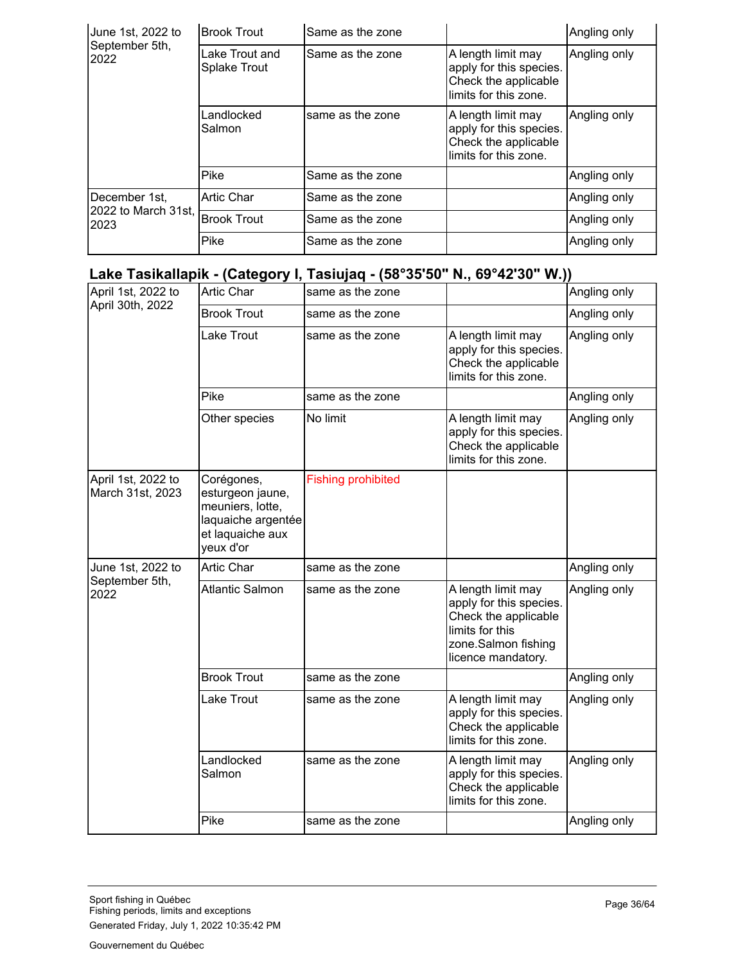| June 1st, 2022 to<br>September 5th,<br>2022  | <b>Brook Trout</b>             | Same as the zone |                                                                                                | Angling only |
|----------------------------------------------|--------------------------------|------------------|------------------------------------------------------------------------------------------------|--------------|
|                                              | Lake Trout and<br>Splake Trout | Same as the zone | A length limit may<br>apply for this species.<br>Check the applicable<br>limits for this zone. | Angling only |
|                                              | Landlocked<br>Salmon           | same as the zone | A length limit may<br>apply for this species.<br>Check the applicable<br>limits for this zone. | Angling only |
|                                              | Pike                           | Same as the zone |                                                                                                | Angling only |
| December 1st,<br>2022 to March 31st,<br>2023 | <b>Artic Char</b>              | Same as the zone |                                                                                                | Angling only |
|                                              | <b>Brook Trout</b>             | Same as the zone |                                                                                                | Angling only |
|                                              | Pike                           | Same as the zone |                                                                                                | Angling only |

# **Lake Tasikallapik - (Category I, Tasiujaq - (58°35'50" N., 69°42'30" W.))**

| April 1st, 2022 to                     | <b>Artic Char</b>                                                                                         | same as the zone          |                                                                                                                                       | Angling only |
|----------------------------------------|-----------------------------------------------------------------------------------------------------------|---------------------------|---------------------------------------------------------------------------------------------------------------------------------------|--------------|
| April 30th, 2022                       | <b>Brook Trout</b>                                                                                        | same as the zone          |                                                                                                                                       | Angling only |
|                                        | Lake Trout                                                                                                | same as the zone          | A length limit may<br>apply for this species.<br>Check the applicable<br>limits for this zone.                                        | Angling only |
|                                        | Pike                                                                                                      | same as the zone          |                                                                                                                                       | Angling only |
|                                        | Other species                                                                                             | No limit                  | A length limit may<br>apply for this species.<br>Check the applicable<br>limits for this zone.                                        | Angling only |
| April 1st, 2022 to<br>March 31st, 2023 | Corégones,<br>esturgeon jaune,<br>meuniers, lotte,<br>laquaiche argentée<br>et laquaiche aux<br>yeux d'or | <b>Fishing prohibited</b> |                                                                                                                                       |              |
| June 1st, 2022 to                      | <b>Artic Char</b>                                                                                         | same as the zone          |                                                                                                                                       | Angling only |
| September 5th,<br>2022                 | <b>Atlantic Salmon</b>                                                                                    | same as the zone          | A length limit may<br>apply for this species.<br>Check the applicable<br>limits for this<br>zone.Salmon fishing<br>licence mandatory. | Angling only |
|                                        | <b>Brook Trout</b>                                                                                        | same as the zone          |                                                                                                                                       | Angling only |
|                                        | Lake Trout                                                                                                | same as the zone          | A length limit may<br>apply for this species.<br>Check the applicable<br>limits for this zone.                                        | Angling only |
|                                        | Landlocked<br>Salmon                                                                                      | same as the zone          | A length limit may<br>apply for this species.<br>Check the applicable<br>limits for this zone.                                        | Angling only |
|                                        | Pike                                                                                                      | same as the zone          |                                                                                                                                       | Angling only |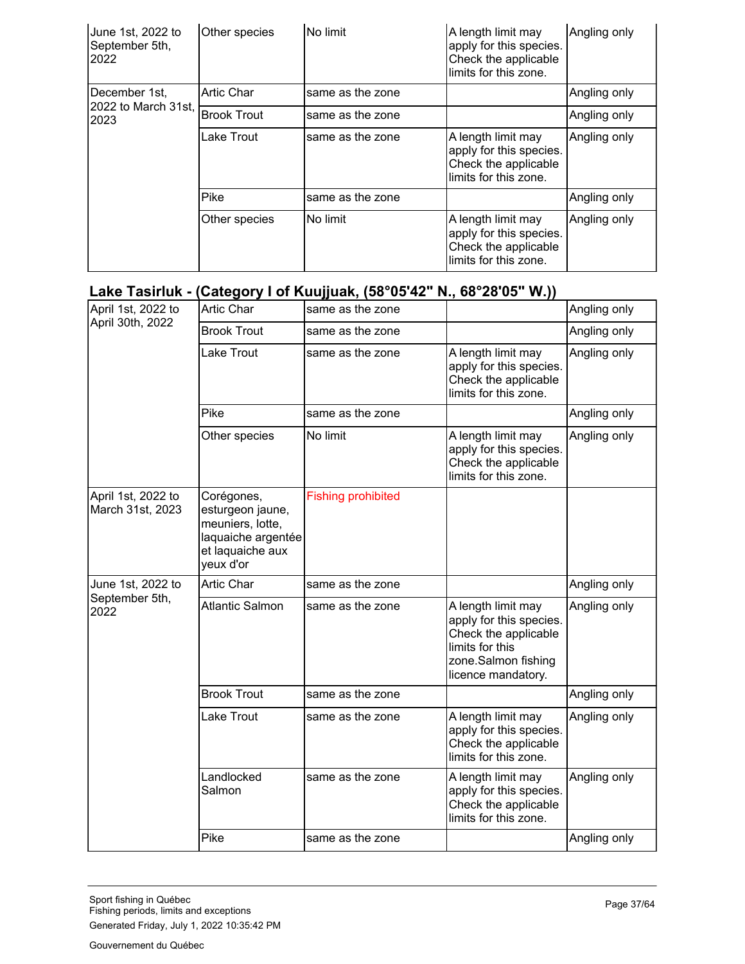| June 1st, 2022 to<br>September 5th,<br>2022 | Other species      | No limit         | A length limit may<br>apply for this species.<br>Check the applicable<br>limits for this zone. | Angling only |
|---------------------------------------------|--------------------|------------------|------------------------------------------------------------------------------------------------|--------------|
| December 1st,                               | <b>Artic Char</b>  | same as the zone |                                                                                                | Angling only |
| 2022 to March 31st,<br>2023                 | <b>Brook Trout</b> | same as the zone |                                                                                                | Angling only |
|                                             | Lake Trout         | same as the zone | A length limit may<br>apply for this species.<br>Check the applicable<br>limits for this zone. | Angling only |
|                                             | Pike               | same as the zone |                                                                                                | Angling only |
|                                             | Other species      | No limit         | A length limit may<br>apply for this species.<br>Check the applicable<br>limits for this zone. | Angling only |

# **Lake Tasirluk - (Category I of Kuujjuak, (58°05'42" N., 68°28'05" W.))**

| April 1st, 2022 to                     | <b>Artic Char</b>                                                                                         | same as the zone          |                                                                                                                                       | Angling only |
|----------------------------------------|-----------------------------------------------------------------------------------------------------------|---------------------------|---------------------------------------------------------------------------------------------------------------------------------------|--------------|
| April 30th, 2022                       | <b>Brook Trout</b>                                                                                        | same as the zone          |                                                                                                                                       | Angling only |
|                                        | Lake Trout                                                                                                | same as the zone          | A length limit may<br>apply for this species.<br>Check the applicable<br>limits for this zone.                                        | Angling only |
|                                        | Pike                                                                                                      | same as the zone          |                                                                                                                                       | Angling only |
|                                        | Other species                                                                                             | No limit                  | A length limit may<br>apply for this species.<br>Check the applicable<br>limits for this zone.                                        | Angling only |
| April 1st, 2022 to<br>March 31st, 2023 | Corégones,<br>esturgeon jaune,<br>meuniers, lotte,<br>laquaiche argentée<br>et laquaiche aux<br>yeux d'or | <b>Fishing prohibited</b> |                                                                                                                                       |              |
| June 1st, 2022 to                      | <b>Artic Char</b>                                                                                         | same as the zone          |                                                                                                                                       | Angling only |
| September 5th,<br>2022                 | <b>Atlantic Salmon</b>                                                                                    | same as the zone          | A length limit may<br>apply for this species.<br>Check the applicable<br>limits for this<br>zone.Salmon fishing<br>licence mandatory. | Angling only |
|                                        | <b>Brook Trout</b>                                                                                        | same as the zone          |                                                                                                                                       | Angling only |
|                                        | Lake Trout                                                                                                | same as the zone          | A length limit may<br>apply for this species.<br>Check the applicable<br>limits for this zone.                                        | Angling only |
|                                        | Landlocked<br>Salmon                                                                                      | same as the zone          | A length limit may<br>apply for this species.<br>Check the applicable<br>limits for this zone.                                        | Angling only |
|                                        | Pike                                                                                                      | same as the zone          |                                                                                                                                       | Angling only |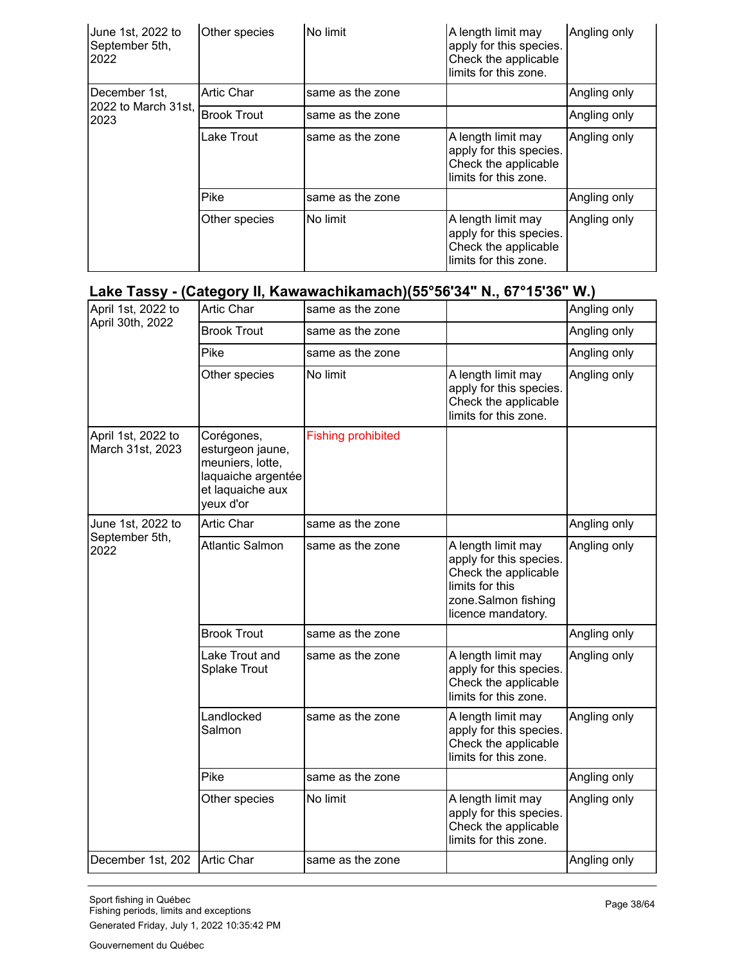| June 1st, 2022 to<br>September 5th,<br>2022 | Other species      | No limit         | A length limit may<br>apply for this species.<br>Check the applicable<br>limits for this zone. | Angling only |
|---------------------------------------------|--------------------|------------------|------------------------------------------------------------------------------------------------|--------------|
| December 1st,                               | <b>Artic Char</b>  | same as the zone |                                                                                                | Angling only |
| 2022 to March 31st,<br>2023                 | <b>Brook Trout</b> | same as the zone |                                                                                                | Angling only |
|                                             | Lake Trout         | same as the zone | A length limit may<br>apply for this species.<br>Check the applicable<br>limits for this zone. | Angling only |
|                                             | Pike               | same as the zone |                                                                                                | Angling only |
|                                             | Other species      | No limit         | A length limit may<br>apply for this species.<br>Check the applicable<br>limits for this zone. | Angling only |

# **Lake Tassy - (Category II, Kawawachikamach)(55°56'34" N., 67°15'36" W.)**

| April 1st, 2022 to                     | Artic Char                                                                                                | same as the zone          |                                                                                                                                       | Angling only |
|----------------------------------------|-----------------------------------------------------------------------------------------------------------|---------------------------|---------------------------------------------------------------------------------------------------------------------------------------|--------------|
| April 30th, 2022                       | <b>Brook Trout</b>                                                                                        | same as the zone          |                                                                                                                                       | Angling only |
|                                        | Pike                                                                                                      | same as the zone          |                                                                                                                                       | Angling only |
|                                        | Other species                                                                                             | No limit                  | A length limit may<br>apply for this species.<br>Check the applicable<br>limits for this zone.                                        | Angling only |
| April 1st, 2022 to<br>March 31st, 2023 | Corégones,<br>esturgeon jaune,<br>meuniers, lotte,<br>laquaiche argentée<br>et laquaiche aux<br>yeux d'or | <b>Fishing prohibited</b> |                                                                                                                                       |              |
| June 1st, 2022 to                      | <b>Artic Char</b>                                                                                         | same as the zone          |                                                                                                                                       | Angling only |
| September 5th,<br>2022                 | <b>Atlantic Salmon</b>                                                                                    | same as the zone          | A length limit may<br>apply for this species.<br>Check the applicable<br>limits for this<br>zone.Salmon fishing<br>licence mandatory. | Angling only |
|                                        | <b>Brook Trout</b>                                                                                        | same as the zone          |                                                                                                                                       | Angling only |
|                                        | Lake Trout and<br><b>Splake Trout</b>                                                                     | same as the zone          | A length limit may<br>apply for this species.<br>Check the applicable<br>limits for this zone.                                        | Angling only |
|                                        | Landlocked<br>Salmon                                                                                      | same as the zone          | A length limit may<br>apply for this species.<br>Check the applicable<br>limits for this zone.                                        | Angling only |
|                                        | Pike                                                                                                      | same as the zone          |                                                                                                                                       | Angling only |
|                                        | Other species                                                                                             | No limit                  | A length limit may<br>apply for this species.<br>Check the applicable<br>limits for this zone.                                        | Angling only |
| December 1st, 202                      | <b>Artic Char</b>                                                                                         | same as the zone          |                                                                                                                                       | Angling only |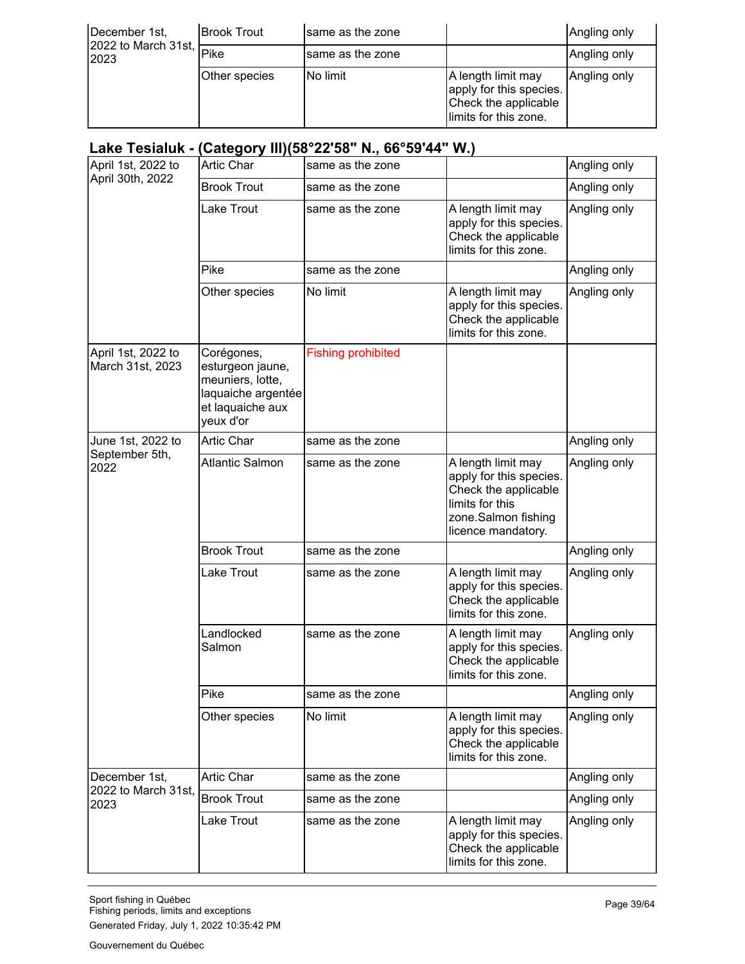| December 1st,<br>2022 to March 31st,<br>2023 | IBrook Trout  | Isame as the zone |                                                                                                | Angling only |
|----------------------------------------------|---------------|-------------------|------------------------------------------------------------------------------------------------|--------------|
|                                              | Pike          | same as the zone  |                                                                                                | Angling only |
|                                              | Other species | No limit          | A length limit may<br>apply for this species.<br>Check the applicable<br>limits for this zone. | Angling only |

### **Lake Tesialuk - (Category III)(58°22'58" N., 66°59'44" W.)**

| April 1st, 2022 to                     | <b>Artic Char</b>                                                                                         | same as the zone          |                                                                                                                                       | Angling only |
|----------------------------------------|-----------------------------------------------------------------------------------------------------------|---------------------------|---------------------------------------------------------------------------------------------------------------------------------------|--------------|
| April 30th, 2022                       | <b>Brook Trout</b>                                                                                        | same as the zone          |                                                                                                                                       | Angling only |
|                                        | Lake Trout                                                                                                | same as the zone          | A length limit may<br>apply for this species.<br>Check the applicable<br>limits for this zone.                                        | Angling only |
|                                        | Pike                                                                                                      | same as the zone          |                                                                                                                                       | Angling only |
|                                        | Other species                                                                                             | No limit                  | A length limit may<br>apply for this species.<br>Check the applicable<br>limits for this zone.                                        | Angling only |
| April 1st, 2022 to<br>March 31st, 2023 | Corégones,<br>esturgeon jaune,<br>meuniers, lotte,<br>laquaiche argentée<br>et laquaiche aux<br>yeux d'or | <b>Fishing prohibited</b> |                                                                                                                                       |              |
| June 1st, 2022 to                      | <b>Artic Char</b>                                                                                         | same as the zone          |                                                                                                                                       | Angling only |
| September 5th,<br>2022                 | <b>Atlantic Salmon</b>                                                                                    | same as the zone          | A length limit may<br>apply for this species.<br>Check the applicable<br>limits for this<br>zone.Salmon fishing<br>licence mandatory. | Angling only |
|                                        | <b>Brook Trout</b>                                                                                        | same as the zone          |                                                                                                                                       | Angling only |
|                                        | Lake Trout                                                                                                | same as the zone          | A length limit may<br>apply for this species.<br>Check the applicable<br>limits for this zone.                                        | Angling only |
|                                        | Landlocked<br>Salmon                                                                                      | same as the zone          | A length limit may<br>apply for this species.<br>Check the applicable<br>limits for this zone.                                        | Angling only |
|                                        | Pike                                                                                                      | same as the zone          |                                                                                                                                       | Angling only |
|                                        | Other species                                                                                             | No limit                  | A length limit may<br>apply for this species.<br>Check the applicable<br>limits for this zone.                                        | Angling only |
| December 1st,<br>2022 to March 31st,   | <b>Artic Char</b>                                                                                         | same as the zone          |                                                                                                                                       | Angling only |
| 2023                                   | <b>Brook Trout</b>                                                                                        | same as the zone          |                                                                                                                                       | Angling only |
|                                        | Lake Trout                                                                                                | same as the zone          | A length limit may<br>apply for this species.<br>Check the applicable<br>limits for this zone.                                        | Angling only |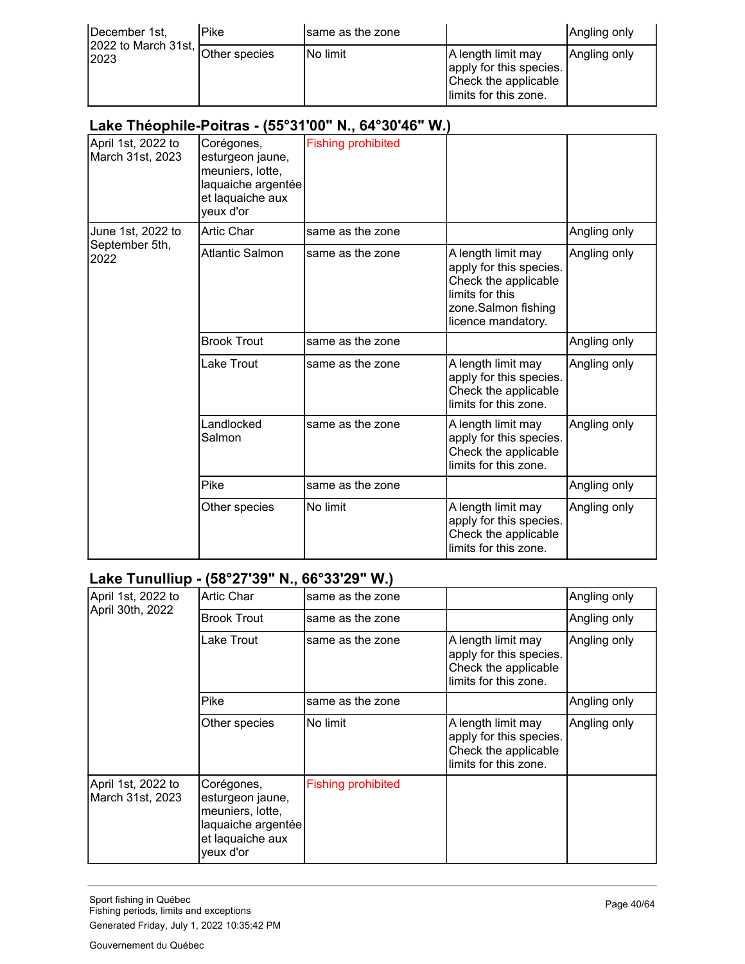| December 1st,                  | Pike          | same as the zone |                                                                                                | Angling only |
|--------------------------------|---------------|------------------|------------------------------------------------------------------------------------------------|--------------|
| $ 2022$ to March 31st,<br>2023 | Other species | No limit         | A length limit may<br>apply for this species.<br>Check the applicable<br>limits for this zone. | Angling only |

#### **Lake Théophile-Poitras - (55°31'00" N., 64°30'46" W.)**

| April 1st, 2022 to<br>March 31st, 2023 | Corégones,<br>esturgeon jaune,<br>meuniers, lotte,<br>laquaiche argentée<br>et laquaiche aux<br>yeux d'or | <b>Fishing prohibited</b> |                                                                                                                                       |              |
|----------------------------------------|-----------------------------------------------------------------------------------------------------------|---------------------------|---------------------------------------------------------------------------------------------------------------------------------------|--------------|
| June 1st, 2022 to                      | <b>Artic Char</b>                                                                                         | same as the zone          |                                                                                                                                       | Angling only |
| September 5th,<br>2022                 | <b>Atlantic Salmon</b>                                                                                    | same as the zone          | A length limit may<br>apply for this species.<br>Check the applicable<br>limits for this<br>zone.Salmon fishing<br>licence mandatory. | Angling only |
|                                        | <b>Brook Trout</b>                                                                                        | same as the zone          |                                                                                                                                       | Angling only |
|                                        | Lake Trout                                                                                                | same as the zone          | A length limit may<br>apply for this species.<br>Check the applicable<br>limits for this zone.                                        | Angling only |
|                                        | Landlocked<br>Salmon                                                                                      | same as the zone          | A length limit may<br>apply for this species.<br>Check the applicable<br>limits for this zone.                                        | Angling only |
|                                        | Pike                                                                                                      | same as the zone          |                                                                                                                                       | Angling only |
|                                        | Other species                                                                                             | No limit                  | A length limit may<br>apply for this species.<br>Check the applicable<br>limits for this zone.                                        | Angling only |

# **Lake Tunulliup - (58°27'39" N., 66°33'29" W.)**

| April 1st, 2022 to                     | <b>Artic Char</b>                                                                                         | same as the zone          |                                                                                                | Angling only |
|----------------------------------------|-----------------------------------------------------------------------------------------------------------|---------------------------|------------------------------------------------------------------------------------------------|--------------|
| April 30th, 2022                       | <b>Brook Trout</b>                                                                                        | same as the zone          |                                                                                                | Angling only |
|                                        | Lake Trout                                                                                                | same as the zone          | A length limit may<br>apply for this species.<br>Check the applicable<br>limits for this zone. | Angling only |
|                                        | Pike                                                                                                      | same as the zone          |                                                                                                | Angling only |
|                                        | Other species                                                                                             | No limit                  | A length limit may<br>apply for this species.<br>Check the applicable<br>limits for this zone. | Angling only |
| April 1st, 2022 to<br>March 31st, 2023 | Corégones,<br>esturgeon jaune,<br>meuniers, lotte,<br>laquaiche argentée<br>et laquaiche aux<br>yeux d'or | <b>Fishing prohibited</b> |                                                                                                |              |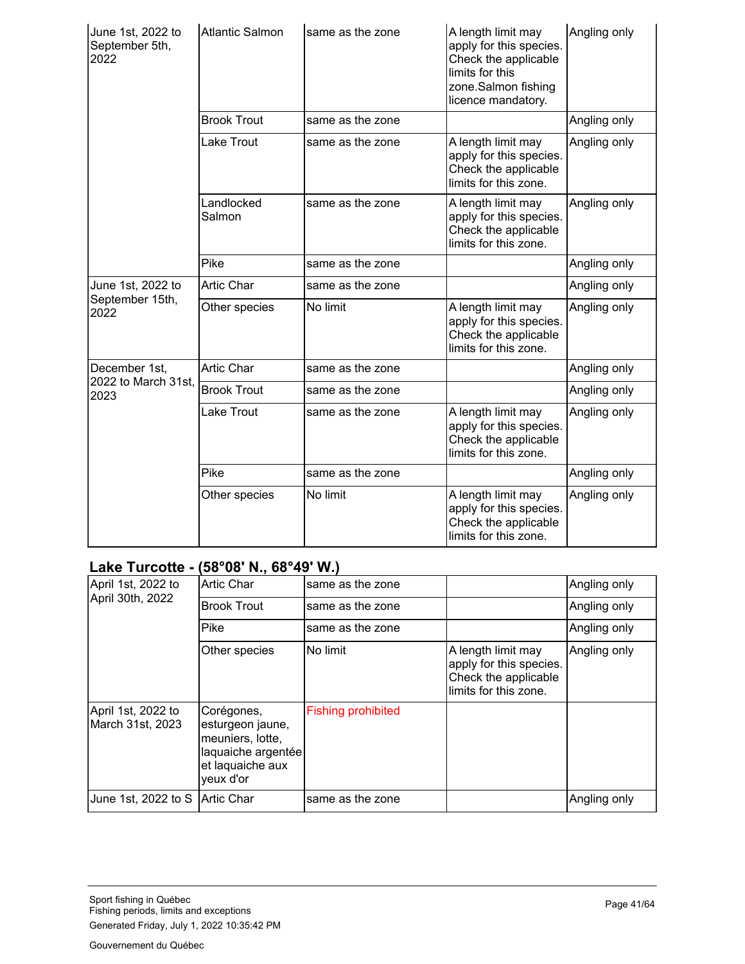| June 1st, 2022 to<br>September 5th,<br>2022 | <b>Atlantic Salmon</b> | same as the zone | A length limit may<br>apply for this species.<br>Check the applicable<br>limits for this<br>zone.Salmon fishing<br>licence mandatory. | Angling only |
|---------------------------------------------|------------------------|------------------|---------------------------------------------------------------------------------------------------------------------------------------|--------------|
|                                             | <b>Brook Trout</b>     | same as the zone |                                                                                                                                       | Angling only |
|                                             | Lake Trout             | same as the zone | A length limit may<br>apply for this species.<br>Check the applicable<br>limits for this zone.                                        | Angling only |
|                                             | Landlocked<br>Salmon   | same as the zone | A length limit may<br>apply for this species.<br>Check the applicable<br>limits for this zone.                                        | Angling only |
|                                             | Pike                   | same as the zone |                                                                                                                                       | Angling only |
| June 1st, 2022 to                           | <b>Artic Char</b>      | same as the zone |                                                                                                                                       | Angling only |
| September 15th,<br>2022                     | Other species          | No limit         | A length limit may<br>apply for this species.<br>Check the applicable<br>limits for this zone.                                        | Angling only |
| December 1st,<br>2022 to March 31st,        | Artic Char             | same as the zone |                                                                                                                                       | Angling only |
| 2023                                        | <b>Brook Trout</b>     | same as the zone |                                                                                                                                       | Angling only |
|                                             | Lake Trout             | same as the zone | A length limit may<br>apply for this species.<br>Check the applicable<br>limits for this zone.                                        | Angling only |
|                                             | Pike                   | same as the zone |                                                                                                                                       | Angling only |
|                                             | Other species          | No limit         | A length limit may<br>apply for this species.<br>Check the applicable<br>limits for this zone.                                        | Angling only |

# **Lake Turcotte - (58°08' N., 68°49' W.)**

| April 1st, 2022 to                     | <b>Artic Char</b>                                                                                         | same as the zone          |                                                                                                | Angling only |
|----------------------------------------|-----------------------------------------------------------------------------------------------------------|---------------------------|------------------------------------------------------------------------------------------------|--------------|
| April 30th, 2022                       | <b>Brook Trout</b>                                                                                        | same as the zone          |                                                                                                | Angling only |
|                                        | Pike                                                                                                      | same as the zone          |                                                                                                | Angling only |
|                                        | Other species                                                                                             | No limit                  | A length limit may<br>apply for this species.<br>Check the applicable<br>limits for this zone. | Angling only |
| April 1st, 2022 to<br>March 31st, 2023 | Corégones,<br>esturgeon jaune,<br>meuniers, lotte,<br>laquaiche argentée<br>et laquaiche aux<br>yeux d'or | <b>Fishing prohibited</b> |                                                                                                |              |
| June 1st, 2022 to S                    | <b>Artic Char</b>                                                                                         | same as the zone          |                                                                                                | Angling only |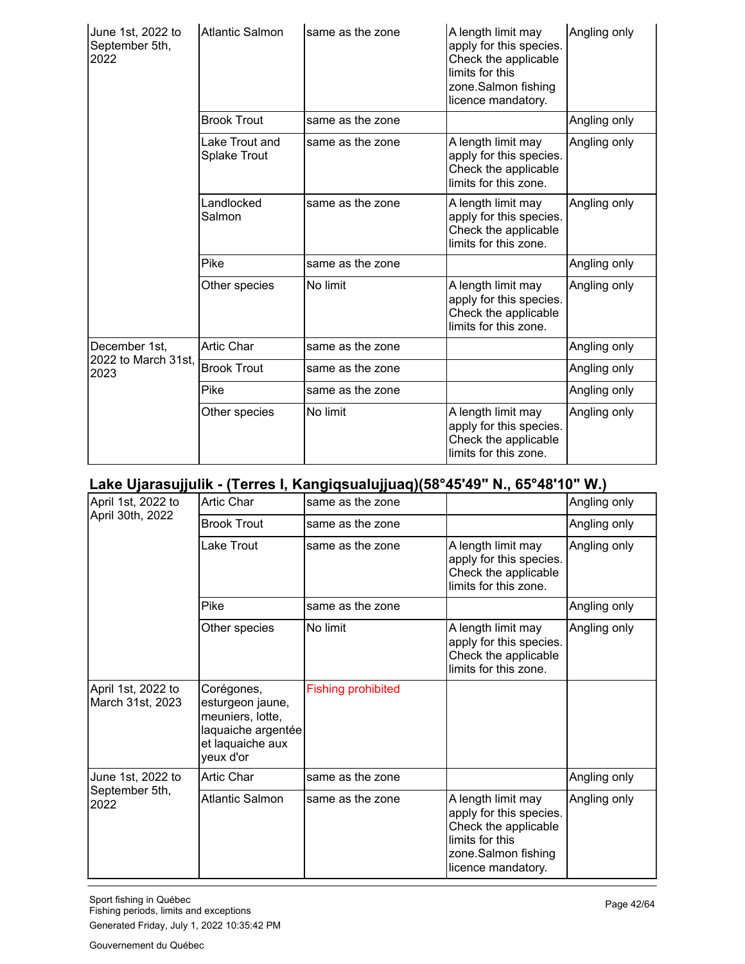| June 1st, 2022 to<br>September 5th,<br>2022 | <b>Atlantic Salmon</b>         | same as the zone | A length limit may<br>apply for this species.<br>Check the applicable<br>limits for this<br>zone.Salmon fishing<br>licence mandatory. | Angling only |
|---------------------------------------------|--------------------------------|------------------|---------------------------------------------------------------------------------------------------------------------------------------|--------------|
|                                             | <b>Brook Trout</b>             | same as the zone |                                                                                                                                       | Angling only |
|                                             | Lake Trout and<br>Splake Trout | same as the zone | A length limit may<br>apply for this species.<br>Check the applicable<br>limits for this zone.                                        | Angling only |
|                                             | Landlocked<br>Salmon           | same as the zone | A length limit may<br>apply for this species.<br>Check the applicable<br>limits for this zone.                                        | Angling only |
|                                             | Pike                           | same as the zone |                                                                                                                                       | Angling only |
|                                             | Other species                  | No limit         | A length limit may<br>apply for this species.<br>Check the applicable<br>limits for this zone.                                        | Angling only |
| December 1st,<br>2022 to March 31st,        | <b>Artic Char</b>              | same as the zone |                                                                                                                                       | Angling only |
| 2023                                        | <b>Brook Trout</b>             | same as the zone |                                                                                                                                       | Angling only |
|                                             | Pike                           | same as the zone |                                                                                                                                       | Angling only |
|                                             | Other species                  | No limit         | A length limit may<br>apply for this species.<br>Check the applicable<br>limits for this zone.                                        | Angling only |

# **Lake Ujarasujjulik - (Terres I, Kangiqsualujjuaq)(58°45'49" N., 65°48'10" W.)**

| .<br>April 1st, 2022 to                     | <b>Artic Char</b>                                                                                         | same as the zone          |                                                                                                                                       | Angling only |
|---------------------------------------------|-----------------------------------------------------------------------------------------------------------|---------------------------|---------------------------------------------------------------------------------------------------------------------------------------|--------------|
| April 30th, 2022                            | <b>Brook Trout</b>                                                                                        | same as the zone          |                                                                                                                                       | Angling only |
|                                             | Lake Trout                                                                                                | same as the zone          | A length limit may<br>apply for this species.<br>Check the applicable<br>limits for this zone.                                        | Angling only |
|                                             | Pike                                                                                                      | same as the zone          |                                                                                                                                       | Angling only |
|                                             | Other species                                                                                             | No limit                  | A length limit may<br>apply for this species.<br>Check the applicable<br>limits for this zone.                                        | Angling only |
| April 1st, 2022 to<br>March 31st, 2023      | Corégones,<br>esturgeon jaune,<br>meuniers, lotte,<br>laquaiche argentée<br>et laquaiche aux<br>yeux d'or | <b>Fishing prohibited</b> |                                                                                                                                       |              |
| June 1st, 2022 to<br>September 5th,<br>2022 | <b>Artic Char</b>                                                                                         | same as the zone          |                                                                                                                                       | Angling only |
|                                             | Atlantic Salmon                                                                                           | same as the zone          | A length limit may<br>apply for this species.<br>Check the applicable<br>limits for this<br>zone.Salmon fishing<br>licence mandatory. | Angling only |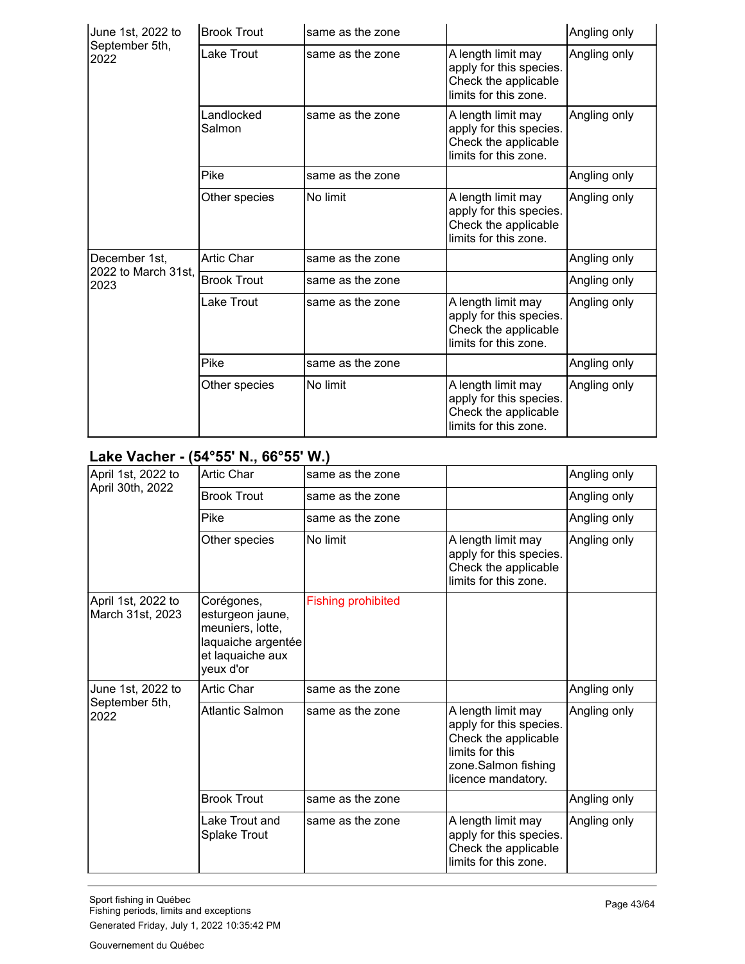| June 1st, 2022 to           | <b>Brook Trout</b>   | same as the zone |                                                                                                | Angling only |
|-----------------------------|----------------------|------------------|------------------------------------------------------------------------------------------------|--------------|
| September 5th,<br>2022      | Lake Trout           | same as the zone | A length limit may<br>apply for this species.<br>Check the applicable<br>limits for this zone. | Angling only |
|                             | Landlocked<br>Salmon | same as the zone | A length limit may<br>apply for this species.<br>Check the applicable<br>limits for this zone. | Angling only |
|                             | Pike                 | same as the zone |                                                                                                | Angling only |
|                             | Other species        | No limit         | A length limit may<br>apply for this species.<br>Check the applicable<br>limits for this zone. | Angling only |
| December 1st,               | <b>Artic Char</b>    | same as the zone |                                                                                                | Angling only |
| 2022 to March 31st,<br>2023 | <b>Brook Trout</b>   | same as the zone |                                                                                                | Angling only |
|                             | Lake Trout           | same as the zone | A length limit may<br>apply for this species.<br>Check the applicable<br>limits for this zone. | Angling only |
|                             | Pike                 | same as the zone |                                                                                                | Angling only |
|                             | Other species        | No limit         | A length limit may<br>apply for this species.<br>Check the applicable<br>limits for this zone. | Angling only |

#### **Lake Vacher - (54°55' N., 66°55' W.)**

| April 1st, 2022 to                     | <b>Artic Char</b>                                                                                         | same as the zone          |                                                                                                                                       | Angling only |
|----------------------------------------|-----------------------------------------------------------------------------------------------------------|---------------------------|---------------------------------------------------------------------------------------------------------------------------------------|--------------|
| April 30th, 2022                       | <b>Brook Trout</b>                                                                                        | same as the zone          |                                                                                                                                       | Angling only |
|                                        | Pike                                                                                                      | same as the zone          |                                                                                                                                       | Angling only |
|                                        | Other species                                                                                             | No limit                  | A length limit may<br>apply for this species.<br>Check the applicable<br>limits for this zone.                                        | Angling only |
| April 1st, 2022 to<br>March 31st, 2023 | Corégones,<br>esturgeon jaune,<br>meuniers, lotte,<br>laquaiche argentée<br>et laquaiche aux<br>yeux d'or | <b>Fishing prohibited</b> |                                                                                                                                       |              |
| June 1st, 2022 to                      | <b>Artic Char</b>                                                                                         | same as the zone          |                                                                                                                                       | Angling only |
| September 5th,<br>2022                 | <b>Atlantic Salmon</b>                                                                                    | same as the zone          | A length limit may<br>apply for this species.<br>Check the applicable<br>limits for this<br>zone.Salmon fishing<br>licence mandatory. | Angling only |
|                                        | <b>Brook Trout</b>                                                                                        | same as the zone          |                                                                                                                                       | Angling only |
|                                        | Lake Trout and<br>Splake Trout                                                                            | same as the zone          | A length limit may<br>apply for this species.<br>Check the applicable<br>limits for this zone.                                        | Angling only |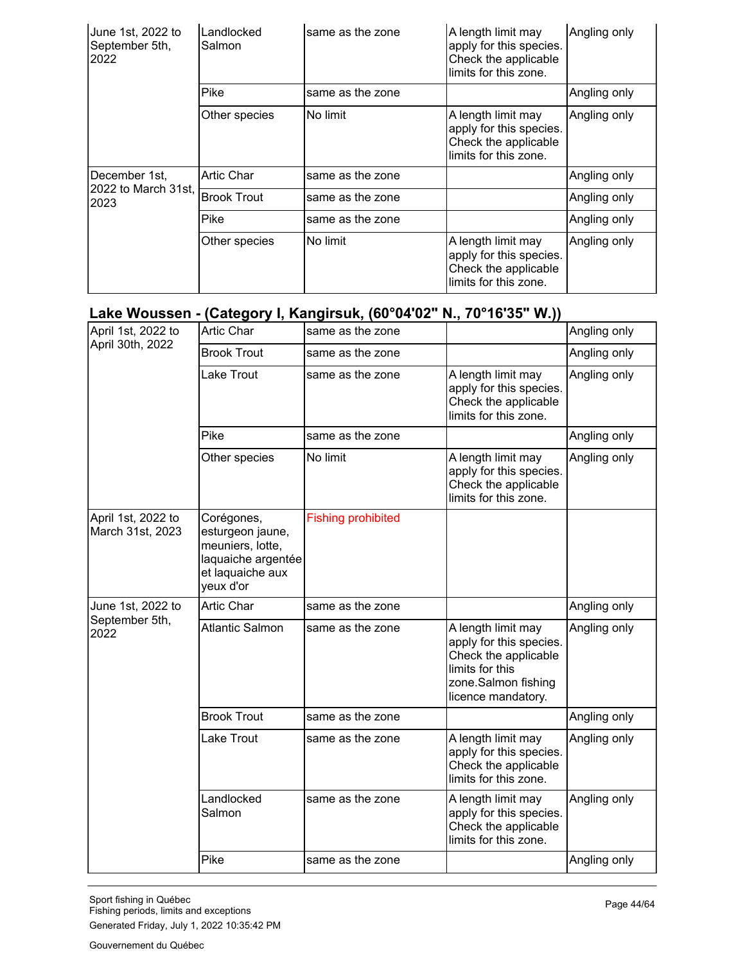| June 1st, 2022 to<br>September 5th,<br>2022 | Landlocked<br>Salmon | same as the zone | A length limit may<br>apply for this species.<br>Check the applicable<br>limits for this zone. | Angling only |
|---------------------------------------------|----------------------|------------------|------------------------------------------------------------------------------------------------|--------------|
|                                             | Pike                 | same as the zone |                                                                                                | Angling only |
|                                             | Other species        | No limit         | A length limit may<br>apply for this species.<br>Check the applicable<br>limits for this zone. | Angling only |
| December 1st,                               | Artic Char           | same as the zone |                                                                                                | Angling only |
| 2022 to March 31st,<br>2023                 | <b>Brook Trout</b>   | same as the zone |                                                                                                | Angling only |
|                                             | Pike                 | same as the zone |                                                                                                | Angling only |
|                                             | Other species        | No limit         | A length limit may<br>apply for this species.<br>Check the applicable<br>limits for this zone. | Angling only |

# **Lake Woussen - (Category I, Kangirsuk, (60°04'02" N., 70°16'35" W.))**

| April 1st, 2022 to                     | <b>Artic Char</b>                                                                                         | same as the zone          |                                                                                                                                       | Angling only |
|----------------------------------------|-----------------------------------------------------------------------------------------------------------|---------------------------|---------------------------------------------------------------------------------------------------------------------------------------|--------------|
| April 30th, 2022                       | <b>Brook Trout</b>                                                                                        | same as the zone          |                                                                                                                                       | Angling only |
|                                        | Lake Trout                                                                                                | same as the zone          | A length limit may<br>apply for this species.<br>Check the applicable<br>limits for this zone.                                        | Angling only |
|                                        | Pike                                                                                                      | same as the zone          |                                                                                                                                       | Angling only |
|                                        | Other species                                                                                             | No limit                  | A length limit may<br>apply for this species.<br>Check the applicable<br>limits for this zone.                                        | Angling only |
| April 1st, 2022 to<br>March 31st, 2023 | Corégones,<br>esturgeon jaune,<br>meuniers, lotte,<br>laquaiche argentée<br>et laquaiche aux<br>yeux d'or | <b>Fishing prohibited</b> |                                                                                                                                       |              |
| June 1st, 2022 to                      | <b>Artic Char</b>                                                                                         | same as the zone          |                                                                                                                                       | Angling only |
| September 5th,<br>2022                 | <b>Atlantic Salmon</b>                                                                                    | same as the zone          | A length limit may<br>apply for this species.<br>Check the applicable<br>limits for this<br>zone.Salmon fishing<br>licence mandatory. | Angling only |
|                                        | <b>Brook Trout</b>                                                                                        | same as the zone          |                                                                                                                                       | Angling only |
|                                        | <b>Lake Trout</b>                                                                                         | same as the zone          | A length limit may<br>apply for this species.<br>Check the applicable<br>limits for this zone.                                        | Angling only |
|                                        | Landlocked<br>Salmon                                                                                      | same as the zone          | A length limit may<br>apply for this species.<br>Check the applicable<br>limits for this zone.                                        | Angling only |
|                                        | Pike                                                                                                      | same as the zone          |                                                                                                                                       | Angling only |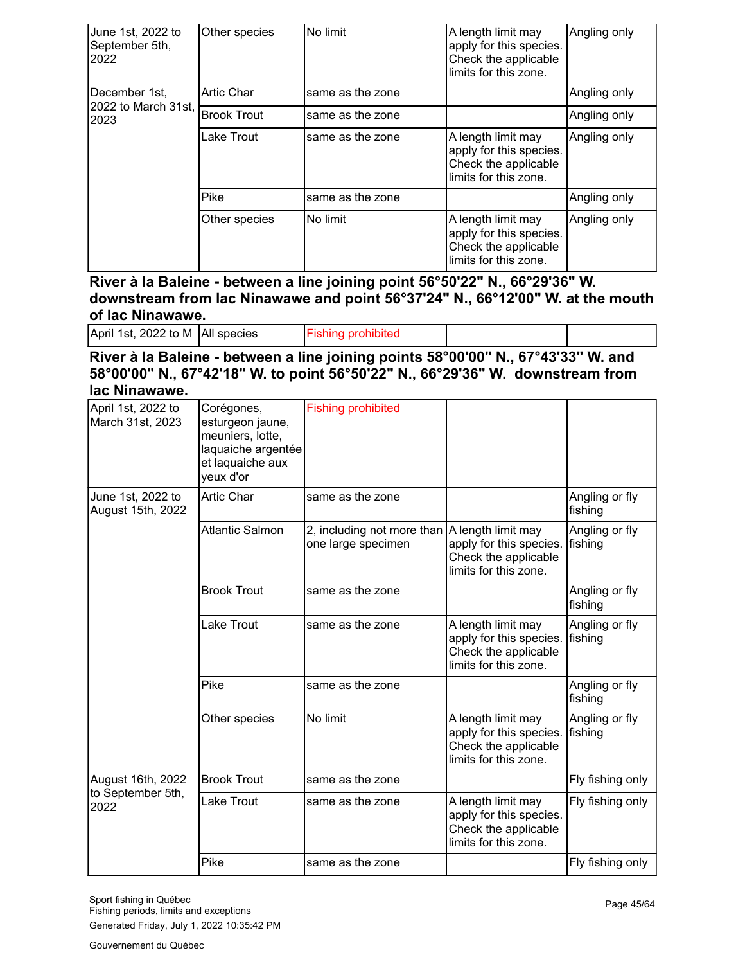| June 1st, 2022 to<br>September 5th,<br>2022 | Other species      | No limit         | A length limit may<br>apply for this species.<br>Check the applicable<br>limits for this zone. | Angling only |
|---------------------------------------------|--------------------|------------------|------------------------------------------------------------------------------------------------|--------------|
| December 1st,                               | <b>Artic Char</b>  | same as the zone |                                                                                                | Angling only |
| 2022 to March 31st,<br>2023                 | <b>Brook Trout</b> | same as the zone |                                                                                                | Angling only |
|                                             | Lake Trout         | same as the zone | A length limit may<br>apply for this species.<br>Check the applicable<br>limits for this zone. | Angling only |
|                                             | Pike               | same as the zone |                                                                                                | Angling only |
|                                             | Other species      | No limit         | A length limit may<br>apply for this species.<br>Check the applicable<br>limits for this zone. | Angling only |

**River à la Baleine - between a line joining point 56°50'22" N., 66°29'36" W. downstream from lac Ninawawe and point 56°37'24" N., 66°12'00" W. at the mouth of lac Ninawawe.**

**Fishing prohibited** April 1st, 2022 to M All species

#### **River à la Baleine - between a line joining points 58°00'00" N., 67°43'33" W. and 58°00'00" N., 67°42'18" W. to point 56°50'22" N., 66°29'36" W. downstream from lac Ninawawe.**

| April 1st, 2022 to<br>March 31st, 2023         | Corégones,<br>esturgeon jaune,<br>meuniers, lotte,<br>laquaiche argentée<br>et laquaiche aux<br>yeux d'or | <b>Fishing prohibited</b>                                           |                                                                                                |                           |
|------------------------------------------------|-----------------------------------------------------------------------------------------------------------|---------------------------------------------------------------------|------------------------------------------------------------------------------------------------|---------------------------|
| June 1st, 2022 to<br>August 15th, 2022         | <b>Artic Char</b>                                                                                         | same as the zone                                                    |                                                                                                | Angling or fly<br>fishing |
|                                                | <b>Atlantic Salmon</b>                                                                                    | 2, including not more than A length limit may<br>one large specimen | apply for this species.<br>Check the applicable<br>limits for this zone.                       | Angling or fly<br>fishing |
|                                                | <b>Brook Trout</b>                                                                                        | same as the zone                                                    |                                                                                                | Angling or fly<br>fishing |
|                                                | Lake Trout                                                                                                | same as the zone                                                    | A length limit may<br>apply for this species.<br>Check the applicable<br>limits for this zone. | Angling or fly<br>fishing |
|                                                | Pike                                                                                                      | same as the zone                                                    |                                                                                                | Angling or fly<br>fishing |
|                                                | Other species                                                                                             | No limit                                                            | A length limit may<br>apply for this species.<br>Check the applicable<br>limits for this zone. | Angling or fly<br>fishing |
| August 16th, 2022<br>to September 5th,<br>2022 | <b>Brook Trout</b>                                                                                        | same as the zone                                                    |                                                                                                | Fly fishing only          |
|                                                | Lake Trout                                                                                                | same as the zone                                                    | A length limit may<br>apply for this species.<br>Check the applicable<br>limits for this zone. | Fly fishing only          |
|                                                | Pike                                                                                                      | same as the zone                                                    |                                                                                                | Fly fishing only          |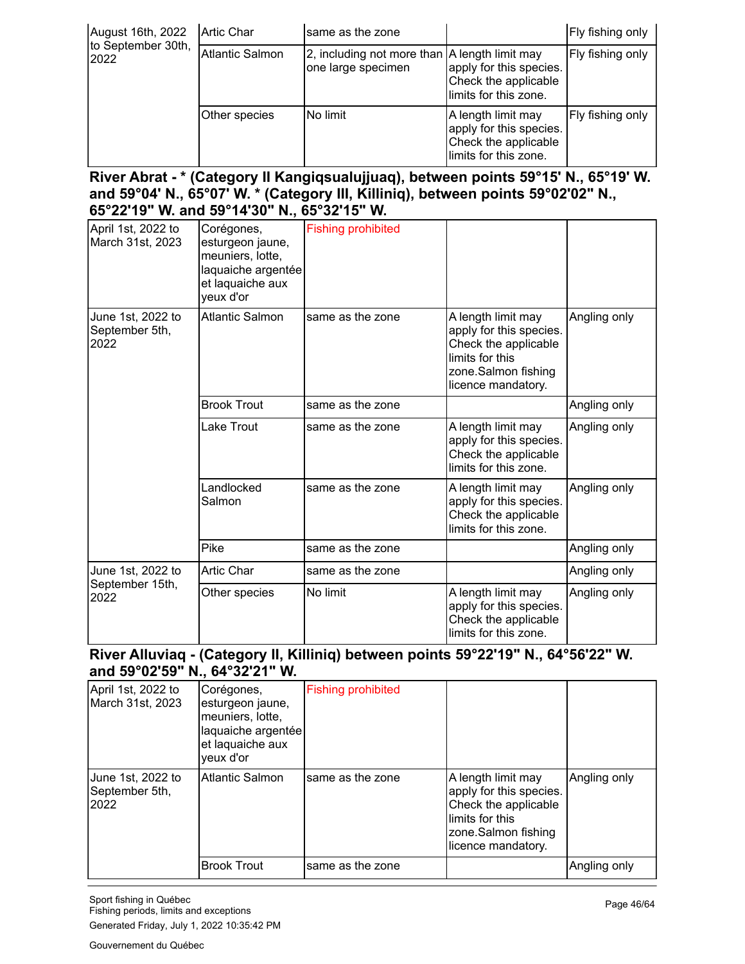| August 16th, 2022<br>to September 30th,<br>2022 | Artic Char             | same as the zone                                                      |                                                                                                | Fly fishing only |
|-------------------------------------------------|------------------------|-----------------------------------------------------------------------|------------------------------------------------------------------------------------------------|------------------|
|                                                 | <b>Atlantic Salmon</b> | 2, including not more than   A length limit may<br>one large specimen | apply for this species.<br>Check the applicable<br>limits for this zone.                       | Fly fishing only |
|                                                 | Other species          | No limit                                                              | A length limit may<br>apply for this species.<br>Check the applicable<br>limits for this zone. | Fly fishing only |

#### **River Abrat - \* (Category II Kangiqsualujjuaq), between points 59°15' N., 65°19' W. and 59°04' N., 65°07' W. \* (Category III, Killiniq), between points 59°02'02" N., 65°22'19" W. and 59°14'30" N., 65°32'15" W.**

| April 1st, 2022 to<br>March 31st, 2023       | Corégones,<br>esturgeon jaune,<br>meuniers, lotte,<br>laquaiche argentée<br>et laquaiche aux<br>yeux d'or | <b>Fishing prohibited</b> |                                                                                                                                       |              |
|----------------------------------------------|-----------------------------------------------------------------------------------------------------------|---------------------------|---------------------------------------------------------------------------------------------------------------------------------------|--------------|
| June 1st, 2022 to<br>September 5th,<br>2022  | <b>Atlantic Salmon</b>                                                                                    | same as the zone          | A length limit may<br>apply for this species.<br>Check the applicable<br>limits for this<br>zone.Salmon fishing<br>licence mandatory. | Angling only |
|                                              | <b>Brook Trout</b>                                                                                        | same as the zone          |                                                                                                                                       | Angling only |
|                                              | Lake Trout                                                                                                | same as the zone          | A length limit may<br>apply for this species.<br>Check the applicable<br>limits for this zone.                                        | Angling only |
|                                              | Landlocked<br>Salmon                                                                                      | same as the zone          | A length limit may<br>apply for this species.<br>Check the applicable<br>limits for this zone.                                        | Angling only |
|                                              | <b>Pike</b>                                                                                               | same as the zone          |                                                                                                                                       | Angling only |
| June 1st, 2022 to<br>September 15th,<br>2022 | <b>Artic Char</b>                                                                                         | same as the zone          |                                                                                                                                       | Angling only |
|                                              | Other species                                                                                             | No limit                  | A length limit may<br>apply for this species.<br>Check the applicable<br>limits for this zone.                                        | Angling only |

#### **River Alluviaq - (Category II, Killiniq) between points 59°22'19" N., 64°56'22" W. and 59°02'59" N., 64°32'21" W.**

| April 1st, 2022 to<br>March 31st, 2023      | Corégones,<br>esturgeon jaune,<br>meuniers, lotte,<br>laquaiche argentée<br>et laquaiche aux<br>yeux d'or | <b>Fishing prohibited</b> |                                                                                                                                       |              |
|---------------------------------------------|-----------------------------------------------------------------------------------------------------------|---------------------------|---------------------------------------------------------------------------------------------------------------------------------------|--------------|
| June 1st, 2022 to<br>September 5th,<br>2022 | Atlantic Salmon                                                                                           | same as the zone          | A length limit may<br>apply for this species.<br>Check the applicable<br>limits for this<br>zone.Salmon fishing<br>licence mandatory. | Angling only |
|                                             | <b>Brook Trout</b>                                                                                        | same as the zone          |                                                                                                                                       | Angling only |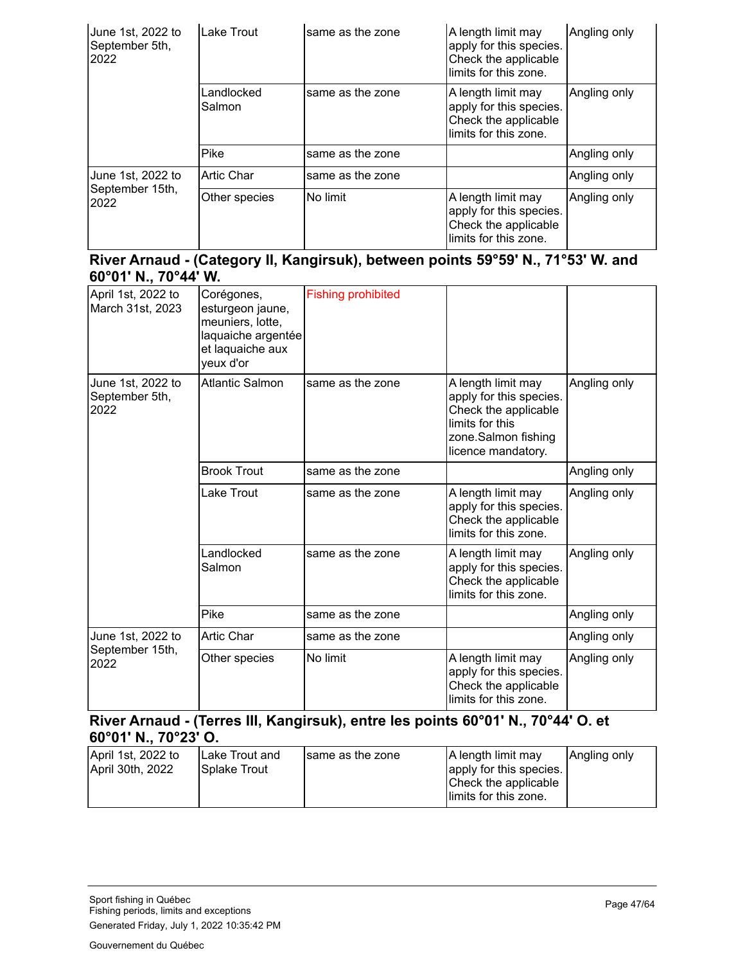| June 1st, 2022 to<br>September 5th,<br>2022 | <b>Lake Trout</b>    | same as the zone | A length limit may<br>apply for this species.<br>Check the applicable<br>limits for this zone. | Angling only |
|---------------------------------------------|----------------------|------------------|------------------------------------------------------------------------------------------------|--------------|
|                                             | Landlocked<br>Salmon | same as the zone | A length limit may<br>apply for this species.<br>Check the applicable<br>limits for this zone. | Angling only |
|                                             | Pike                 | same as the zone |                                                                                                | Angling only |
| June 1st, 2022 to                           | <b>Artic Char</b>    | same as the zone |                                                                                                | Angling only |
| September 15th,<br>2022                     | Other species        | No limit         | A length limit may<br>apply for this species.<br>Check the applicable<br>limits for this zone. | Angling only |

#### **River Arnaud - (Category II, Kangirsuk), between points 59°59' N., 71°53' W. and 60°01' N., 70°44' W.**

| April 1st, 2022 to<br>March 31st, 2023       | Corégones,<br>esturgeon jaune,<br>meuniers, lotte,<br>laquaiche argentée<br>et laquaiche aux<br>yeux d'or | <b>Fishing prohibited</b> |                                                                                                                                       |              |
|----------------------------------------------|-----------------------------------------------------------------------------------------------------------|---------------------------|---------------------------------------------------------------------------------------------------------------------------------------|--------------|
| June 1st, 2022 to<br>September 5th,<br>2022  | Atlantic Salmon                                                                                           | same as the zone          | A length limit may<br>apply for this species.<br>Check the applicable<br>limits for this<br>zone.Salmon fishing<br>licence mandatory. | Angling only |
|                                              | <b>Brook Trout</b>                                                                                        | same as the zone          |                                                                                                                                       | Angling only |
|                                              | Lake Trout                                                                                                | same as the zone          | A length limit may<br>apply for this species.<br>Check the applicable<br>limits for this zone.                                        | Angling only |
|                                              | Landlocked<br>Salmon                                                                                      | same as the zone          | A length limit may<br>apply for this species.<br>Check the applicable<br>limits for this zone.                                        | Angling only |
|                                              | Pike                                                                                                      | same as the zone          |                                                                                                                                       | Angling only |
| June 1st, 2022 to<br>September 15th,<br>2022 | <b>Artic Char</b>                                                                                         | same as the zone          |                                                                                                                                       | Angling only |
|                                              | Other species                                                                                             | No limit                  | A length limit may<br>apply for this species.<br>Check the applicable<br>limits for this zone.                                        | Angling only |

#### **River Arnaud - (Terres III, Kangirsuk), entre les points 60°01' N., 70°44' O. et 60°01' N., 70°23' O.**

| April 1st, 2022 to<br>April 30th, 2022 | Lake Trout and<br><b>ISplake Trout</b> | same as the zone | A length limit may<br>apply for this species.<br>Check the applicable | Angling only |
|----------------------------------------|----------------------------------------|------------------|-----------------------------------------------------------------------|--------------|
|                                        |                                        |                  | llimits for this zone.                                                |              |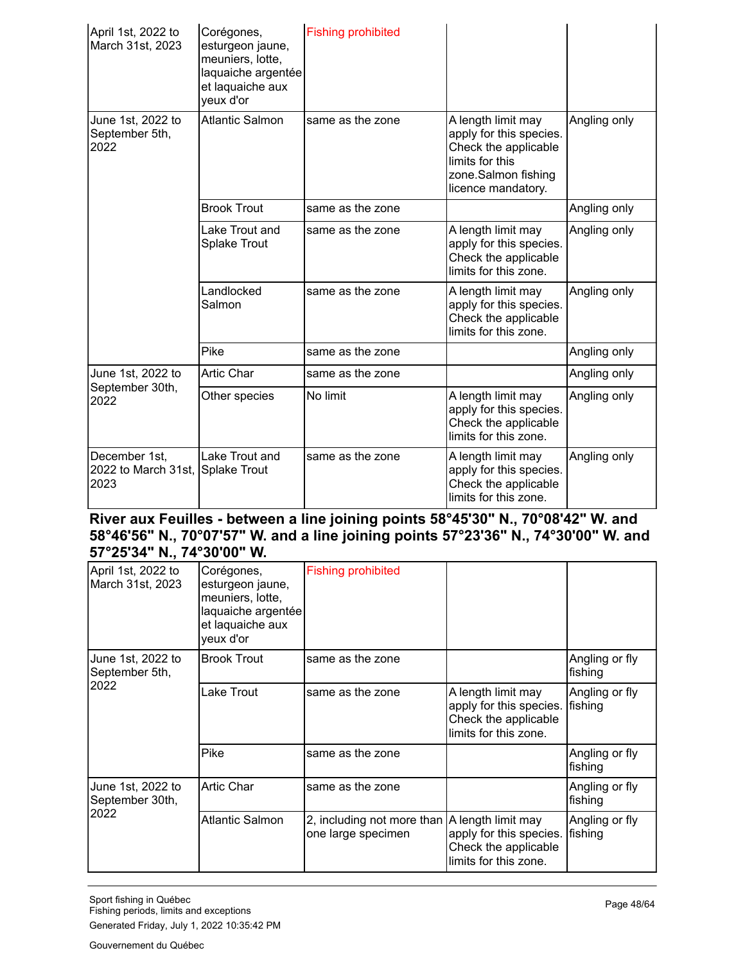| April 1st, 2022 to<br>March 31st, 2023       | Corégones,<br>esturgeon jaune,<br>meuniers, lotte,<br>laquaiche argentée<br>et laquaiche aux<br>yeux d'or | <b>Fishing prohibited</b> |                                                                                                                                       |              |
|----------------------------------------------|-----------------------------------------------------------------------------------------------------------|---------------------------|---------------------------------------------------------------------------------------------------------------------------------------|--------------|
| June 1st, 2022 to<br>September 5th,<br>2022  | <b>Atlantic Salmon</b>                                                                                    | same as the zone          | A length limit may<br>apply for this species.<br>Check the applicable<br>limits for this<br>zone.Salmon fishing<br>licence mandatory. | Angling only |
|                                              | <b>Brook Trout</b>                                                                                        | same as the zone          |                                                                                                                                       | Angling only |
|                                              | Lake Trout and<br><b>Splake Trout</b>                                                                     | same as the zone          | A length limit may<br>apply for this species.<br>Check the applicable<br>limits for this zone.                                        | Angling only |
|                                              | Landlocked<br>Salmon                                                                                      | same as the zone          | A length limit may<br>apply for this species.<br>Check the applicable<br>limits for this zone.                                        | Angling only |
|                                              | Pike                                                                                                      | same as the zone          |                                                                                                                                       | Angling only |
| June 1st, 2022 to<br>September 30th,         | <b>Artic Char</b>                                                                                         | same as the zone          |                                                                                                                                       | Angling only |
| 2022                                         | Other species                                                                                             | No limit                  | A length limit may<br>apply for this species.<br>Check the applicable<br>limits for this zone.                                        | Angling only |
| December 1st,<br>2022 to March 31st,<br>2023 | Lake Trout and<br><b>Splake Trout</b>                                                                     | same as the zone          | A length limit may<br>apply for this species.<br>Check the applicable<br>limits for this zone.                                        | Angling only |

#### **River aux Feuilles - between a line joining points 58°45'30" N., 70°08'42" W. and 58°46'56" N., 70°07'57" W. and a line joining points 57°23'36" N., 74°30'00" W. and 57°25'34" N., 74°30'00" W.**

| April 1st, 2022 to<br>March 31st, 2023       | Corégones,<br>esturgeon jaune,<br>meuniers, lotte,<br>laquaiche argentée<br>et laquaiche aux<br>yeux d'or | <b>Fishing prohibited</b>                        |                                                                                                |                           |
|----------------------------------------------|-----------------------------------------------------------------------------------------------------------|--------------------------------------------------|------------------------------------------------------------------------------------------------|---------------------------|
| June 1st, 2022 to<br>September 5th,          | <b>Brook Trout</b>                                                                                        | same as the zone                                 |                                                                                                | Angling or fly<br>fishing |
| 2022                                         | Lake Trout                                                                                                | same as the zone                                 | A length limit may<br>apply for this species.<br>Check the applicable<br>limits for this zone. | Angling or fly<br>fishing |
|                                              | Pike                                                                                                      | same as the zone                                 |                                                                                                | Angling or fly<br>fishing |
| June 1st, 2022 to<br>September 30th,<br>2022 | <b>Artic Char</b>                                                                                         | same as the zone                                 |                                                                                                | Angling or fly<br>fishing |
|                                              | <b>Atlantic Salmon</b>                                                                                    | 2, including not more than<br>one large specimen | A length limit may<br>apply for this species.<br>Check the applicable<br>limits for this zone. | Angling or fly<br>fishing |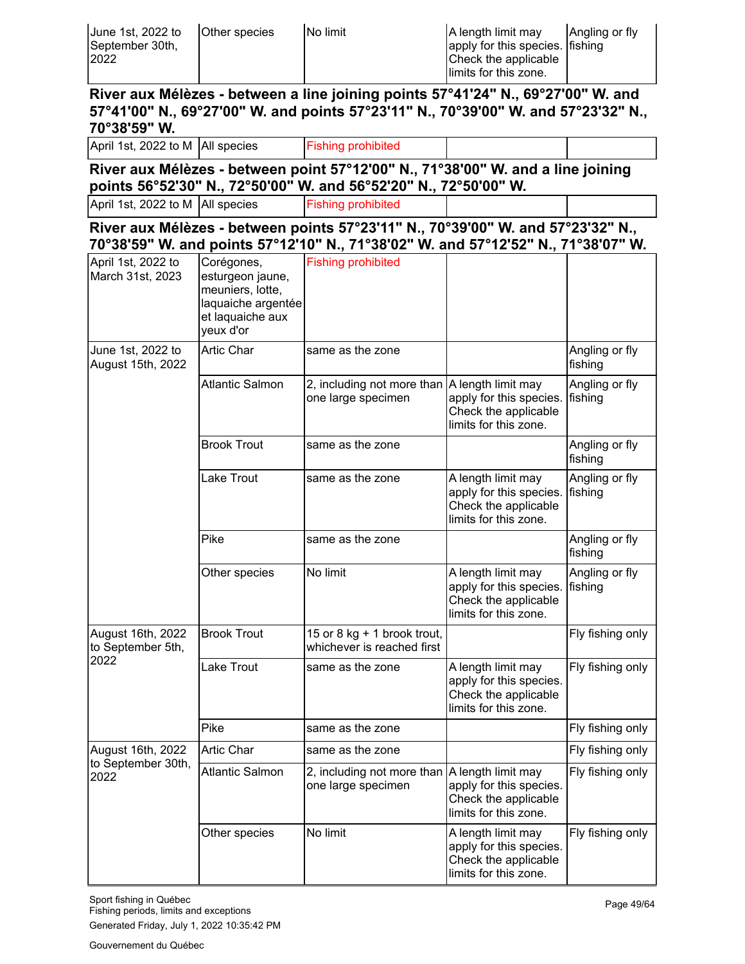| IJune 1st. 2022 to | Other species | No limit | A length limit may               | Angling or fly |
|--------------------|---------------|----------|----------------------------------|----------------|
| September 30th,    |               |          | apply for this species. If shing |                |
| 2022               |               |          | Check the applicable             |                |
|                    |               |          | Ilimits for this zone.           |                |

**River aux Mélèzes - between a line joining points 57°41'24" N., 69°27'00" W. and 57°41'00" N., 69°27'00" W. and points 57°23'11" N., 70°39'00" W. and 57°23'32" N., 70°38'59" W.**

Fishing prohibited April 1st, 2022 to M All species

**River aux Mélèzes - between point 57°12'00" N., 71°38'00" W. and a line joining points 56°52'30" N., 72°50'00" W. and 56°52'20" N., 72°50'00" W.**

**Fishing prohibited** April 1st, 2022 to M All species

**River aux Mélèzes - between points 57°23'11" N., 70°39'00" W. and 57°23'32" N., 70°38'59" W. and points 57°12'10" N., 71°38'02" W. and 57°12'52" N., 71°38'07" W.**

| April 1st, 2022 to<br>March 31st, 2023          | Corégones,<br>esturgeon jaune,<br>meuniers, lotte,<br>laquaiche argentée<br>et laquaiche aux<br>yeux d'or | <b>Fishing prohibited</b>                                 |                                                                                                |                           |
|-------------------------------------------------|-----------------------------------------------------------------------------------------------------------|-----------------------------------------------------------|------------------------------------------------------------------------------------------------|---------------------------|
| June 1st, 2022 to<br>August 15th, 2022          | Artic Char                                                                                                | same as the zone                                          |                                                                                                | Angling or fly<br>fishing |
|                                                 | <b>Atlantic Salmon</b>                                                                                    | 2, including not more than<br>one large specimen          | A length limit may<br>apply for this species.<br>Check the applicable<br>limits for this zone. | Angling or fly<br>fishing |
|                                                 | <b>Brook Trout</b>                                                                                        | same as the zone                                          |                                                                                                | Angling or fly<br>fishing |
|                                                 | Lake Trout                                                                                                | same as the zone                                          | A length limit may<br>apply for this species.<br>Check the applicable<br>limits for this zone. | Angling or fly<br>fishing |
|                                                 | Pike                                                                                                      | same as the zone                                          |                                                                                                | Angling or fly<br>fishing |
|                                                 | Other species                                                                                             | No limit                                                  | A length limit may<br>apply for this species.<br>Check the applicable<br>limits for this zone. | Angling or fly<br>fishing |
| August 16th, 2022<br>to September 5th,          | <b>Brook Trout</b>                                                                                        | 15 or 8 kg + 1 brook trout,<br>whichever is reached first |                                                                                                | Fly fishing only          |
| 2022                                            | Lake Trout                                                                                                | same as the zone                                          | A length limit may<br>apply for this species.<br>Check the applicable<br>limits for this zone. | Fly fishing only          |
|                                                 | Pike                                                                                                      | same as the zone                                          |                                                                                                | Fly fishing only          |
| August 16th, 2022<br>to September 30th,<br>2022 | Artic Char                                                                                                | same as the zone                                          |                                                                                                | Fly fishing only          |
|                                                 | <b>Atlantic Salmon</b>                                                                                    | 2, including not more than<br>one large specimen          | A length limit may<br>apply for this species.<br>Check the applicable<br>limits for this zone. | Fly fishing only          |
|                                                 | Other species                                                                                             | No limit                                                  | A length limit may<br>apply for this species.<br>Check the applicable<br>limits for this zone. | Fly fishing only          |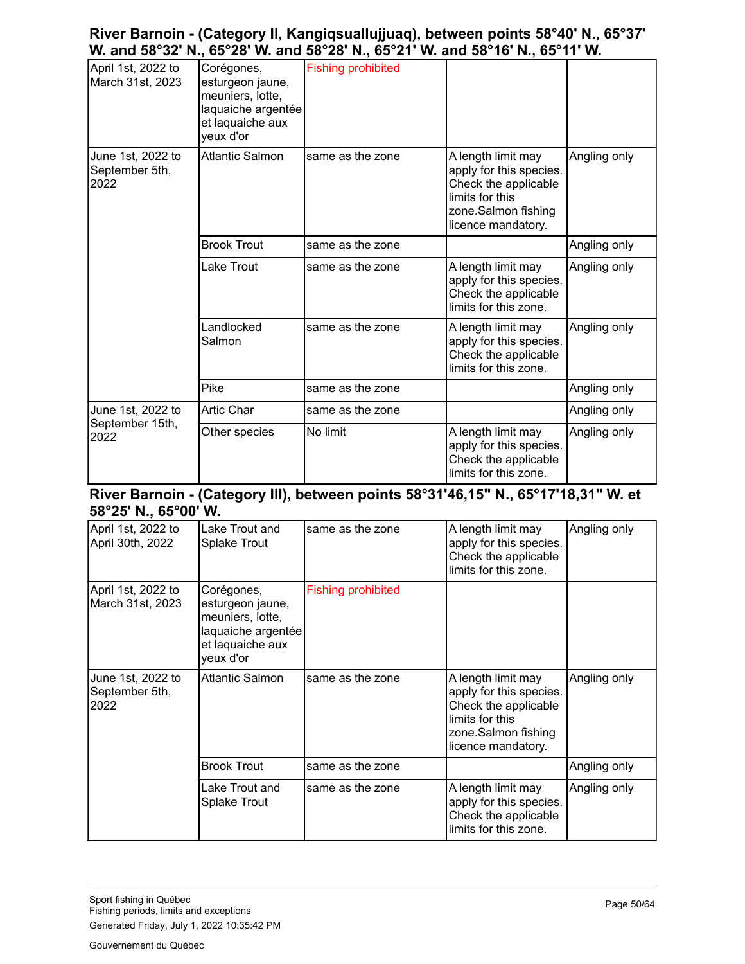#### **River Barnoin - (Category II, Kangiqsuallujjuaq), between points 58°40' N., 65°37' W. and 58°32' N., 65°28' W. and 58°28' N., 65°21' W. and 58°16' N., 65°11' W.**

| April 1st, 2022 to<br>March 31st, 2023       | Corégones,<br>esturgeon jaune,<br>meuniers, lotte,<br>laquaiche argentée<br>et laquaiche aux<br>yeux d'or | <b>Fishing prohibited</b> |                                                                                                                                       |              |
|----------------------------------------------|-----------------------------------------------------------------------------------------------------------|---------------------------|---------------------------------------------------------------------------------------------------------------------------------------|--------------|
| June 1st, 2022 to<br>September 5th,<br>2022  | <b>Atlantic Salmon</b>                                                                                    | same as the zone          | A length limit may<br>apply for this species.<br>Check the applicable<br>limits for this<br>zone.Salmon fishing<br>licence mandatory. | Angling only |
|                                              | <b>Brook Trout</b>                                                                                        | same as the zone          |                                                                                                                                       | Angling only |
|                                              | Lake Trout                                                                                                | same as the zone          | A length limit may<br>apply for this species.<br>Check the applicable<br>limits for this zone.                                        | Angling only |
|                                              | Landlocked<br>Salmon                                                                                      | same as the zone          | A length limit may<br>apply for this species.<br>Check the applicable<br>limits for this zone.                                        | Angling only |
|                                              | Pike                                                                                                      | same as the zone          |                                                                                                                                       | Angling only |
| June 1st, 2022 to<br>September 15th,<br>2022 | <b>Artic Char</b>                                                                                         | same as the zone          |                                                                                                                                       | Angling only |
|                                              | Other species                                                                                             | No limit                  | A length limit may<br>apply for this species.<br>Check the applicable<br>limits for this zone.                                        | Angling only |

#### **River Barnoin - (Category III), between points 58°31'46,15" N., 65°17'18,31" W. et 58°25' N., 65°00' W.**

| April 1st, 2022 to<br>April 30th, 2022      | Lake Trout and<br>Splake Trout                                                                            | same as the zone          | A length limit may<br>apply for this species.<br>Check the applicable<br>limits for this zone.                                        | Angling only |
|---------------------------------------------|-----------------------------------------------------------------------------------------------------------|---------------------------|---------------------------------------------------------------------------------------------------------------------------------------|--------------|
| April 1st, 2022 to<br>March 31st, 2023      | Corégones,<br>esturgeon jaune,<br>meuniers, lotte,<br>laquaiche argentée<br>et laquaiche aux<br>yeux d'or | <b>Fishing prohibited</b> |                                                                                                                                       |              |
| June 1st, 2022 to<br>September 5th,<br>2022 | Atlantic Salmon                                                                                           | same as the zone          | A length limit may<br>apply for this species.<br>Check the applicable<br>limits for this<br>zone.Salmon fishing<br>licence mandatory. | Angling only |
|                                             | <b>Brook Trout</b>                                                                                        | same as the zone          |                                                                                                                                       | Angling only |
|                                             | Lake Trout and<br><b>Splake Trout</b>                                                                     | same as the zone          | A length limit may<br>apply for this species.<br>Check the applicable<br>limits for this zone.                                        | Angling only |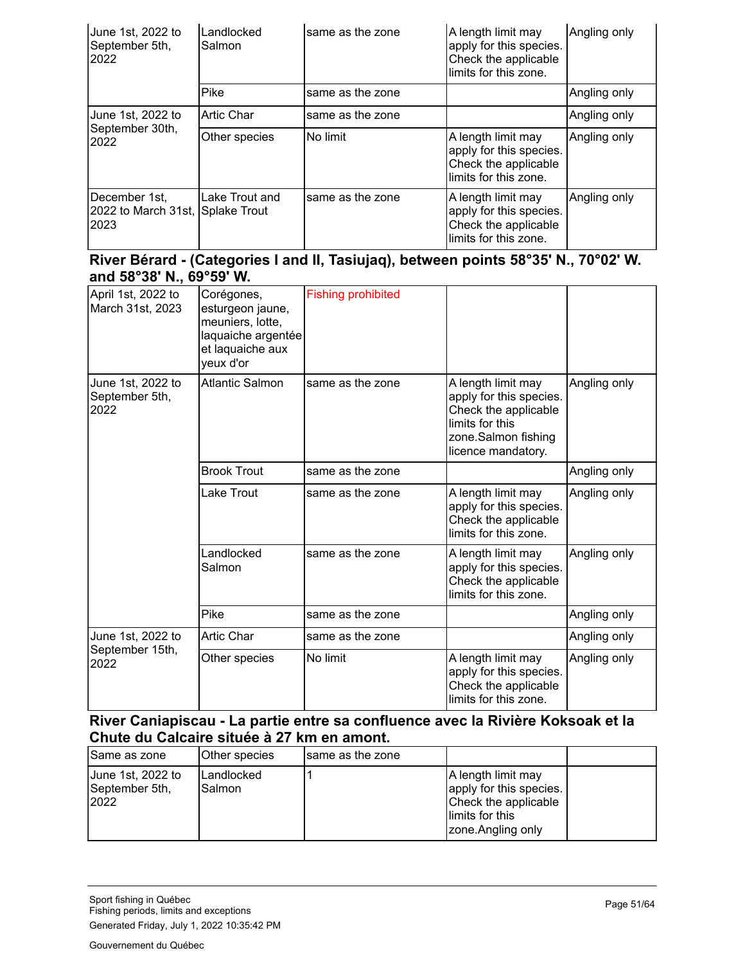| June 1st, 2022 to<br>September 5th,<br>2022               | Landlocked<br>Salmon | same as the zone | A length limit may<br>apply for this species.<br>Check the applicable<br>limits for this zone. | Angling only |
|-----------------------------------------------------------|----------------------|------------------|------------------------------------------------------------------------------------------------|--------------|
|                                                           | Pike                 | same as the zone |                                                                                                | Angling only |
| June 1st, 2022 to                                         | <b>Artic Char</b>    | same as the zone |                                                                                                | Angling only |
| September 30th,<br>2022                                   | Other species        | No limit         | A length limit may<br>apply for this species.<br>Check the applicable<br>limits for this zone. | Angling only |
| December 1st,<br>2022 to March 31st, Splake Trout<br>2023 | Lake Trout and       | same as the zone | A length limit may<br>apply for this species.<br>Check the applicable<br>limits for this zone. | Angling only |

**River Bérard - (Categories I and II, Tasiujaq), between points 58°35' N., 70°02' W. and 58°38' N., 69°59' W.**

| April 1st, 2022 to<br>March 31st, 2023       | Corégones,<br>esturgeon jaune,<br>meuniers, lotte,<br>laquaiche argentée<br>et laquaiche aux<br>yeux d'or | <b>Fishing prohibited</b> |                                                                                                                                       |              |
|----------------------------------------------|-----------------------------------------------------------------------------------------------------------|---------------------------|---------------------------------------------------------------------------------------------------------------------------------------|--------------|
| June 1st, 2022 to<br>September 5th,<br>2022  | <b>Atlantic Salmon</b>                                                                                    | same as the zone          | A length limit may<br>apply for this species.<br>Check the applicable<br>limits for this<br>zone.Salmon fishing<br>licence mandatory. | Angling only |
|                                              | <b>Brook Trout</b>                                                                                        | same as the zone          |                                                                                                                                       | Angling only |
|                                              | Lake Trout                                                                                                | same as the zone          | A length limit may<br>apply for this species.<br>Check the applicable<br>limits for this zone.                                        | Angling only |
|                                              | Landlocked<br>Salmon                                                                                      | same as the zone          | A length limit may<br>apply for this species.<br>Check the applicable<br>limits for this zone.                                        | Angling only |
|                                              | Pike                                                                                                      | same as the zone          |                                                                                                                                       | Angling only |
| June 1st, 2022 to<br>September 15th,<br>2022 | <b>Artic Char</b>                                                                                         | same as the zone          |                                                                                                                                       | Angling only |
|                                              | Other species                                                                                             | No limit                  | A length limit may<br>apply for this species.<br>Check the applicable<br>limits for this zone.                                        | Angling only |

**River Caniapiscau - La partie entre sa confluence avec la Rivière Koksoak et la Chute du Calcaire située à 27 km en amont.**

| Same as zone                                | Other species        | Isame as the zone |                                                                                                                |  |
|---------------------------------------------|----------------------|-------------------|----------------------------------------------------------------------------------------------------------------|--|
| June 1st, 2022 to<br>September 5th,<br>2022 | Landlocked<br>Salmon |                   | A length limit may<br>apply for this species.<br>Check the applicable<br>llimits for this<br>zone.Angling only |  |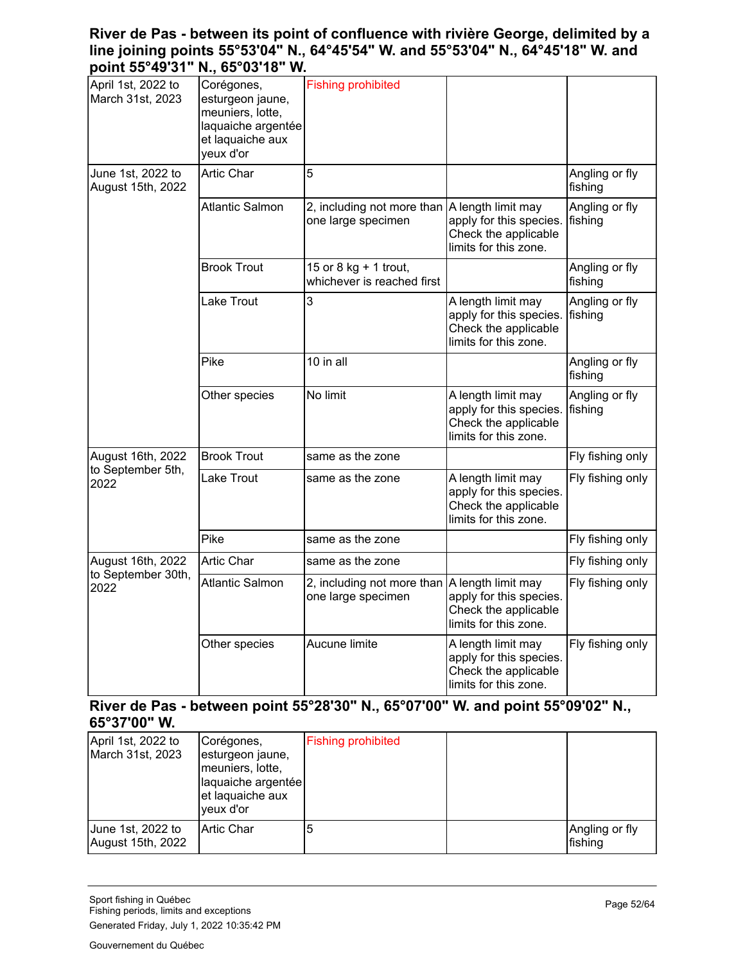#### **River de Pas - between its point of confluence with rivière George, delimited by a line joining points 55°53'04" N., 64°45'54" W. and 55°53'04" N., 64°45'18" W. and point 55°49'31" N., 65°03'18" W.**

| April 1st, 2022 to<br>March 31st, 2023 | Corégones,<br>esturgeon jaune,<br>meuniers, lotte,<br>laquaiche argentée<br>et laquaiche aux<br>yeux d'or | <b>Fishing prohibited</b>                           |                                                                                                |                           |
|----------------------------------------|-----------------------------------------------------------------------------------------------------------|-----------------------------------------------------|------------------------------------------------------------------------------------------------|---------------------------|
| June 1st, 2022 to<br>August 15th, 2022 | <b>Artic Char</b>                                                                                         | 5                                                   |                                                                                                | Angling or fly<br>fishing |
|                                        | <b>Atlantic Salmon</b>                                                                                    | 2, including not more than<br>one large specimen    | A length limit may<br>apply for this species.<br>Check the applicable<br>limits for this zone. | Angling or fly<br>fishing |
|                                        | <b>Brook Trout</b>                                                                                        | 15 or 8 kg + 1 trout,<br>whichever is reached first |                                                                                                | Angling or fly<br>fishing |
|                                        | Lake Trout                                                                                                | 3                                                   | A length limit may<br>apply for this species.<br>Check the applicable<br>limits for this zone. | Angling or fly<br>fishing |
|                                        | Pike                                                                                                      | 10 in all                                           |                                                                                                | Angling or fly<br>fishing |
|                                        | Other species                                                                                             | No limit                                            | A length limit may<br>apply for this species.<br>Check the applicable<br>limits for this zone. | Angling or fly<br>fishing |
| August 16th, 2022                      | <b>Brook Trout</b>                                                                                        | same as the zone                                    |                                                                                                | Fly fishing only          |
| to September 5th,<br>2022              | Lake Trout                                                                                                | same as the zone                                    | A length limit may<br>apply for this species.<br>Check the applicable<br>limits for this zone. | Fly fishing only          |
|                                        | Pike                                                                                                      | same as the zone                                    |                                                                                                | Fly fishing only          |
| August 16th, 2022                      | Artic Char                                                                                                | same as the zone                                    |                                                                                                | Fly fishing only          |
| to September 30th,<br>2022             | <b>Atlantic Salmon</b>                                                                                    | 2, including not more than<br>one large specimen    | A length limit may<br>apply for this species.<br>Check the applicable<br>limits for this zone. | Fly fishing only          |
|                                        | Other species                                                                                             | Aucune limite                                       | A length limit may<br>apply for this species.<br>Check the applicable<br>limits for this zone. | Fly fishing only          |

#### **River de Pas - between point 55°28'30" N., 65°07'00" W. and point 55°09'02" N., 65°37'00" W.**

| April 1st, 2022 to<br>March 31st, 2023        | Corégones,<br>esturgeon jaune,<br>meuniers, lotte,<br>laquaiche argentée<br>et laquaiche aux<br>yeux d'or | <b>Fishing prohibited</b> |                            |
|-----------------------------------------------|-----------------------------------------------------------------------------------------------------------|---------------------------|----------------------------|
| June 1st, 2022 to<br><b>August 15th, 2022</b> | l Artic Char                                                                                              | 5                         | Angling or fly <br>fishing |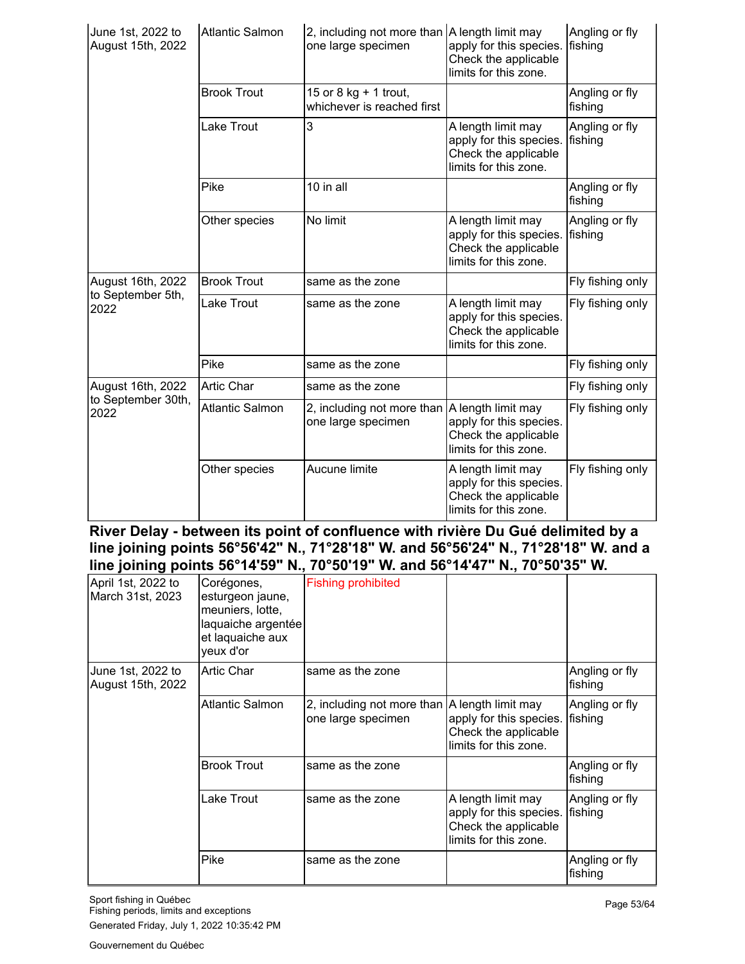| June 1st, 2022 to<br>August 15th, 2022 | <b>Atlantic Salmon</b> | 2, including not more than A length limit may<br>one large specimen | apply for this species.<br>Check the applicable<br>limits for this zone.                       | Angling or fly<br>fishing |
|----------------------------------------|------------------------|---------------------------------------------------------------------|------------------------------------------------------------------------------------------------|---------------------------|
|                                        | <b>Brook Trout</b>     | 15 or 8 kg + 1 trout,<br>whichever is reached first                 |                                                                                                | Angling or fly<br>fishing |
|                                        | Lake Trout             | 3                                                                   | A length limit may<br>apply for this species.<br>Check the applicable<br>limits for this zone. | Angling or fly<br>fishing |
|                                        | Pike                   | 10 in all                                                           |                                                                                                | Angling or fly<br>fishing |
|                                        | Other species          | No limit                                                            | A length limit may<br>apply for this species.<br>Check the applicable<br>limits for this zone. | Angling or fly<br>fishing |
| August 16th, 2022                      | <b>Brook Trout</b>     | same as the zone                                                    |                                                                                                | Fly fishing only          |
| to September 5th,<br>2022              | Lake Trout             | same as the zone                                                    | A length limit may<br>apply for this species.<br>Check the applicable<br>limits for this zone. | Fly fishing only          |
|                                        | Pike                   | same as the zone                                                    |                                                                                                | Fly fishing only          |
| August 16th, 2022                      | <b>Artic Char</b>      | same as the zone                                                    |                                                                                                | Fly fishing only          |
| to September 30th,<br>2022             | <b>Atlantic Salmon</b> | 2, including not more than<br>one large specimen                    | A length limit may<br>apply for this species.<br>Check the applicable<br>limits for this zone. | Fly fishing only          |
|                                        | Other species          | Aucune limite                                                       | A length limit may<br>apply for this species.<br>Check the applicable<br>limits for this zone. | Fly fishing only          |

**River Delay - between its point of confluence with rivière Du Gué delimited by a line joining points 56°56'42" N., 71°28'18" W. and 56°56'24" N., 71°28'18" W. and a line joining points 56°14'59" N., 70°50'19" W. and 56°14'47" N., 70°50'35" W.**

| April 1st, 2022 to<br>March 31st, 2023 | Corégones,<br>esturgeon jaune,<br>meuniers, lotte,<br>laquaiche argentée<br>et laquaiche aux<br>yeux d'or | <b>Fishing prohibited</b>                                           |                                                                                                |                           |
|----------------------------------------|-----------------------------------------------------------------------------------------------------------|---------------------------------------------------------------------|------------------------------------------------------------------------------------------------|---------------------------|
| June 1st, 2022 to<br>August 15th, 2022 | <b>Artic Char</b>                                                                                         | same as the zone                                                    |                                                                                                | Angling or fly<br>fishing |
|                                        | Atlantic Salmon                                                                                           | 2, including not more than A length limit may<br>one large specimen | apply for this species.<br>Check the applicable<br>limits for this zone.                       | Angling or fly<br>fishing |
|                                        | <b>Brook Trout</b>                                                                                        | same as the zone                                                    |                                                                                                | Angling or fly<br>fishing |
|                                        | Lake Trout                                                                                                | same as the zone                                                    | A length limit may<br>apply for this species.<br>Check the applicable<br>limits for this zone. | Angling or fly<br>fishing |
|                                        | Pike                                                                                                      | same as the zone                                                    |                                                                                                | Angling or fly<br>fishing |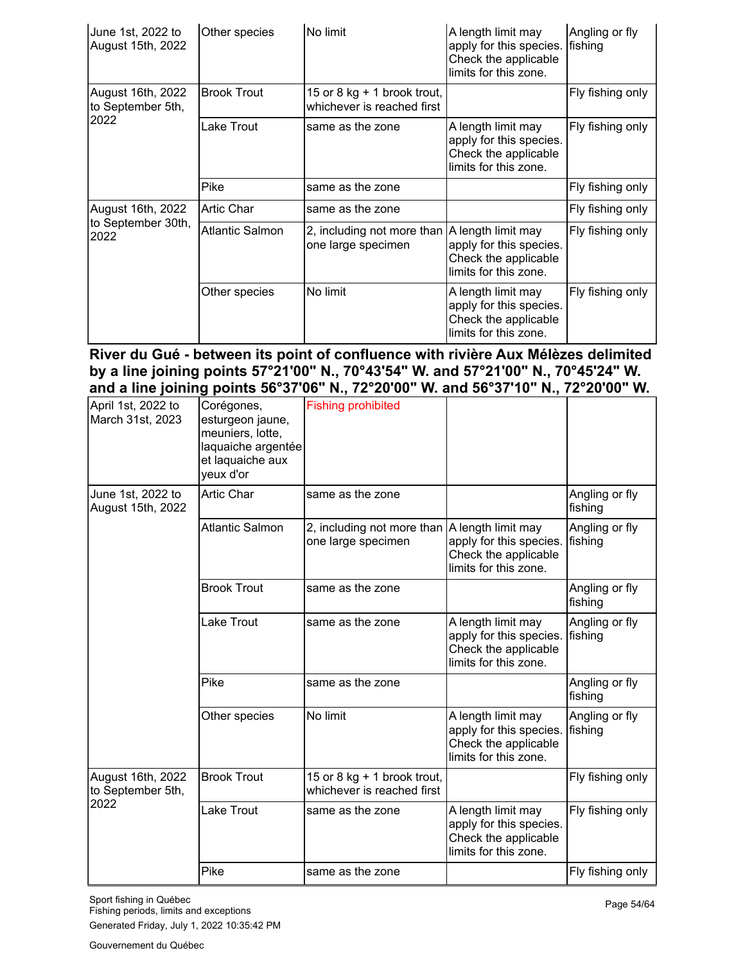| June 1st, 2022 to<br>August 15th, 2022 | Other species      | No limit                                                    | A length limit may<br>apply for this species.<br>Check the applicable<br>limits for this zone. | Angling or fly<br>fishing |
|----------------------------------------|--------------------|-------------------------------------------------------------|------------------------------------------------------------------------------------------------|---------------------------|
| August 16th, 2022<br>to September 5th, | <b>Brook Trout</b> | 15 or 8 kg $+$ 1 brook trout,<br>whichever is reached first |                                                                                                | Fly fishing only          |
| 2022                                   | Lake Trout         | same as the zone                                            | A length limit may<br>apply for this species.<br>Check the applicable<br>limits for this zone. | Fly fishing only          |
|                                        | Pike               | same as the zone                                            |                                                                                                | Fly fishing only          |
| August 16th, 2022                      | <b>Artic Char</b>  | same as the zone                                            |                                                                                                | Fly fishing only          |
| to September 30th,<br>2022             | Atlantic Salmon    | 2, including not more than<br>one large specimen            | A length limit may<br>apply for this species.<br>Check the applicable<br>limits for this zone. | Fly fishing only          |
|                                        | Other species      | No limit                                                    | A length limit may<br>apply for this species.<br>Check the applicable<br>limits for this zone. | Fly fishing only          |

**River du Gué - between its point of confluence with rivière Aux Mélèzes delimited by a line joining points 57°21'00" N., 70°43'54" W. and 57°21'00" N., 70°45'24" W. and a line joining points 56°37'06" N., 72°20'00" W. and 56°37'10" N., 72°20'00" W.**

|                                                | Jr                                                                                                        |                                                           |                                                                                                |                           |
|------------------------------------------------|-----------------------------------------------------------------------------------------------------------|-----------------------------------------------------------|------------------------------------------------------------------------------------------------|---------------------------|
| April 1st, 2022 to<br>March 31st, 2023         | Corégones,<br>esturgeon jaune,<br>meuniers, lotte,<br>laquaiche argentée<br>et laquaiche aux<br>yeux d'or | <b>Fishing prohibited</b>                                 |                                                                                                |                           |
| June 1st, 2022 to<br>August 15th, 2022         | <b>Artic Char</b>                                                                                         | same as the zone                                          |                                                                                                | Angling or fly<br>fishing |
|                                                | <b>Atlantic Salmon</b>                                                                                    | 2, including not more than<br>one large specimen          | A length limit may<br>apply for this species.<br>Check the applicable<br>limits for this zone. | Angling or fly<br>fishing |
|                                                | <b>Brook Trout</b>                                                                                        | same as the zone                                          |                                                                                                | Angling or fly<br>fishing |
|                                                | Lake Trout                                                                                                | same as the zone                                          | A length limit may<br>apply for this species.<br>Check the applicable<br>limits for this zone. | Angling or fly<br>fishing |
|                                                | Pike                                                                                                      | same as the zone                                          |                                                                                                | Angling or fly<br>fishing |
|                                                | Other species                                                                                             | No limit                                                  | A length limit may<br>apply for this species.<br>Check the applicable<br>limits for this zone. | Angling or fly<br>fishing |
| August 16th, 2022<br>to September 5th,<br>2022 | <b>Brook Trout</b>                                                                                        | 15 or 8 kg + 1 brook trout,<br>whichever is reached first |                                                                                                | Fly fishing only          |
|                                                | Lake Trout                                                                                                | same as the zone                                          | A length limit may<br>apply for this species.<br>Check the applicable<br>limits for this zone. | Fly fishing only          |
|                                                | Pike                                                                                                      | same as the zone                                          |                                                                                                | Fly fishing only          |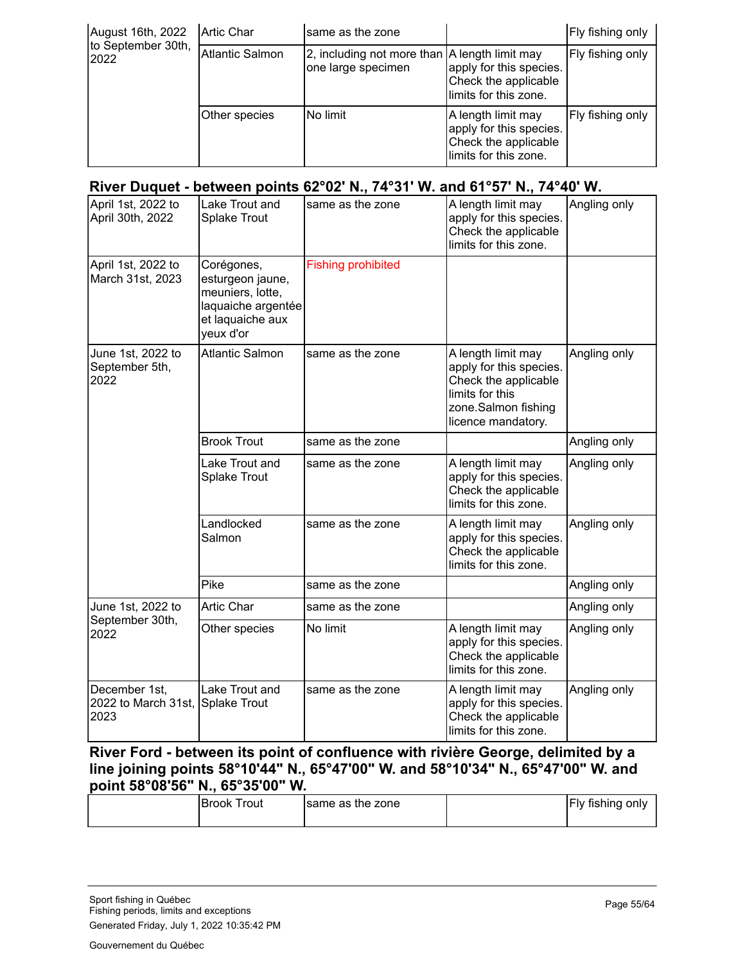| August 16th, 2022<br>to September 30th,<br>2022 | Artic Char             | same as the zone                                                      |                                                                                                 | Fly fishing only        |
|-------------------------------------------------|------------------------|-----------------------------------------------------------------------|-------------------------------------------------------------------------------------------------|-------------------------|
|                                                 | <b>Atlantic Salmon</b> | 2, including not more than   A length limit may<br>one large specimen | apply for this species.<br>Check the applicable<br>llimits for this zone.                       | Fly fishing only        |
|                                                 | Other species          | No limit                                                              | A length limit may<br>apply for this species.<br>Check the applicable<br>llimits for this zone. | <b>Fly fishing only</b> |

#### **River Duquet - between points 62°02' N., 74°31' W. and 61°57' N., 74°40' W.**

| April 1st, 2022 to<br>April 30th, 2022                    | Lake Trout and<br><b>Splake Trout</b>                                                                     | same as the zone          | A length limit may<br>apply for this species.<br>Check the applicable<br>limits for this zone.                                        | Angling only |
|-----------------------------------------------------------|-----------------------------------------------------------------------------------------------------------|---------------------------|---------------------------------------------------------------------------------------------------------------------------------------|--------------|
| April 1st, 2022 to<br>March 31st, 2023                    | Corégones,<br>esturgeon jaune,<br>meuniers, lotte,<br>laquaiche argentée<br>et laquaiche aux<br>yeux d'or | <b>Fishing prohibited</b> |                                                                                                                                       |              |
| June 1st, 2022 to<br>September 5th,<br>2022               | <b>Atlantic Salmon</b>                                                                                    | same as the zone          | A length limit may<br>apply for this species.<br>Check the applicable<br>limits for this<br>zone.Salmon fishing<br>licence mandatory. | Angling only |
|                                                           | <b>Brook Trout</b>                                                                                        | same as the zone          |                                                                                                                                       | Angling only |
|                                                           | Lake Trout and<br><b>Splake Trout</b>                                                                     | same as the zone          | A length limit may<br>apply for this species.<br>Check the applicable<br>limits for this zone.                                        | Angling only |
|                                                           | Landlocked<br>Salmon                                                                                      | same as the zone          | A length limit may<br>apply for this species.<br>Check the applicable<br>limits for this zone.                                        | Angling only |
|                                                           | Pike                                                                                                      | same as the zone          |                                                                                                                                       | Angling only |
| June 1st, 2022 to                                         | <b>Artic Char</b>                                                                                         | same as the zone          |                                                                                                                                       | Angling only |
| September 30th,<br>2022                                   | Other species                                                                                             | No limit                  | A length limit may<br>apply for this species.<br>Check the applicable<br>limits for this zone.                                        | Angling only |
| December 1st,<br>2022 to March 31st, Splake Trout<br>2023 | Lake Trout and                                                                                            | same as the zone          | A length limit may<br>apply for this species.<br>Check the applicable<br>limits for this zone.                                        | Angling only |

**River Ford - between its point of confluence with rivière George, delimited by a line joining points 58°10'44" N., 65°47'00" W. and 58°10'34" N., 65°47'00" W. and point 58°08'56" N., 65°35'00" W.**

| Trout<br>Brook | Isame as the zone | Fly fishing only |
|----------------|-------------------|------------------|
|                |                   |                  |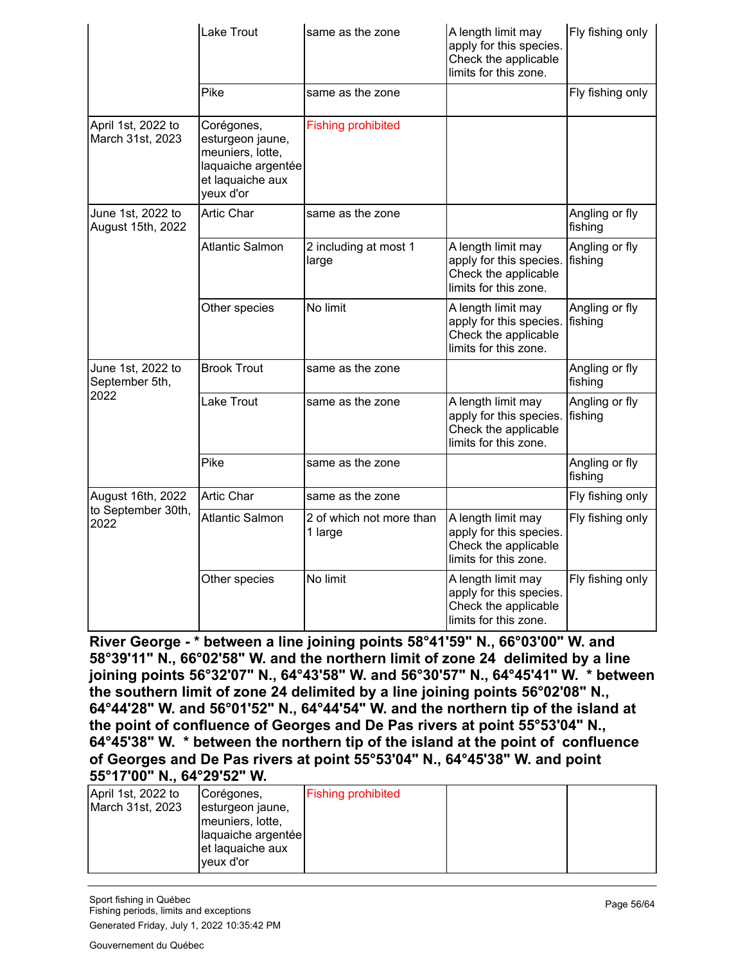|                                        | Lake Trout                                                                                                | same as the zone                    | A length limit may<br>apply for this species.<br>Check the applicable<br>limits for this zone. | Fly fishing only          |
|----------------------------------------|-----------------------------------------------------------------------------------------------------------|-------------------------------------|------------------------------------------------------------------------------------------------|---------------------------|
|                                        | Pike                                                                                                      | same as the zone                    |                                                                                                | Fly fishing only          |
| April 1st, 2022 to<br>March 31st, 2023 | Corégones,<br>esturgeon jaune,<br>meuniers, lotte,<br>laquaiche argentée<br>et laquaiche aux<br>yeux d'or | <b>Fishing prohibited</b>           |                                                                                                |                           |
| June 1st, 2022 to<br>August 15th, 2022 | Artic Char                                                                                                | same as the zone                    |                                                                                                | Angling or fly<br>fishing |
|                                        | <b>Atlantic Salmon</b>                                                                                    | 2 including at most 1<br>large      | A length limit may<br>apply for this species.<br>Check the applicable<br>limits for this zone. | Angling or fly<br>fishing |
|                                        | Other species                                                                                             | No limit                            | A length limit may<br>apply for this species.<br>Check the applicable<br>limits for this zone. | Angling or fly<br>fishing |
| June 1st, 2022 to<br>September 5th,    | <b>Brook Trout</b>                                                                                        | same as the zone                    |                                                                                                | Angling or fly<br>fishing |
| 2022                                   | Lake Trout                                                                                                | same as the zone                    | A length limit may<br>apply for this species.<br>Check the applicable<br>limits for this zone. | Angling or fly<br>fishing |
|                                        | Pike                                                                                                      | same as the zone                    |                                                                                                | Angling or fly<br>fishing |
| August 16th, 2022                      | <b>Artic Char</b>                                                                                         | same as the zone                    |                                                                                                | Fly fishing only          |
| to September 30th,<br>2022             | <b>Atlantic Salmon</b>                                                                                    | 2 of which not more than<br>1 large | A length limit may<br>apply for this species.<br>Check the applicable<br>limits for this zone. | Fly fishing only          |
|                                        | Other species                                                                                             | No limit                            | A length limit may<br>apply for this species.<br>Check the applicable<br>limits for this zone. | Fly fishing only          |

**River George - \* between a line joining points 58°41'59" N., 66°03'00" W. and 58°39'11" N., 66°02'58" W. and the northern limit of zone 24 delimited by a line joining points 56°32'07" N., 64°43'58" W. and 56°30'57" N., 64°45'41" W. \* between the southern limit of zone 24 delimited by a line joining points 56°02'08" N., 64°44'28" W. and 56°01'52" N., 64°44'54" W. and the northern tip of the island at the point of confluence of Georges and De Pas rivers at point 55°53'04" N., 64°45'38" W. \* between the northern tip of the island at the point of confluence of Georges and De Pas rivers at point 55°53'04" N., 64°45'38" W. and point 55°17'00" N., 64°29'52" W.**

| April 1st, 2022 to<br>March 31st, 2023 | Corégones,<br>esturgeon jaune,<br>meuniers, lotte,<br>laquaiche argentée<br>et laquaiche aux | <b>Fishing prohibited</b> |  |
|----------------------------------------|----------------------------------------------------------------------------------------------|---------------------------|--|
|                                        | yeux d'or                                                                                    |                           |  |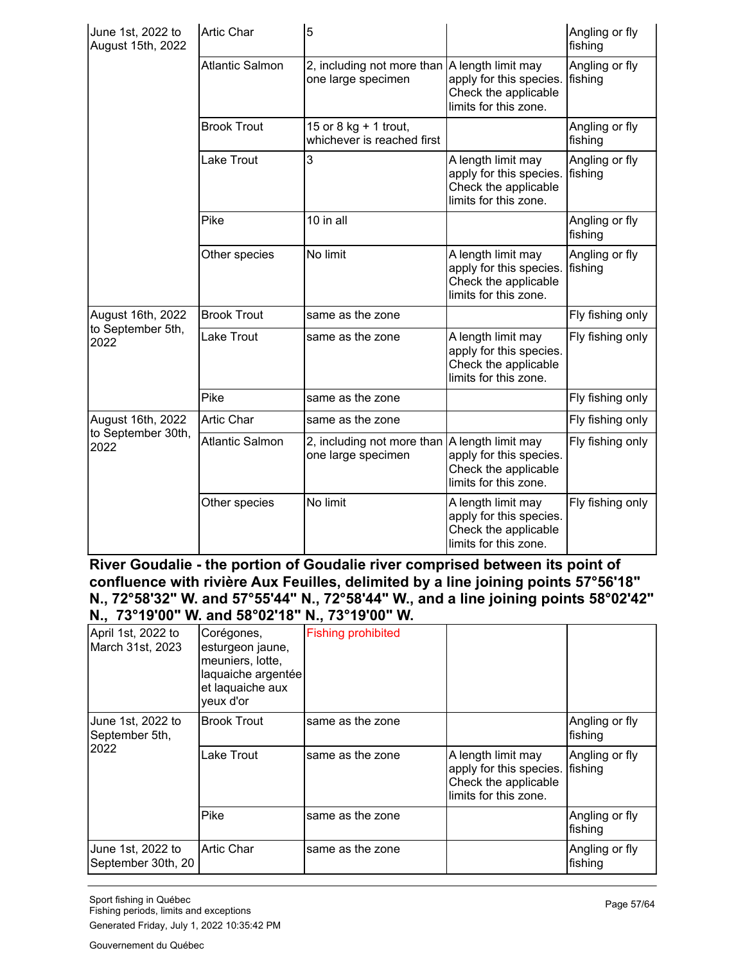| June 1st, 2022 to<br>August 15th, 2022 | Artic Char             | 5                                                                   |                                                                                                | Angling or fly<br>fishing |
|----------------------------------------|------------------------|---------------------------------------------------------------------|------------------------------------------------------------------------------------------------|---------------------------|
|                                        | <b>Atlantic Salmon</b> | 2, including not more than A length limit may<br>one large specimen | apply for this species.<br>Check the applicable<br>limits for this zone.                       | Angling or fly<br>fishing |
|                                        | <b>Brook Trout</b>     | 15 or 8 kg + 1 trout,<br>whichever is reached first                 |                                                                                                | Angling or fly<br>fishing |
|                                        | Lake Trout             | 3                                                                   | A length limit may<br>apply for this species.<br>Check the applicable<br>limits for this zone. | Angling or fly<br>fishing |
|                                        | Pike                   | 10 in all                                                           |                                                                                                | Angling or fly<br>fishing |
|                                        | Other species          | No limit                                                            | A length limit may<br>apply for this species.<br>Check the applicable<br>limits for this zone. | Angling or fly<br>fishing |
| August 16th, 2022                      | <b>Brook Trout</b>     | same as the zone                                                    |                                                                                                | Fly fishing only          |
| to September 5th,<br>2022              | <b>Lake Trout</b>      | same as the zone                                                    | A length limit may<br>apply for this species.<br>Check the applicable<br>limits for this zone. | Fly fishing only          |
|                                        | Pike                   | same as the zone                                                    |                                                                                                | Fly fishing only          |
| August 16th, 2022                      | Artic Char             | same as the zone                                                    |                                                                                                | Fly fishing only          |
| to September 30th,<br>2022             | <b>Atlantic Salmon</b> | 2, including not more than A length limit may<br>one large specimen | apply for this species.<br>Check the applicable<br>limits for this zone.                       | Fly fishing only          |
|                                        | Other species          | No limit                                                            | A length limit may<br>apply for this species.<br>Check the applicable<br>limits for this zone. | Fly fishing only          |

**River Goudalie - the portion of Goudalie river comprised between its point of confluence with rivière Aux Feuilles, delimited by a line joining points 57°56'18" N., 72°58'32" W. and 57°55'44" N., 72°58'44" W., and a line joining points 58°02'42" N., 73°19'00" W. and 58°02'18" N., 73°19'00" W.**

| April 1st, 2022 to<br>March 31st, 2023  | Corégones,<br>esturgeon jaune,<br>meuniers, lotte,<br>laquaiche argentée<br>et laquaiche aux<br>yeux d'or | <b>Fishing prohibited</b> |                                                                                                |                           |
|-----------------------------------------|-----------------------------------------------------------------------------------------------------------|---------------------------|------------------------------------------------------------------------------------------------|---------------------------|
| June 1st, 2022 to<br>September 5th,     | <b>Brook Trout</b>                                                                                        | same as the zone          |                                                                                                | Angling or fly<br>fishing |
| 2022                                    | Lake Trout                                                                                                | same as the zone          | A length limit may<br>apply for this species.<br>Check the applicable<br>limits for this zone. | Angling or fly<br>fishing |
|                                         | Pike                                                                                                      | same as the zone          |                                                                                                | Angling or fly<br>fishing |
| June 1st, 2022 to<br>September 30th, 20 | <b>Artic Char</b>                                                                                         | same as the zone          |                                                                                                | Angling or fly<br>fishing |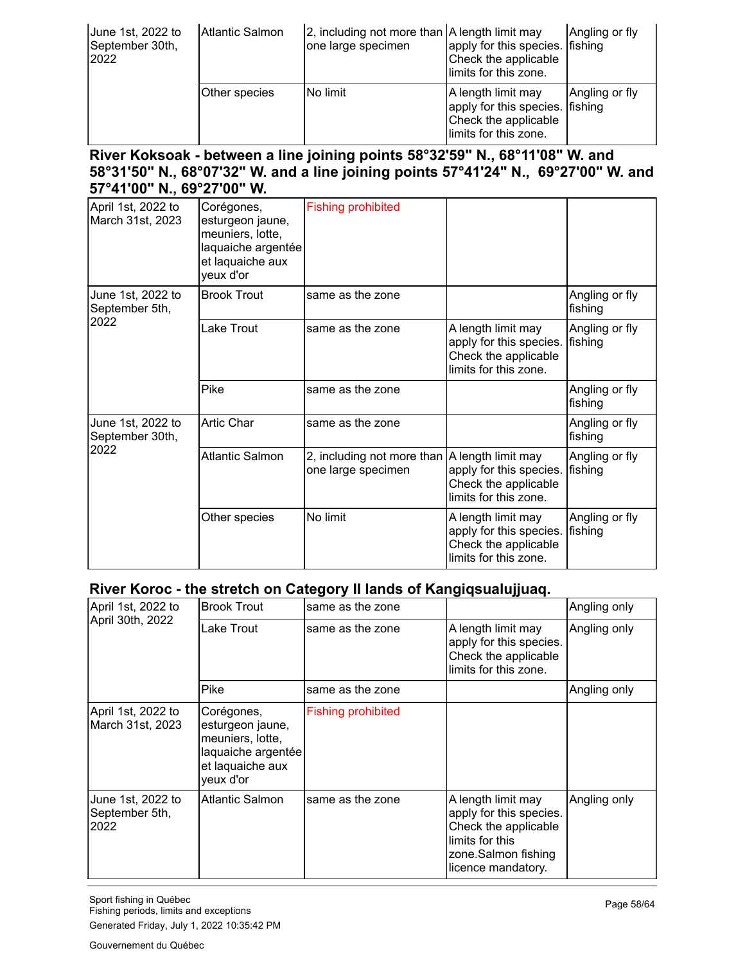| June 1st, 2022 to<br>September 30th,<br>2022 | Atlantic Salmon | 2, including not more than A length limit may<br>one large specimen | apply for this species. fishing<br>Check the applicable<br>llimits for this zone.                       | Angling or fly |
|----------------------------------------------|-----------------|---------------------------------------------------------------------|---------------------------------------------------------------------------------------------------------|----------------|
|                                              | Other species   | INo limit                                                           | A length limit may<br>apply for this species. fishing<br>Check the applicable<br>llimits for this zone. | Angling or fly |

#### **River Koksoak - between a line joining points 58°32'59" N., 68°11'08" W. and 58°31'50" N., 68°07'32" W. and a line joining points 57°41'24" N., 69°27'00" W. and 57°41'00" N., 69°27'00" W.**

| April 1st, 2022 to<br>March 31st, 2023 | Corégones,<br>esturgeon jaune,<br>meuniers, lotte,<br>laquaiche argentée<br>et laquaiche aux<br>yeux d'or | <b>Fishing prohibited</b>                                           |                                                                                                |                           |
|----------------------------------------|-----------------------------------------------------------------------------------------------------------|---------------------------------------------------------------------|------------------------------------------------------------------------------------------------|---------------------------|
| June 1st, 2022 to<br>September 5th,    | <b>Brook Trout</b>                                                                                        | same as the zone                                                    |                                                                                                | Angling or fly<br>fishing |
| 2022                                   | Lake Trout                                                                                                | same as the zone                                                    | A length limit may<br>apply for this species.<br>Check the applicable<br>limits for this zone. | Angling or fly<br>fishing |
|                                        | Pike                                                                                                      | same as the zone                                                    |                                                                                                | Angling or fly<br>fishing |
| June 1st, 2022 to<br>September 30th,   | <b>Artic Char</b>                                                                                         | same as the zone                                                    |                                                                                                | Angling or fly<br>fishing |
| 2022                                   | Atlantic Salmon                                                                                           | 2, including not more than A length limit may<br>one large specimen | apply for this species.<br>Check the applicable<br>limits for this zone.                       | Angling or fly<br>fishing |
|                                        | Other species                                                                                             | No limit                                                            | A length limit may<br>apply for this species.<br>Check the applicable<br>limits for this zone. | Angling or fly<br>fishing |

#### **River Koroc - the stretch on Category II lands of Kangiqsualujjuaq.**

| April 1st, 2022 to                          | <b>Brook Trout</b>                                                                                        | same as the zone          |                                                                                                                                       | Angling only |
|---------------------------------------------|-----------------------------------------------------------------------------------------------------------|---------------------------|---------------------------------------------------------------------------------------------------------------------------------------|--------------|
| April 30th, 2022                            | Lake Trout                                                                                                | same as the zone          | A length limit may<br>apply for this species.<br>Check the applicable<br>limits for this zone.                                        | Angling only |
|                                             | Pike                                                                                                      | same as the zone          |                                                                                                                                       | Angling only |
| April 1st, 2022 to<br>March 31st, 2023      | Corégones,<br>esturgeon jaune,<br>meuniers, lotte,<br>laquaiche argentée<br>et laquaiche aux<br>yeux d'or | <b>Fishing prohibited</b> |                                                                                                                                       |              |
| June 1st, 2022 to<br>September 5th,<br>2022 | <b>Atlantic Salmon</b>                                                                                    | same as the zone          | A length limit may<br>apply for this species.<br>Check the applicable<br>limits for this<br>zone.Salmon fishing<br>licence mandatory. | Angling only |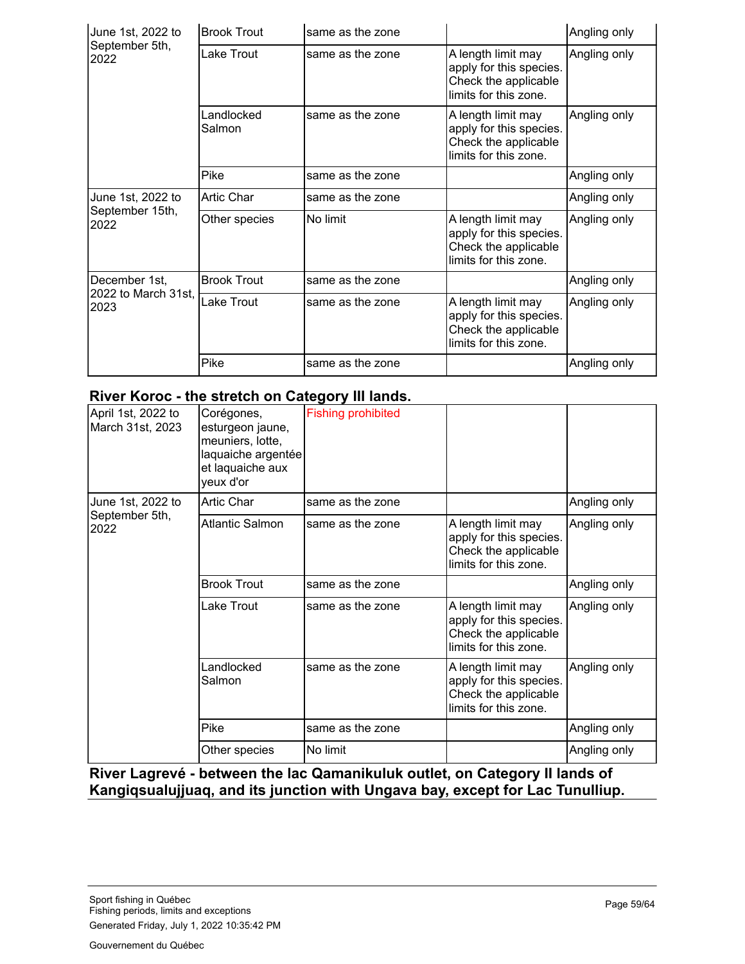| June 1st, 2022 to           | <b>Brook Trout</b>   | same as the zone |                                                                                                | Angling only |
|-----------------------------|----------------------|------------------|------------------------------------------------------------------------------------------------|--------------|
| September 5th,<br>2022      | Lake Trout           | same as the zone | A length limit may<br>apply for this species.<br>Check the applicable<br>limits for this zone. | Angling only |
|                             | Landlocked<br>Salmon | same as the zone | A length limit may<br>apply for this species.<br>Check the applicable<br>limits for this zone. | Angling only |
|                             | Pike                 | same as the zone |                                                                                                | Angling only |
| June 1st, 2022 to           | <b>Artic Char</b>    | same as the zone |                                                                                                | Angling only |
| September 15th,<br>2022     | Other species        | No limit         | A length limit may<br>apply for this species.<br>Check the applicable<br>limits for this zone. | Angling only |
| December 1st,               | <b>Brook Trout</b>   | same as the zone |                                                                                                | Angling only |
| 2022 to March 31st,<br>2023 | Lake Trout           | same as the zone | A length limit may<br>apply for this species.<br>Check the applicable<br>limits for this zone. | Angling only |
|                             | Pike                 | same as the zone |                                                                                                | Angling only |

#### **River Koroc - the stretch on Category III lands.**

| April 1st, 2022 to<br>March 31st, 2023 | Corégones,<br>esturgeon jaune,<br>meuniers, lotte,<br>laquaiche argentée<br>et laquaiche aux<br>yeux d'or | <b>Fishing prohibited</b> |                                                                                                |              |
|----------------------------------------|-----------------------------------------------------------------------------------------------------------|---------------------------|------------------------------------------------------------------------------------------------|--------------|
| June 1st, 2022 to                      | <b>Artic Char</b>                                                                                         | same as the zone          |                                                                                                | Angling only |
| September 5th,<br>2022                 | <b>Atlantic Salmon</b>                                                                                    | same as the zone          | A length limit may<br>apply for this species.<br>Check the applicable<br>limits for this zone. | Angling only |
|                                        | <b>Brook Trout</b>                                                                                        | same as the zone          |                                                                                                | Angling only |
|                                        | Lake Trout                                                                                                | same as the zone          | A length limit may<br>apply for this species.<br>Check the applicable<br>limits for this zone. | Angling only |
|                                        | Landlocked<br>Salmon                                                                                      | same as the zone          | A length limit may<br>apply for this species.<br>Check the applicable<br>limits for this zone. | Angling only |
|                                        | Pike                                                                                                      | same as the zone          |                                                                                                | Angling only |
|                                        | Other species                                                                                             | No limit                  |                                                                                                | Angling only |

**River Lagrevé - between the lac Qamanikuluk outlet, on Category II lands of Kangiqsualujjuaq, and its junction with Ungava bay, except for Lac Tunulliup.**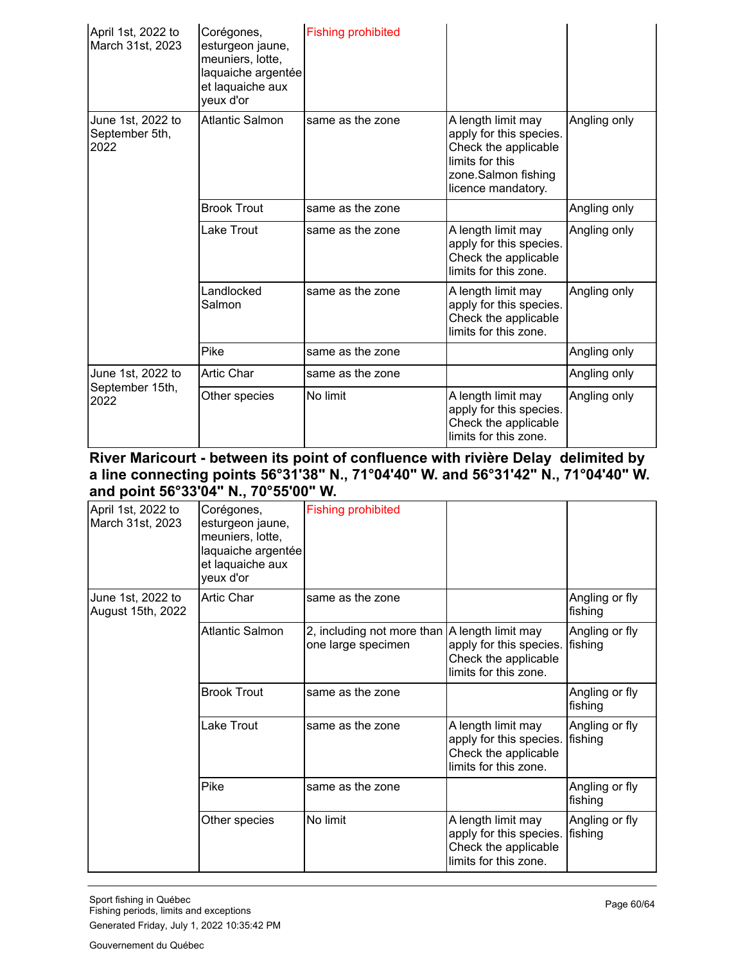| April 1st, 2022 to<br>March 31st, 2023       | Corégones,<br>esturgeon jaune,<br>meuniers, lotte,<br>laquaiche argentée<br>et laquaiche aux<br>yeux d'or | <b>Fishing prohibited</b> |                                                                                                                                       |              |
|----------------------------------------------|-----------------------------------------------------------------------------------------------------------|---------------------------|---------------------------------------------------------------------------------------------------------------------------------------|--------------|
| June 1st, 2022 to<br>September 5th,<br>2022  | <b>Atlantic Salmon</b>                                                                                    | same as the zone          | A length limit may<br>apply for this species.<br>Check the applicable<br>limits for this<br>zone.Salmon fishing<br>licence mandatory. | Angling only |
|                                              | <b>Brook Trout</b>                                                                                        | same as the zone          |                                                                                                                                       | Angling only |
|                                              | Lake Trout                                                                                                | same as the zone          | A length limit may<br>apply for this species.<br>Check the applicable<br>limits for this zone.                                        | Angling only |
|                                              | Landlocked<br>Salmon                                                                                      | same as the zone          | A length limit may<br>apply for this species.<br>Check the applicable<br>limits for this zone.                                        | Angling only |
|                                              | Pike                                                                                                      | same as the zone          |                                                                                                                                       | Angling only |
| June 1st, 2022 to<br>September 15th,<br>2022 | <b>Artic Char</b>                                                                                         | same as the zone          |                                                                                                                                       | Angling only |
|                                              | Other species                                                                                             | No limit                  | A length limit may<br>apply for this species.<br>Check the applicable<br>limits for this zone.                                        | Angling only |

#### **River Maricourt - between its point of confluence with rivière Delay delimited by a line connecting points 56°31'38" N., 71°04'40" W. and 56°31'42" N., 71°04'40" W. and point 56°33'04" N., 70°55'00" W.**

| April 1st, 2022 to<br>March 31st, 2023 | Corégones,<br>esturgeon jaune,<br>meuniers, lotte,<br>laquaiche argentée<br>et laquaiche aux<br>yeux d'or | <b>Fishing prohibited</b>                        |                                                                                                |                           |
|----------------------------------------|-----------------------------------------------------------------------------------------------------------|--------------------------------------------------|------------------------------------------------------------------------------------------------|---------------------------|
| June 1st, 2022 to<br>August 15th, 2022 | <b>Artic Char</b>                                                                                         | same as the zone                                 |                                                                                                | Angling or fly<br>fishing |
|                                        | <b>Atlantic Salmon</b>                                                                                    | 2, including not more than<br>one large specimen | A length limit may<br>apply for this species.<br>Check the applicable<br>limits for this zone. | Angling or fly<br>fishing |
|                                        | <b>Brook Trout</b>                                                                                        | same as the zone                                 |                                                                                                | Angling or fly<br>fishing |
|                                        | Lake Trout                                                                                                | same as the zone                                 | A length limit may<br>apply for this species.<br>Check the applicable<br>limits for this zone. | Angling or fly<br>fishing |
|                                        | Pike                                                                                                      | same as the zone                                 |                                                                                                | Angling or fly<br>fishing |
|                                        | Other species                                                                                             | No limit                                         | A length limit may<br>apply for this species.<br>Check the applicable<br>limits for this zone. | Angling or fly<br>fishing |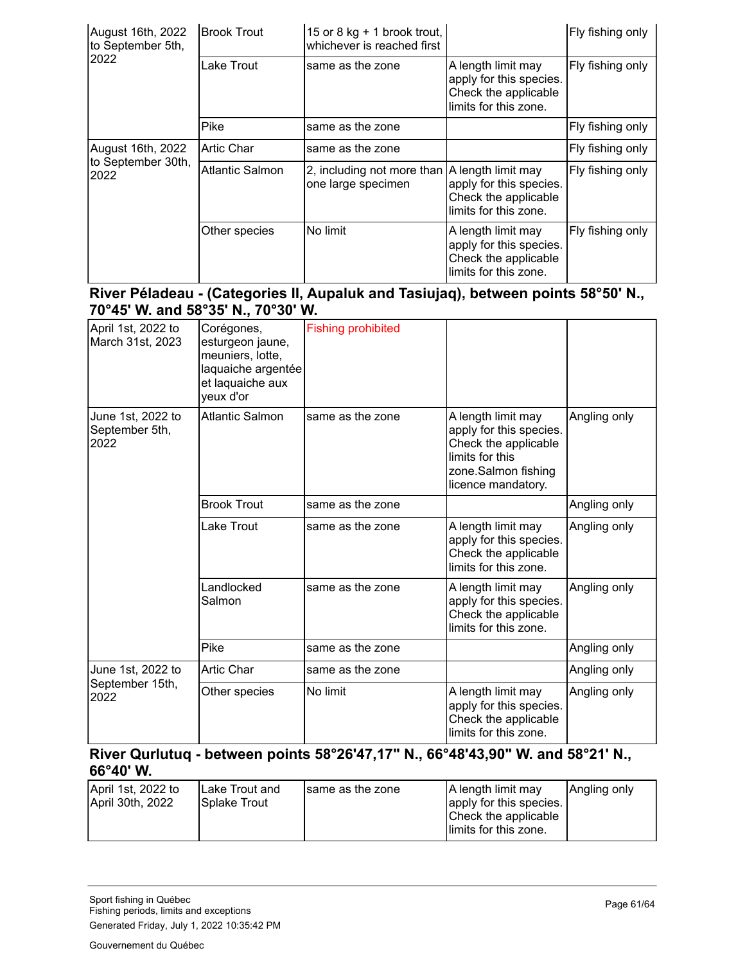| August 16th, 2022<br>to September 5th,<br>2022 | <b>Brook Trout</b>     | 15 or 8 kg + 1 brook trout,<br>whichever is reached first           |                                                                                                | Fly fishing only |
|------------------------------------------------|------------------------|---------------------------------------------------------------------|------------------------------------------------------------------------------------------------|------------------|
|                                                | Lake Trout             | same as the zone                                                    | A length limit may<br>apply for this species.<br>Check the applicable<br>limits for this zone. | Fly fishing only |
|                                                | Pike                   | same as the zone                                                    |                                                                                                | Fly fishing only |
| August 16th, 2022                              | <b>Artic Char</b>      | same as the zone                                                    |                                                                                                | Fly fishing only |
| to September 30th,<br>2022                     | <b>Atlantic Salmon</b> | 2, including not more than A length limit may<br>one large specimen | apply for this species.<br>Check the applicable<br>limits for this zone.                       | Fly fishing only |
|                                                | Other species          | No limit                                                            | A length limit may<br>apply for this species.<br>Check the applicable<br>limits for this zone. | Fly fishing only |

#### **River Péladeau - (Categories II, Aupaluk and Tasiujaq), between points 58°50' N., 70°45' W. and 58°35' N., 70°30' W.**

| April 1st, 2022 to<br>March 31st, 2023       | Corégones,<br>esturgeon jaune,<br>meuniers, lotte,<br>laquaiche argentée<br>et laquaiche aux<br>yeux d'or | <b>Fishing prohibited</b> |                                                                                                                                       |              |
|----------------------------------------------|-----------------------------------------------------------------------------------------------------------|---------------------------|---------------------------------------------------------------------------------------------------------------------------------------|--------------|
| June 1st, 2022 to<br>September 5th,<br>2022  | <b>Atlantic Salmon</b>                                                                                    | same as the zone          | A length limit may<br>apply for this species.<br>Check the applicable<br>limits for this<br>zone.Salmon fishing<br>licence mandatory. | Angling only |
|                                              | <b>Brook Trout</b>                                                                                        | same as the zone          |                                                                                                                                       | Angling only |
|                                              | Lake Trout                                                                                                | same as the zone          | A length limit may<br>apply for this species.<br>Check the applicable<br>limits for this zone.                                        | Angling only |
|                                              | Landlocked<br>Salmon                                                                                      | same as the zone          | A length limit may<br>apply for this species.<br>Check the applicable<br>limits for this zone.                                        | Angling only |
|                                              | Pike                                                                                                      | same as the zone          |                                                                                                                                       | Angling only |
| June 1st, 2022 to<br>September 15th,<br>2022 | <b>Artic Char</b>                                                                                         | same as the zone          |                                                                                                                                       | Angling only |
|                                              | Other species                                                                                             | No limit                  | A length limit may<br>apply for this species.<br>Check the applicable<br>limits for this zone.                                        | Angling only |

**River Qurlutuq - between points 58°26'47,17" N., 66°48'43,90" W. and 58°21' N., 66°40' W.**

| April 1st, 2022 to<br>Lake Trout and<br>April 30th, 2022<br>ISplake Trout | same as the zone | A length limit may<br>apply for this species.<br>Check the applicable<br>llimits for this zone. | Angling only |
|---------------------------------------------------------------------------|------------------|-------------------------------------------------------------------------------------------------|--------------|
|---------------------------------------------------------------------------|------------------|-------------------------------------------------------------------------------------------------|--------------|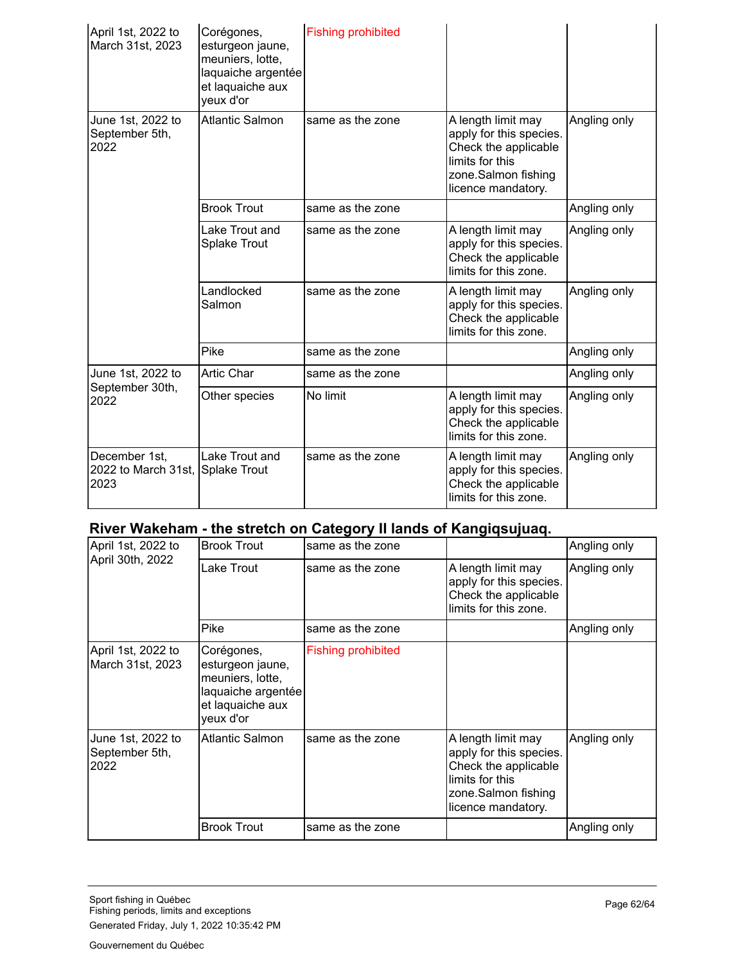| April 1st, 2022 to<br>March 31st, 2023       | Corégones,<br>esturgeon jaune,<br>meuniers, lotte,<br>laquaiche argentée<br>et laquaiche aux<br>yeux d'or | <b>Fishing prohibited</b> |                                                                                                                                       |              |
|----------------------------------------------|-----------------------------------------------------------------------------------------------------------|---------------------------|---------------------------------------------------------------------------------------------------------------------------------------|--------------|
| June 1st, 2022 to<br>September 5th,<br>2022  | <b>Atlantic Salmon</b>                                                                                    | same as the zone          | A length limit may<br>apply for this species.<br>Check the applicable<br>limits for this<br>zone.Salmon fishing<br>licence mandatory. | Angling only |
|                                              | <b>Brook Trout</b>                                                                                        | same as the zone          |                                                                                                                                       | Angling only |
|                                              | Lake Trout and<br><b>Splake Trout</b>                                                                     | same as the zone          | A length limit may<br>apply for this species.<br>Check the applicable<br>limits for this zone.                                        | Angling only |
|                                              | Landlocked<br>Salmon                                                                                      | same as the zone          | A length limit may<br>apply for this species.<br>Check the applicable<br>limits for this zone.                                        | Angling only |
|                                              | Pike                                                                                                      | same as the zone          |                                                                                                                                       | Angling only |
| June 1st, 2022 to                            | <b>Artic Char</b>                                                                                         | same as the zone          |                                                                                                                                       | Angling only |
| September 30th,<br>2022                      | Other species                                                                                             | No limit                  | A length limit may<br>apply for this species.<br>Check the applicable<br>limits for this zone.                                        | Angling only |
| December 1st,<br>2022 to March 31st,<br>2023 | Lake Trout and<br><b>Splake Trout</b>                                                                     | same as the zone          | A length limit may<br>apply for this species.<br>Check the applicable<br>limits for this zone.                                        | Angling only |

# **River Wakeham - the stretch on Category II lands of Kangiqsujuaq.**

| April 1st, 2022 to<br>April 30th, 2022      | <b>Brook Trout</b>                                                                                        | same as the zone          |                                                                                                                                       | Angling only |
|---------------------------------------------|-----------------------------------------------------------------------------------------------------------|---------------------------|---------------------------------------------------------------------------------------------------------------------------------------|--------------|
|                                             | Lake Trout                                                                                                | same as the zone          | A length limit may<br>apply for this species.<br>Check the applicable<br>limits for this zone.                                        | Angling only |
|                                             | Pike                                                                                                      | same as the zone          |                                                                                                                                       | Angling only |
| April 1st, 2022 to<br>March 31st, 2023      | Corégones,<br>esturgeon jaune,<br>meuniers, lotte,<br>laquaiche argentée<br>et laquaiche aux<br>yeux d'or | <b>Fishing prohibited</b> |                                                                                                                                       |              |
| June 1st, 2022 to<br>September 5th,<br>2022 | <b>Atlantic Salmon</b>                                                                                    | same as the zone          | A length limit may<br>apply for this species.<br>Check the applicable<br>limits for this<br>zone.Salmon fishing<br>licence mandatory. | Angling only |
|                                             | <b>Brook Trout</b>                                                                                        | same as the zone          |                                                                                                                                       | Angling only |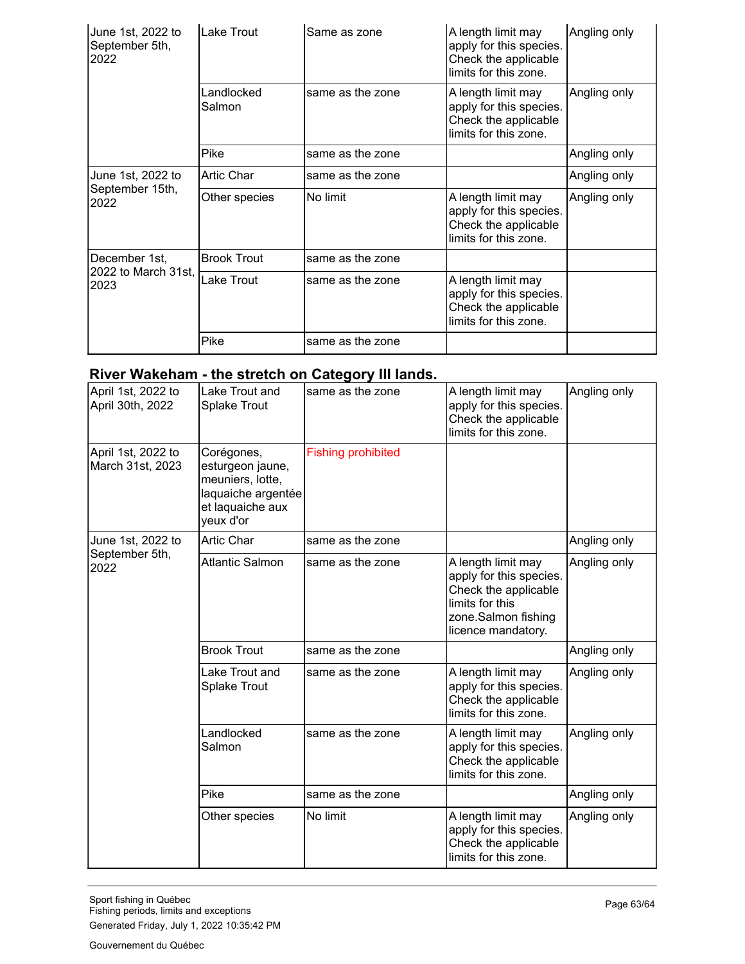| June 1st, 2022 to<br>September 5th,<br>2022  | Lake Trout           | Same as zone     | A length limit may<br>apply for this species.<br>Check the applicable<br>limits for this zone. | Angling only |
|----------------------------------------------|----------------------|------------------|------------------------------------------------------------------------------------------------|--------------|
|                                              | Landlocked<br>Salmon | same as the zone | A length limit may<br>apply for this species.<br>Check the applicable<br>limits for this zone. | Angling only |
|                                              | Pike                 | same as the zone |                                                                                                | Angling only |
| June 1st, 2022 to<br>September 15th,<br>2022 | <b>Artic Char</b>    | same as the zone |                                                                                                | Angling only |
|                                              | Other species        | No limit         | A length limit may<br>apply for this species.<br>Check the applicable<br>limits for this zone. | Angling only |
| December 1st,<br>2022 to March 31st,<br>2023 | <b>Brook Trout</b>   | same as the zone |                                                                                                |              |
|                                              | Lake Trout           | same as the zone | A length limit may<br>apply for this species.<br>Check the applicable<br>limits for this zone. |              |
|                                              | Pike                 | same as the zone |                                                                                                |              |

# **River Wakeham - the stretch on Category III lands.**

| April 1st, 2022 to<br>April 30th, 2022 | Lake Trout and<br>Splake Trout                                                                            | same as the zone          | A length limit may<br>apply for this species.<br>Check the applicable<br>limits for this zone.                                        | Angling only |
|----------------------------------------|-----------------------------------------------------------------------------------------------------------|---------------------------|---------------------------------------------------------------------------------------------------------------------------------------|--------------|
| April 1st, 2022 to<br>March 31st, 2023 | Corégones,<br>esturgeon jaune,<br>meuniers, lotte,<br>laquaiche argentée<br>et laquaiche aux<br>yeux d'or | <b>Fishing prohibited</b> |                                                                                                                                       |              |
| June 1st, 2022 to                      | <b>Artic Char</b>                                                                                         | same as the zone          |                                                                                                                                       | Angling only |
| September 5th,<br>2022                 | <b>Atlantic Salmon</b>                                                                                    | same as the zone          | A length limit may<br>apply for this species.<br>Check the applicable<br>limits for this<br>zone.Salmon fishing<br>licence mandatory. | Angling only |
|                                        | <b>Brook Trout</b>                                                                                        | same as the zone          |                                                                                                                                       | Angling only |
|                                        | Lake Trout and<br><b>Splake Trout</b>                                                                     | same as the zone          | A length limit may<br>apply for this species.<br>Check the applicable<br>limits for this zone.                                        | Angling only |
|                                        | Landlocked<br>Salmon                                                                                      | same as the zone          | A length limit may<br>apply for this species.<br>Check the applicable<br>limits for this zone.                                        | Angling only |
|                                        | Pike                                                                                                      | same as the zone          |                                                                                                                                       | Angling only |
|                                        | Other species                                                                                             | No limit                  | A length limit may<br>apply for this species.<br>Check the applicable<br>limits for this zone.                                        | Angling only |